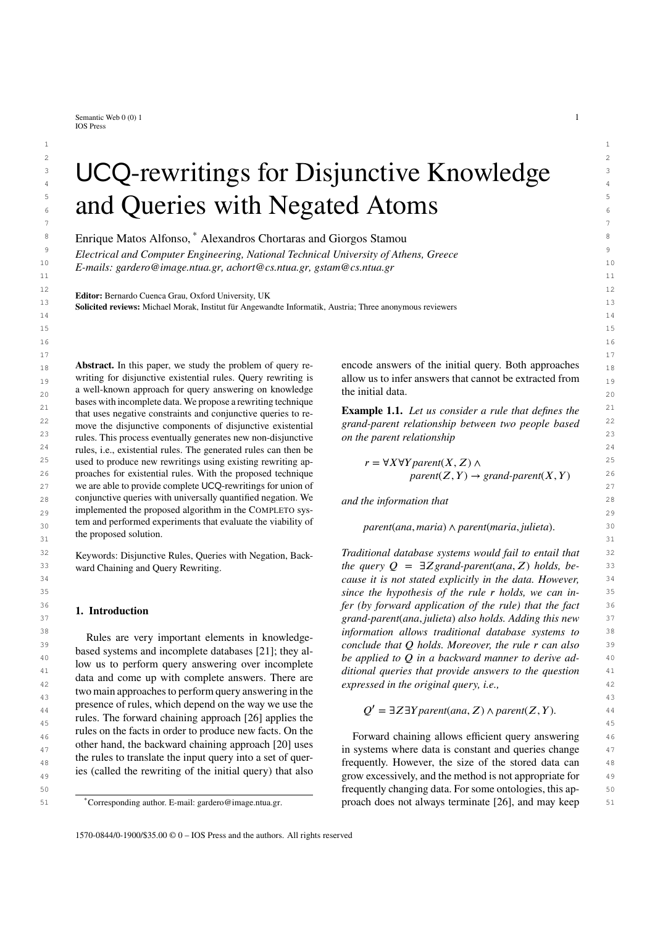Semantic Web  $0(0)$  1 1 IOS Press

# $2 \times 2$  $3$  III Terewritings for Disumptive Knowledge  $3$ <sup>3</sup> UCQ-rewritings for Disjunctive Knowledge  $\frac{5}{2}$  1  $\bigcap$   $\cdot$   $\cdot$  1 NT  $\cdot$  1 A  $\cdot$ **Example 2 and Queries with Negated Atoms**  $\overline{7}$

<sup>8</sup> Biomagne Matos Alfonso, [\\*](#page-0-0) Alexandros Chortaras and Giorgos Stamou

9 9 *Electrical and Computer Engineering, National Technical University of Athens, Greece* 10 10 *E-mails: [gardero@image.ntua.gr,](mailto:gardero@image.ntua.gr) [achort@cs.ntua.gr,](mailto:achort@cs.ntua.gr) [gstam@cs.ntua.gr](mailto:gstam@cs.ntua.gr)*

12 12 **Editor:** Bernardo Cuenca Grau, Oxford University, UK

13 13 **Solicited reviews:** Michael Morak, Institut für Angewandte Informatik, Austria; Three anonymous reviewers 14 14

17 17 18 **Abstract.** In this paper, we study the problem of query re- encode answers of the initial query. Both approaches 18 19 19 allow us to infer answers that cannot be extracted from  $_{20}$  a well-known approach for query answering on knowledge the initial data. <sup>21</sup> that uses notative constraints and conjunctive queries to re-<br>**Example 1.1.** Let us consider a rule that defines the <sup>21</sup> <sup>22</sup> move the disjunctive components of disjunctive existential grand-parent relationship between two people based<sup>22</sup> <sup>23</sup> rules. This process eventually generates new non-disjunctive *on the parent relationship*<sup>23</sup>  $24$  rules, i.e., existential rules. The generated rules can then be  $24$ <sup>25</sup> used to produce new rewritings using existing rewriting ap-<br><sup>25</sup>  $r = \forall XYY parent(X, Z) \land$ 26 proaches for existential rules. With the proposed technique  $parent(Z, Y) \rightarrow grand\text{-}parent(X, Y)$  26 27 we are able to provide complete UCQ-rewritings for union of 27  $28$  conjunctive queries with universally quantified negation. We and the information that  $28$ 29 implemented the proposed algorithm in the COMPLETO sys-30 30 *parent*(*ana, maria*) ∧ *parent*(*maria, julieta*)*.*  $\frac{31}{31}$  are proposed solution.  $\frac{31}{31}$ writing for disjunctive existential rules. Query rewriting is bases with incomplete data. We propose a rewriting technique that uses negative constraints and conjunctive queries to remove the disjunctive components of disjunctive existential tem and performed experiments that evaluate the viability of the proposed solution.

33 ward Chaining and Query Rewriting. the query  $Q = \exists Z \text{ grand-parent}($ *ana*,  $Z$ ) *holds, be-* 33 Keywords: Disjunctive Rules, Queries with Negation, Backward Chaining and Query Rewriting.

## **1. Introduction**

<sup>29</sup> 39 **hosed surface and incorporate of the surface of**  $\Omega$ *conclude that**Q* **holds. Moreover, the rule r can also 39**  $\frac{100}{20}$  be applied to Q in a backward manner to derive ad-<br> **be applied to Q in a backward manner to derive ad-**<sup>41</sup> diverse that provide answers to the question and diverse diverse that provide answers to the question <sup>41</sup> <sup>42</sup> and any other where the original the original query, i.e., <sup>42</sup> the original query, i.e., <sup>42</sup> two main approaches to perform query answering in the  $\frac{exp$  respectively that the original query, i.e.,  $Q' = \exists Z \exists Y$  *presence* of rules, which depend on the way we use the  $Q' = \exists Z \exists Y$  *parent*(*ana*, *Z*)  $\land$  *parent*(*Z*, *Y*). rules. The forward chaining approach [\[26\]](#page-23-1) applies the  $\epsilon$  and  $\epsilon$  and  $\epsilon$  and  $\epsilon$  and  $\epsilon$  and  $\epsilon$  and  $\epsilon$  and  $\epsilon$  and  $\epsilon$  and  $\epsilon$  and  $\epsilon$  and  $\epsilon$  and  $\epsilon$  and  $\epsilon$  and  $\epsilon$  and  $\epsilon$  and  $\epsilon$  and  $\epsilon$  and  $\epsilon$  Rules are very important elements in knowledgebased systems and incomplete databases [\[21\]](#page-23-0); they allow us to perform query answering over incomplete data and come up with complete answers. There are presence of rules, which depend on the way we use the rules on the facts in order to produce new facts. On the other hand, the backward chaining approach [\[20\]](#page-23-2) uses the rules to translate the input query into a set of queries (called the rewriting of the initial query) that also

<span id="page-0-0"></span>\*Corresponding author. E-mail: [gardero@image.ntua.gr.](mailto:gardero@image.ntua.gr)

encode answers of the initial query. Both approaches the initial data.

*on the parent relationship*

$$
r = \forall X \forall Y parent(X, Z) \land
$$
  
parent(Z, Y) \rightarrow grand.parent(X, Y)

*and the information that*

 32 *Traditional database systems would fail to entail that* 34 *cause it is not stated explicitly in the data. However,* **since the hypothesis of the rule** *r* **holds, we can in-**  $\frac{35}{2}$  36 *fer (by forward application of the rule) that the fact* 37 *grand-parent*(*ana, julieta*) *also holds. Adding this new* 38 *information allows traditional database systems to*

<sup>46</sup> The fact of the fact is in order to produce hew rates. On the Forward chaining allows efficient query answering <sup>46</sup>  $\frac{47}{47}$  one hand, the backward channing approach [20] uses in systems where data is constant and queries change  $\frac{47}{47}$ <sup>48</sup> However, the size of the stored data can <sup>48</sup> <sup>48</sup> However, the size of the stored data can <sup>49</sup> Hes (called the rewriting of the initial query) that also grow excessively, and the method is not appropriate for 50 50 frequently changing data. For some ontologies, this ap-51 51 proach does not always terminate [\[26\]](#page-23-1), and may keep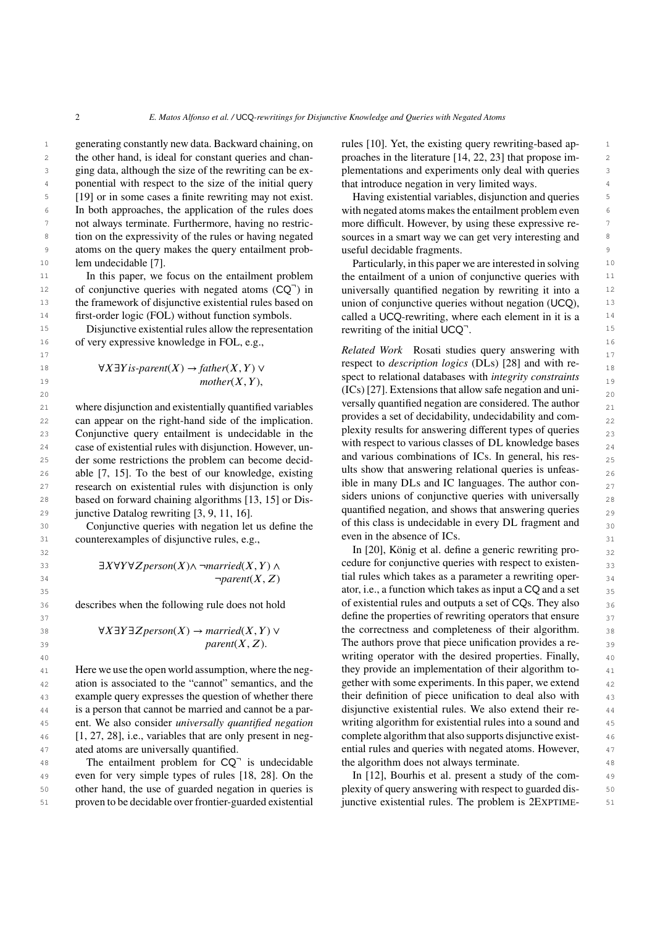1 generating constantly new data. Backward chaining, on rules [10]. Yet, the existing query rewriting-based ap-2 the other hand, is ideal for constant queries and chan-<br>proaches in the literature [14, 22, 23] that propose im-3 3 plementations and experiments only deal with queries 4 ponential with respect to the size of the initial query that introduce negation in very limited ways. <sup>5</sup> [\[19\]](#page-23-3) or in some cases a finite rewriting may not exist. Having existential variables, disjunction and queries <sup>5</sup> <sup>6</sup> In both approaches, the application of the rules does with negated atoms makes the entailment problem even 7 not always terminate. Furthermore, having no restric- more difficult. However, by using these expressive re-<sup>8</sup> tion on the expressivity of the rules or having negated sources in a smart way we can get very interesting and <sup>9</sup> atoms on the query makes the query entailment prob-<br><sup>9</sup> 10 10 Particularly, in this paper we are interested in solving ging data, although the size of the rewriting can be ex-In both approaches, the application of the rules does not always terminate. Furthermore, having no restriction on the expressivity of the rules or having negated lem undecidable [\[7\]](#page-22-0).

<sup>11</sup> In this paper, we focus on the entailment problem the entailment of a union of conjunctive queries with <sup>11</sup> 12 of conjunctive queries with negated atoms (CQ<sup>-</sup>) in universally quantified negation by rewriting it into a <sup>12</sup> <sup>13</sup> the framework of disjunctive existential rules based on union of conjunctive queries without negation (UCQ), <sup>13</sup> In this paper, we focus on the entailment problem first-order logic (FOL) without function symbols.

<sup>16</sup> of very expressive knowledge in FOL, e.g., the contract of the contract of the contract of the contract of the contract of the contract of the contract of the contract of the contract of the contract of the contract o

$$
\forall X \exists Y \text{ is-parent}(X) \rightarrow \text{father}(X, Y) \vee
$$
  

$$
\text{mother}(X, Y),
$$

 $21$  where disjunction and existentially quantified variables  $21$  versally quantified negation are considered. The author  $21$ 22 can appear on the right-hand side of the implication. Provides a set of decidently, undecidently and com- $23$  Conjunctive query entailment is undecidable in the prexity results for answering different types of queries  $23$  $24$  case of existential rules with disjunction. However, un-<br> $24$  with respect to various classes of DL knowledge bases  $24$  $25$  der some restrictions the problem can become decid-<br> $25$  and various combinations of ICs. In general, his res-<br> $25$ 26 able [\[7,](#page-22-0) [15\]](#page-22-1). To the best of our knowledge, existing this show that answering relational queries is unreas- $27$  research on existential rules with disjunction is only  $27$  in many DLs and IC languages. The author con-28 based on forward chaining algorithms  $[13, 15]$  $[13, 15]$  or Dis-<br> $\frac{128}{28}$  states unions of conjunctive queries with universality  $\frac{128}{28}$ 29 iunctive Datalog rewriting  $[3, 9, 11, 16]$  quantified negation, and shows that answering queries  $\frac{29}{2}$ junctive Datalog rewriting [\[3,](#page-22-3) [9,](#page-22-4) [11,](#page-22-5) [16\]](#page-23-4).

31 counterexamples of disjunctive rules, e.g., even in the absence of ICS. 21 counterexamples of disjunctive rules, e.g.,

∃*𝑋*∀*𝑌* ∀*𝑍person*(*𝑋*)∧ ¬*married*(*𝑋, 𝑌* ) ∧  $\neg parent(X, Z)$ 

$$
\forall X \exists Y \exists Z \text{person}(X) \rightarrow \text{married}(X, Y) \lor \text{parent}(X, Z).
$$

<sup>42</sup> ation is associated to the "cannot" semantics, and the gether with some experiments. In this paper, we extend <sup>43</sup> example query expresses the question of whether there their definition of piece unification to deal also with <sup>44</sup> is a person that cannot be married and cannot be a par-<br>disjunctive existential rules. We also extend their re-45 ent. We also consider *universally quantified negation* writing algorithm for existential rules into a sound and 45 46 46 [\[1,](#page-22-6) [27,](#page-23-5) [28\]](#page-23-6), i.e., variables that are only present in neg-<sup>47</sup> ated atoms are universally quantified. The ential rules and queries with negated atoms. However, <sup>47</sup> ent. We also consider *universally quantified negation* ated atoms are universally quantified.

49 even for very simple types of rules [\[18,](#page-23-7) [28\]](#page-23-6). On the In [12], Bourhis et al. present a study of the com-50 other hand, the use of guarded negation in queries is plexity of query answering with respect to guarded dis-

rules [\[10\]](#page-22-7). Yet, the existing query rewriting-based approaches in the literature [\[14,](#page-22-8) [22,](#page-23-8) [23\]](#page-23-9) that propose imthat introduce negation in very limited ways.

Having existential variables, disjunction and queries useful decidable fragments.

 $14$  first-order logic (FOL) without function symbols. called a UCQ-rewriting, where each element in it is a  $14$ 15 15 Disjunctive existential rules allow the representation universally quantified negation by rewriting it into a union of conjunctive queries without negation  $(UCQ)$ , rewriting of the initial UCQ<sup>-</sup>.

<sup>17</sup> <sup>17</sup> <sup>21</sup> <sup>21</sup>/<sub>21</sub> <sup>21</sup>/<sub>21</sub> 22 <sup>21</sup>/<sub>21</sub> <sup>21</sup>/<sub>21</sub> *Related Work* Rosati studies query answering with 18  $\forall X \exists Y$  *is-parent*(X)  $\rightarrow$  *father*(X, Y)  $\vee$  respect to *description logics* (DLs) [\[28\]](#page-23-6) and with re-19 19 spect to relational databases with *integrity constraints*  $(ICs)$  [\[27\]](#page-23-5). Extensions that allow safe negation and uni-30 30 Conjunctive queries with negation let us define the 30 or this class is undecludable in every DL fragment and versally quantified negation are considered. The author provides a set of decidability, undecidability and complexity results for answering different types of queries with respect to various classes of DL knowledge bases and various combinations of ICs. In general, his results show that answering relational queries is unfeasible in many DLs and IC languages. The author considers unions of conjunctive queries with universally of this class is undecidable in every DL fragment and even in the absence of ICs.

 $\ln$  [\[20\]](#page-23-2), König et al. define a generic rewriting pro- $\exists X \forall Y \forall Z \text{person}(X) \land \neg \text{married}(X, Y) \land$  cedure for conjunctive queries with respect to existen- $\Box$ 34  $\Box$   $\Box$   $\Box$   $\Box$   $\Box$   $\Box$   $\Box$  tial rules which takes as a parameter a rewriting oper- $\frac{35}{35}$  35 36 describes when the following rule does not hold of existential rules and outputs a set of CQs. They also 36 37 37 **define the properties of rewriting operators that ensure** 37  $\forall X \exists Y \exists Z \text{person}(X) \rightarrow \text{married}(X, Y) \vee$  the correctness and completeness of their algorithm. <sub>38</sub>  $\text{parent}(X, Z)$ . The authors prove that piece unification provides a re-40 **40** 40 **40 writing operator with the desired properties. Finally,** 40 <sup>41</sup> Here we use the open world assumption, where the neg-<br><sup>41</sup> Here we use the open world assumption, where the neg-<br><sup>41</sup> 48 The entailment problem for  $CQ^{\dagger}$  is undecidable the algorithm does not always terminate. of existential rules and outputs a set of CQs. They also they provide an implementation of their algorithm together with some experiments. In this paper, we extend their definition of piece unification to deal also with disjunctive existential rules. We also extend their recomplete algorithm that also supports disjunctive existthe algorithm does not always terminate.

51 proven to be decidable over frontier-guarded existential junctive existential rules. The problem is 2EXPTIME- 51 In [\[12\]](#page-22-9), Bourhis et al. present a study of the complexity of query answering with respect to guarded disjunctive existential rules. The problem is 2EXPTIME-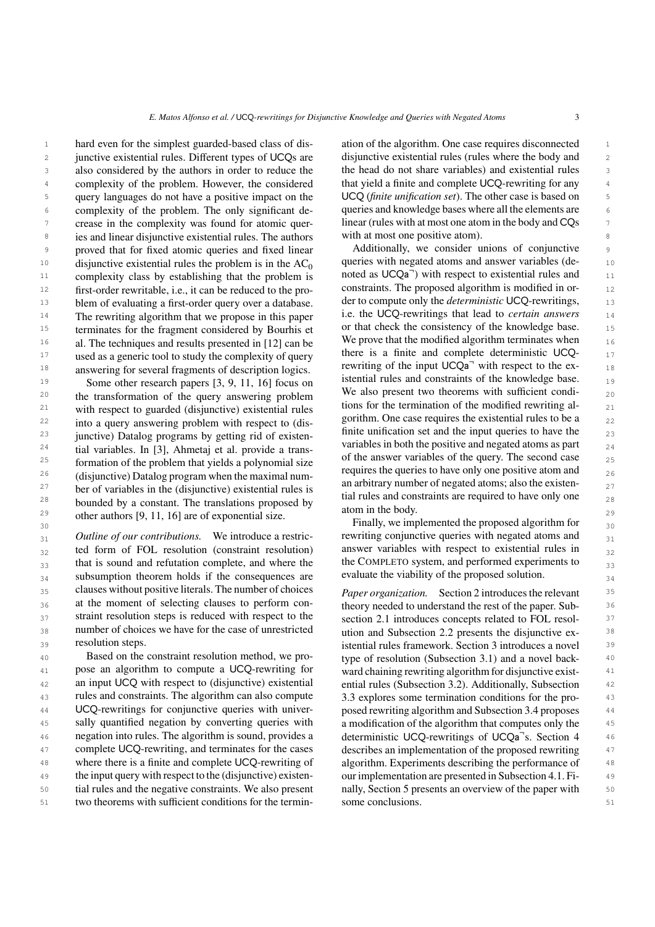1 hard even for the simplest guarded-based class of dis-<br>
ation of the algorithm. One case requires disconnected 2 iunctive existential rules. Different types of UCQs are disjunctive existential rules (rules where the body and 2 3 3 also considered by the authors in order to reduce the 4 complexity of the problem. However, the considered that yield a finite and complete UCQ-rewriting for any 4 <sup>5</sup> query languages do not have a positive impact on the UCQ (finite unification set). The other case is based on <sup>6</sup> complexity of the problem. The only significant de- queries and knowledge bases where all the elements are <sup>6</sup>  $\frac{7}{2}$  crease in the complexity was found for atomic quer-<br>linear (rules with at most one atom in the body and CQs <sup>8</sup> ies and linear disjunctive existential rules. The authors with at most one positive atom). 9 9 proved that for fixed atomic queries and fixed linear  $10$  disjunctive existential rules the problem is in the AC<sub>0</sub> queries with negated atoms and answer variables (de <sup>11</sup> complexity class by establishing that the problem is noted as UCQa<sup>-</sup>) with respect to existential rules and <sup>11</sup> <sup>12</sup> first-order rewritable, i.e., it can be reduced to the pro-<br><sup>12</sup> constraints. The proposed algorithm is modified in or-<sup>13</sup> blem of evaluating a first-order query over a database. Curricle only the *deterministic* UCQ-rewritings, <sup>14</sup> The rewriting algorithm that we propose in this paper <sup>1.e.</sup> the UCQ-rewritings that lead to *certain answers* <sup>14</sup> <sup>15</sup> terminates for the fragment considered by Bourhis et or that check the consistency of the knowledge base. <sup>16</sup> al. The techniques and results presented in [\[12\]](#page-22-9) can be we prove that the modified algorithm terminates when <sup>17</sup> used as a generic tool to study the complexity of query there is a numeral complete deterministic UCQ-<sup>18</sup> answering for several fragments of description logics. The respect to the ex-<br><sup>18</sup> junctive existential rules. Different types of UCQs are complexity of the problem. However, the considered complexity of the problem. The only significant de-

<sup>20</sup> the transformation of the query answering problem we also present two theorems with sufficient condi- $21$  with respect to guarded (disjunctive) existential rules  $\frac{1}{21}$  tons for the termination of the modified rewriting al-<sup>22</sup> into a query answering problem with respect to (dis-<br> $\frac{1}{22}$  into a query answering problem with respect to (dis-<sup>23</sup> junctive) Datalog programs by getting rid of existen-<br> $\frac{1}{2}$  initial distribution set and the input queries to have the  $\frac{23}{2}$ <sup>24</sup> tial variables. In [\[3\]](#page-22-3), Ahmetaj et al. provide a trans-<br> $\epsilon$  (the second interaction of the second interaction of the second interaction of the second interaction of the second interaction of the second interaction o  $^{25}$  formation of the problem that yields a polynomial size  $^{25}$  and the matrice of the query. The second case  $^{25}$ <sup>26</sup> (disjunctive) Datalog program when the maximal num-<br>26  $\frac{1}{26}$  equiting number of namelia af a spirit along the spirite and the spirite  $^{27}$  ber of variables in the (disjunctive) existential rules is  $^{27}$  the and constraints are required to have only and  $^{27}$  $^{28}$  bounded by a constant. The translations proposed by the translation of the best. <sup>29</sup> other authors [\[9,](#page-22-4) [11,](#page-22-5) [16\]](#page-23-4) are of exponential size.  $\frac{29}{2}$  atom in the body.

 $31$  *Outline of our contributions.* We introduce a restric-<br> $31$  rewriting conjunctive queries with negated atoms and  $31$  $_{32}$  ted form of FOL resolution (constraint resolution) answer variables with respect to existential rules in  $_{32}$  $33$  that is sound and refutation complete, and where the the COMPLETO system, and performed experiments to  $33$  $_{34}$  subsumption theorem holds if the consequences are evaluate the viability of the proposed solution. 35 35 *Paper organization.* Section [2](#page-3-0) introduces the relevant <sup>36</sup> at the moment of selecting clauses to perform contained theory needed to understand the rest of the paper. Sub-<sup>37</sup> straint resolution steps is reduced with respect to the section [2.1](#page-3-1) introduces concepts related to FOL resol-38 38 number of choices we have for the case of unrestricted ution and Subsection [2.2](#page-7-0) presents the disjunctive ex-*Outline of our contributions.* We introduce a restricclauses without positive literals. The number of choices at the moment of selecting clauses to perform constraint resolution steps is reduced with respect to the number of choices we have for the case of unrestricted resolution steps.

40 **Based on the constraint resolution method, we pro-** type of resolution (Subsection [3.1\)](#page-8-1) and a novel back-<sup>41</sup> pose an algorithm to compute a UCQ-rewriting for ward chaining rewriting algorithm for disjunctive exist-<sup>42</sup> an input UCQ with respect to (disjunctive) existential ential rules (Subsection [3.2\)](#page-10-0). Additionally, Subsection <sup>43</sup> Tules and constraints. The algorithm can also compute [3.3](#page-13-0) explores some termination conditions for the pro-<sup>44</sup> **UCQ-rewritings for conjunctive queries with univer-** posed rewriting algorithm and Subsection [3.4](#page-15-0) proposes <sup>44</sup> <sup>45</sup> sally quantified negation by converting queries with a modification of the algorithm that computes only the 46 negation into rules. The algorithm is sound, provides a deterministic UCQ-rewritings of UCQa<sup>-</sup>s. Section [4](#page-19-0) 46 <sup>47</sup> complete UCQ-rewriting, and terminates for the cases describes an implementation of the proposed rewriting <sup>47</sup> 48 where there is a finite and complete UCQ-rewriting of algorithm. Experiments describing the performance of 48 49 the input query with respect to the (disjunctive) existen- our implementation are presented in Subsection 4.1. Fi-50 50 tial rules and the negative constraints. We also present 51 51 two theorems with sufficient conditions for the termin-Based on the constraint resolution method, we propose an algorithm to compute a UCO-rewriting for an input UCO with respect to (disjunctive) existential rules and constraints. The algorithm can also compute UCQ-rewritings for conjunctive queries with universally quantified negation by converting queries with negation into rules. The algorithm is sound, provides a

ation of the algorithm. One case requires disconnected the head do not share variables) and existential rules 𝖴𝖢𝖰 (*finite unification set*). The other case is based on linear (rules with at most one atom in the body and CQs with at most one positive atom).

19 Some other research papers [\[3,](#page-22-3) [9,](#page-22-4) [11,](#page-22-5) [16\]](#page-23-4) focus on istential rules and constraints of the knowledge base. Additionally, we consider unions of conjunctive queries with negated atoms and answer variables (denoted as UCQa<sup>-</sup>) with respect to existential rules and constraints. The proposed algorithm is modified in order to compute only the *deterministic* UCQ-rewritings, i.e. the UCQ-rewritings that lead to *certain answers* or that check the consistency of the knowledge base. We prove that the modified algorithm terminates when there is a finite and complete deterministic UCQrewriting of the input UCQa<sup>-</sup> with respect to the existential rules and constraints of the knowledge base. We also present two theorems with sufficient conditions for the termination of the modified rewriting algorithm. One case requires the existential rules to be a finite unification set and the input queries to have the variables in both the positive and negated atoms as part of the answer variables of the query. The second case requires the queries to have only one positive atom and an arbitrary number of negated atoms; also the existential rules and constraints are required to have only one atom in the body.

 $\frac{30}{30}$  Finally, we implemented the proposed algorithm for  $\frac{30}{30}$ answer variables with respect to existential rules in the COMPLETO system, and performed experiments to evaluate the viability of the proposed solution.

39 39 istential rules framework. Section [3](#page-8-0) introduces a novel describes an implementation of the proposed rewriting algorithm. Experiments describing the performance of our implementation are presented in Subsection [4.1.](#page-19-1) Finally, Section [5](#page-21-0) presents an overview of the paper with some conclusions.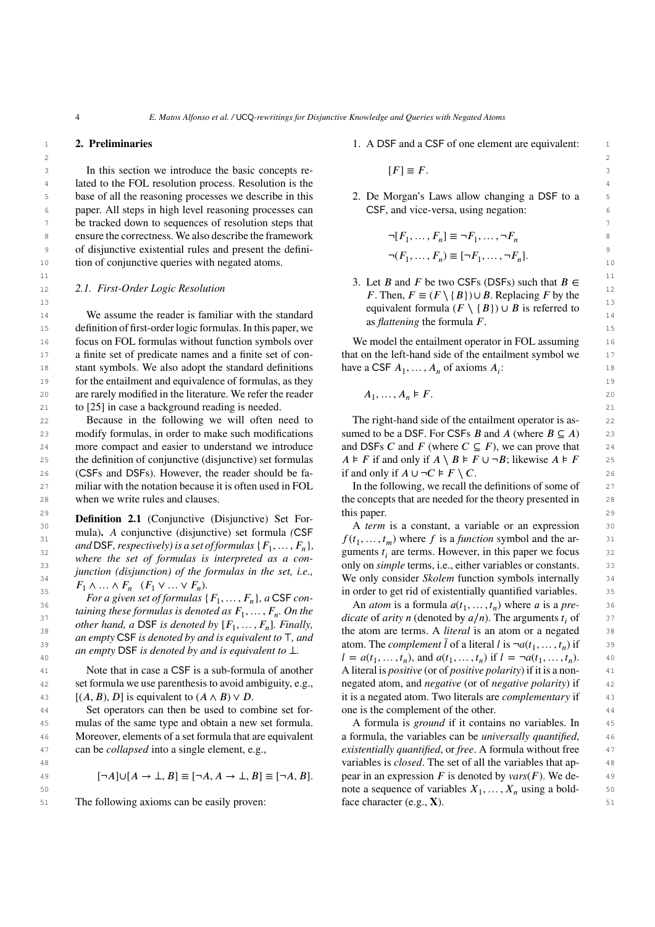$2 \times 2$ 

## <span id="page-3-0"></span>**2. Preliminaries**

3 3 In this section we introduce the basic concepts re-  $[F] \equiv F$ . 4 4 lated to the FOL resolution process. Resolution is the 5 base of all the reasoning processes we describe in this 2. De Morgan's Laws allow changing a DSF to a 5 6 6 paper. All steps in high level reasoning processes can 7 **be tracked down to sequences of resolution steps that** T 8 ensure the correctness. We also describe the framework  $\neg[F_1, \dots, F_n] \equiv \neg F_1, \dots, \neg F_n$ 9 of disjunctive existential rules and present the defini-<br>  $-(E - E) = [-E - E]$ 10 10 tion of conjunctive queries with negated atoms.

14 We assume the reader is familiar with the standard  $\frac{14}{14}$  and  $\frac{14}{14}$  and  $\frac{14}{14}$  and  $\frac{14}{14}$  and  $\frac{14}{14}$  and  $\frac{14}{14}$  and  $\frac{14}{14}$  and  $\frac{14}{14}$  and  $\frac{14}{14}$  and  $\frac{14}{14}$  and  $\frac{14}{$ 15 definition of first-order logic formulas. In this paper, we assume that the community of the state of the state of the state of the state of the state of the state of the state of the state of the state of the state of 16 focus on FOL formulas without function symbols over We model the entailment operator in FOL assuming 16 17 a finite set of predicate names and a finite set of con-<br>17 a finite set of predicate names and a finite set of con-<br>17 18 18 stant symbols. We also adopt the standard definitions 19 19 for the entailment and equivalence of formulas, as they 20 are rarely modified in the literature. We refer the reader  $A_1, \ldots, A_n \in F$ . 21 21 to [\[25\]](#page-23-10) in case a background reading is needed. a finite set of predicate names and a finite set of con-

22 Because in the following we will often need to The right-hand side of the entailment operator is as- 22 23 modify formulas, in order to make such modifications sumed to be a DSF. For CSFs B and A (where  $B \subseteq A$ ) 23 24 more compact and easier to understand we introduce and DSFs *C* and *F* (where  $C \subseteq F$ ), we can prove that 24 25 the definition of conjunctive (disjunctive) set formulas  $A \models F$  if and only if  $A \setminus B \models F \cup \neg B$ ; likewise  $A \models F$  25 26 (CSFs and DSFs). However, the reader should be fa- if and only if  $A \cup \neg C \models F \setminus C$ . 27 miliar with the notation because it is often used in FOL In the following, we recall the definitions of some of 27 28 when we write rules and clauses. The concepts that are needed for the theory presented in 28 more compact and easier to understand we introduce when we write rules and clauses.

<sup>29</sup><br> **Definition 2.1** (Conjunctive (Disjunctive) Set For-<br>
A term is a senstant a variable or an automobile of a senstant <sup>30</sup> **2006 A** *term* is a constant, a variable or an expression <sup>30</sup> 31  $\frac{1}{\text{and }DSE}$  *respectively is a set of formulas*  $\{F_n\}$   $f(t_1, ..., t_m)$  where *f* is a *function* symbol and the ar-<br>31  $\frac{32}{32}$  and BS<sub>1</sub>, respectively) is a set of formulas  $\left( \frac{1}{2}, \dots, \frac{1}{n} \right)$ , guments  $t_i$  are terms. However, in this paper we focus  $\frac{32}{2}$ <sup>33</sup> <sup>33</sup> <sup>once</sup> the set of *simple* terms, i.e., either variables or constants. <sup>33</sup> <sup>33</sup>  $\frac{34}{2}$  **1** *x*<sub>1</sub> *x*<sub>1</sub> *x*<sub>1</sub> *x*<sub>1</sub> *x*<sub>1</sub> *x*<sub>1</sub> *x*<sub>1</sub> *x*<sub>1</sub> *x*<sub>1</sub> *x*<sub>1</sub> *x*<sub>1</sub> *x*<sub>1</sub> *x*<sub>1</sub> *x*<sub>1</sub> *x*<sub>1</sub> *x*<sub>1</sub> *x*<sub>1</sub> *x*<sub>1</sub> *x*<sub>1</sub> *x*<sub>1</sub> *x*<sub>1</sub> *x*<sub>1</sub> *x*<sub>1</sub> *x*<sub>1</sub> *x*<sub>1</sub> *x*<sub>1</sub> *x*<sub>1</sub> *x*<sub>1</sub> *x*<sub>1</sub> *x* mula). *A* conjunctive (disjunctive) set formula *(CSF* and DSF, respectively) is a set of formulas  $\{F_1, \ldots, F_n\}$ , *where the set of formulas is interpreted as a conjunction (disjunction) of the formulas in the set, i.e.,*  $F_1 \wedge ... \wedge F_n \quad (F_1 \vee ... \vee F_n).$ 

36 100 a given set of formulas  $\{1\}$ ,  $\ldots$ ,  $\{1\}$ ,  $\ldots$  a  $\ldots$  for ton-<br>An *atom* is a formula  $a(t_1, \ldots, t_n)$  where *a* is a pre-<br>*s*<sup>6</sup> 37 dinning these formatas is denoted as  $\mathbf{1}_1, \dots, \mathbf{1}_n$ . On the dicate of arity n (denoted by  $a/n$ ). The arguments  $t_i$  of 37 other hand, a DSF is denoted by  $F_k$ ,  $F_k$  Finally 38 38 the atom are terms. A *literal* is an atom or a negated 39 an empty CSF is denoted by and is equivalent to 1, and<br>39 an empty DSF is denoted by and is equivalent to 1 and atom. The *complement*  $\overline{l}$  of a literal l is  $\neg a(t_1, \ldots, t_n)$  if *For a given set of formulas*  $\{F_1, \ldots, F_n\}$ , a CSF containing these formulas is denoted as  $F_1, \ldots, F_n$ . On the *other hand, a* DSF *is denoted by*  $[F_1, \ldots, F_n]$ *. Finally, an empty* 𝖢𝖲𝖥 *is denoted by and is equivalent to ⊤, and an empty* DSF *is denoted by and is equivalent to* ⊥*.* 

41 41 A literal is *positive* (or of *positive polarity*) if it is a non-42 set formula we use parenthesis to avoid ambiguity, e.g., negated atom, and *negative* (or of *negative polarity*) if 42 Note that in case a CSF is a sub-formula of another  $[(A, B), D]$  is equivalent to  $(A \wedge B) \vee D$ .

44 44 Set operators can then be used to combine set for-45 mulas of the same type and obtain a new set formula. A formula is ground if it contains no variables. In 45 46 Moreover, elements of a set formula that are equivalent a formula, the variables can be *universally quantified*, 47 47 *existentially quantified*, or *free*. A formula without free can be *collapsed* into a single element, e.g.,

$$
[\neg A] \cup [A \to \bot, B] \equiv [\neg A, A \to \bot, B] \equiv [\neg A, B].
$$

1 **2. Preliminaries** 2. **Preliminaries** 2. **2. Preliminaries** 2. **2. Preliminaries** 2. **2. Preliminaries** 2. **2. Preliminaries** 2. **2. Preliminaries** 2. **2. Preliminaries** 2. **2. Preliminaries** 2. **2. Preliminaries** 2. **2.** 

$$
[F] \equiv F.
$$

2. De Morgan's Laws allow changing a DSF to a CSF, and vice-versa, using negation:

$$
\neg [F_1, \dots, F_n] \equiv \neg F_1, \dots, \neg F_n
$$
  

$$
\neg (F_1, \dots, F_n) \equiv [\neg F_1, \dots, \neg F_n].
$$

<span id="page-3-1"></span><sup>11</sup> 3. Let *B* and *F* be two CSFs (DSFs) such that  $B \in \mathbb{R}^3$ 12 12 *2.1. First-Order Logic Resolution* 13<br>
equivalent formula  $(F \setminus \{B\}) \cup B$  is referred to *F*. Then,  $F \equiv (F \setminus \{B\}) \cup B$ . Replacing *F* by the as *flattening* the formula *F*.

> We model the entailment operator in FOL assuming have a CSF  $A_1, \ldots, A_n$  of axioms  $A_i$ :

$$
A_1, \ldots, A_n \models F.
$$

The right-hand side of the entailment operator is assumed to be a DSF. For CSFs *B* and *A* (where  $B \subseteq A$ ) *A*  $\models$  *F* if and only if *A*  $\setminus$  *B*  $\models$  *F* ∪ ¬*B*; likewise *A*  $\models$  *F* if and only if  $A \cup \neg C \models F \setminus C$ .

In the following, we recall the definitions of some of this paper.

 $\frac{1}{25}$   $\frac{1}{25}$   $\frac{1}{25}$   $\frac{1}{25}$   $\frac{1}{25}$   $\frac{1}{25}$   $\frac{1}{25}$   $\frac{1}{25}$   $\frac{1}{25}$   $\frac{1}{25}$   $\frac{1}{25}$   $\frac{1}{25}$   $\frac{1}{25}$   $\frac{1}{25}$   $\frac{1}{25}$   $\frac{1}{25}$   $\frac{1}{25}$   $\frac{1}{25}$   $\frac{1}{25}$   $\frac{1}{25}$ 

40 an empty BST is achoica by and is equivalent to  $\pm$ .  $l = a(t_1, ..., t_n)$ , and  $a(t_1, ..., t_n)$  if  $l = \neg a(t_1, ..., t_n)$ . 40 43  $[(A, B), D]$  is equivalent to  $(A \wedge B) \vee D$ . it is a negated atom. Two literals are *complementary* if 43 negated atom, and *negative* (or of *negative polarity*) if one is the complement of the other.

48 48 variables is *closed*. The set of all the variables that ap-49  $[\neg A] \cup [A \rightarrow \bot, B] \equiv [\neg A, A \rightarrow \bot, B] \equiv [\neg A, B]$ . pear in an expression *F* is denoted by *vars*(*F*). We de-50 **note a sequence of variables**  $X_1, \ldots, X_n$  **using a bold-** 50 51 The following axioms can be easily proven: face character (e.g., **X**). A formula is *ground* if it contains no variables. In a formula, the variables can be *universally quantified*, face character (e.g., **X**).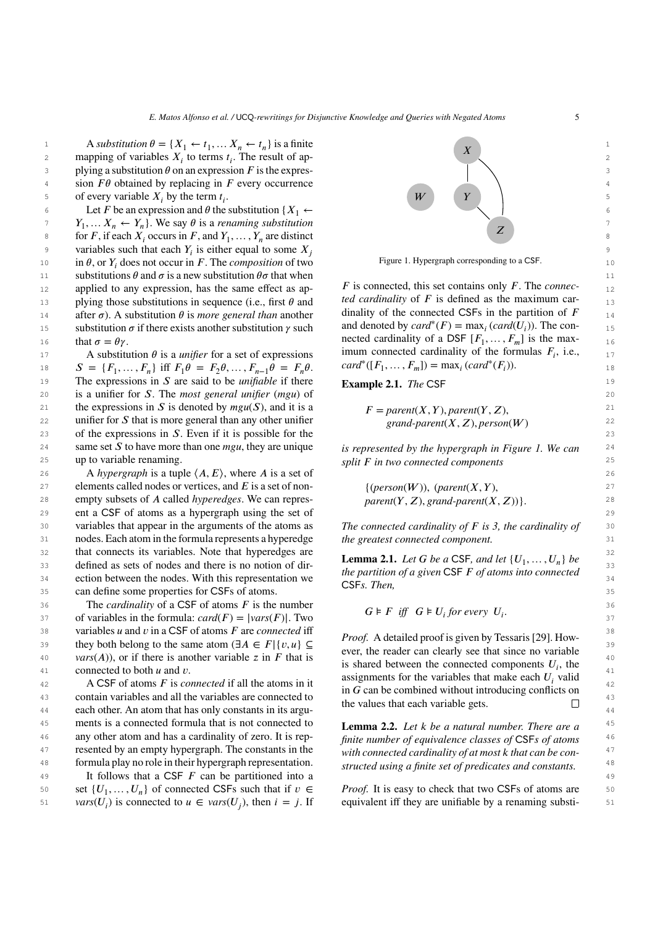1 A substitution  $\theta = \{X_1 \leftarrow t_1, \dots X_n \leftarrow t_n\}$  is a finite  $X$ 2 mapping of variables  $X_i$  to terms  $t_i$ . The result of ap-3 **b** plying a substitution  $\theta$  on an expression  $F$  is the expres-4 sion  $F\theta$  obtained by replacing in *F* every occurrence 5 of every variable  $X_i$  by the term  $t_i$ .

6 **c** Let *F* be an expression and  $\theta$  the substitution {*X*<sub>1</sub> ←  $\theta$ *T*  $Y_1, \ldots, X_n \leftarrow Y_n$ . We say  $\theta$  is a *renaming substitution* 8 for *F*, if each  $X_i$  occurs in *F*, and  $Y_1, \ldots, Y_n$  are distinct 9 variables such that each  $Y_i$  is either equal to some  $X_j$ 10 in  $\theta$ , or  $Y_i$  does not occur in *F*. The *composition* of two Figure 1. Hypergraph corresponding to a CSF. 11 **11** substitutions  $\theta$  and  $\sigma$  is a new substitution  $\theta\sigma$  that when 11 12 applied to any expression, has the same effect as ap-<br> $F$  is connected, this set contains only F. The connection 13 plying those substitutions in sequence (i.e., first  $\theta$  and ted cardinality of F is defined as the maximum car-14 after  $\sigma$ ). A substitution  $\theta$  is *more general than* another dinality of the connected CSFs in the partition of  $F_{14}$ 15 substitution  $\sigma$  if there exists another substitution  $\gamma$  such and denoted by card<sup>\*</sup>(F) = max<sub>i</sub> (card(U<sub>i</sub>)). The con-16 that  $\sigma = \theta \gamma$ . he cted cardinality of a DSF  $[F_1, ..., F_m]$  is the maxthat  $\sigma = \theta \gamma$ .

18  $S = \{F_1, ..., F_n\}$  iff  $F_1 \theta = F_2 \theta, ..., F_{n-1} \theta = F_n \theta$ .  $card^*(F_1, ..., F_m) = max_i (card^*(F_i))$ . 19 The expressions in *S* are said to be *unifiable* if there **Example 2.1.** The CSF 20 20 is a unifier for *𝑆*. The *most general unifier* (*mgu*) of 21 the expressions in *S* is denoted by  $mgu(S)$ , and it is a  $F = parent(X, Y)$ , parent(Y, Z). 22 unifier for *S* that is more general than any other unifier  $\qquad \qquad \qquad \text{grand-parent}(X, Z)$ , person $(W)$ 23 of the expressions in *S*. Even if it is possible for the 23 24 same set S to have more than one *mgu*, they are unique is *represented by the hypergraph in Figure 1. We can* 24 up to variable renaming.

26 A *hypergraph* is a tuple  $\langle A, E \rangle$ , where *A* is a set of 27 elements called nodes or vertices, and *E* is a set of non-<br>{( $person(W)$ ), ( $parent(X, Y)$ ,  $28$  empty subsets of *A* called *hyperedges*. We can repres-<br>  $parent(Y, Z)$ ,  $grand-parent(X, Z)$ }. 29 29 ent a 𝖢𝖲𝖥 of atoms as a hypergraph using the set of 30 variables that appear in the arguments of the atoms as *The connected cardinality of F is 3, the cardinality of* 30 31 nodes. Each atom in the formula represents a hyperedge the greatest connected component.  $\frac{32}{2}$  that connects its variables. Note that hyperedges are  $\frac{1}{2}$   $\frac{1}{2}$   $\frac{1}{2}$   $\frac{1}{2}$   $\frac{1}{2}$   $\frac{1}{2}$   $\frac{1}{2}$   $\frac{1}{2}$   $\frac{1}{2}$   $\frac{1}{2}$   $\frac{1}{2}$   $\frac{1}{2}$   $\frac{1}{2}$   $\frac{1}{2}$   $\frac{1}{2}$   $\frac{1}{$ 33 defined as sets of nodes and there is no notion of dir-<br> $\frac{d}{dx}$  as  $\frac{d}{dx}$  and  $\frac{d}{dx}$  as  $\frac{d}{dx}$  and  $\frac{d}{dx}$  as  $\frac{d}{dx}$  and  $\frac{d}{dx}$  as  $\frac{d}{dx}$  and  $\frac{d}{dx}$  as  $\frac{d}{dx}$  as  $\frac{d}{dx}$  $34$  ection between the nodes. With this representation we are extended to the property of the state of  $24$ 35 can define some properties for CSFs of atoms. Construction of a state of atoms. variables that appear in the arguments of the atoms as

36 36 The *cardinality* of a 𝖢𝖲𝖥 of atoms *𝐹* is the number 37 of variables in the formula:  $card(F) = |vars(F)|$ . Two  $S \cap T$  is given by  $S \cap T$  is given by  $S \cap T$ 38 variables *u* and *v* in a CSF of atoms *F* are *connected* iff  $P_{\text{max}}$   $A$  detailed weak is given by Taggaria [201 Ham 39 39 they both belong to the same atom (∃*𝐴* ∈ *𝐹*|{*𝑣, 𝑢*} *⊆*  $\alpha$  *vars*(*A*)), or if there is another variable *z* in *F* that is  $\alpha$  is the real of the surface in  $\alpha$  is that is  $\alpha$  that is  $\alpha$ 41 connected to both *u* and *v*.

 $\overline{42}$  A CSF of atoms *F* is *connected* if all the atoms in it assumed to the value of a total in the during some integral of the set of a to  $\overline{42}$  $43$  contain variables and all the variables are connected to  $\frac{43}{100}$  the variables are connected to  $\frac{43}{100}$ 44 44 each other. An atom that has only constants in its argu-45 ments is a connected formula that is not connected to Lemma 2.2. Let k be a natural number. There are a  $^{45}$ <sup>46</sup> any other atom and has a cardinality of zero. It is rep-<br>finite number of equivalence classes of CSFs of atoms 47 essented by an empty hypergraph. The constants in the  $with connected cardinality of at most k that can be con-<sup>47</sup>$ 48 formula play no role in their hypergraph representation.  $\frac{structed}{x}$  is the set of predicates and constants 49 It follows that a CSF  $F$  can be partitioned into a  $\frac{9}{2}$  can be partitioned into a  $\frac{49}{2}$ 

50 set  $\{U_1, \ldots, U_n\}$  of connected CSFs such that if  $v \in Proof$ . It is easy to check that two CSFs of atoms are 50 51 *vars*( $U_i$ ) is connected to  $u \in \text{vars}(U_j)$ , then  $i = j$ . If equivalent iff they are unifiable by a renaming substiset  $\{U_1, \ldots, U_n\}$  of connected CSFs such that if  $v \in$ 



<span id="page-4-0"></span>Figure 1. Hypergraph corresponding to a CSF.

17 **17** A substitution  $\theta$  is a *unifier* for a set of expressions 11 mum connected cardinality of the formulas  $F_i$ , i.e., 17 *F* is connected, this set contains only *F*. The *connected cardinality* of *F* is defined as the maximum cardinality of the connected CSFs in the partition of *F* and denoted by  $card^*(F) = \max_i (card(U_i))$ . The conimum connected cardinality of the formulas  $F_i$ , i.e.,  $card^*([F_1, ..., F_m]) = \max_i (card^*(F_i)).$ 

**Example 2.1.** *The* CSF

$$
F = parent(X, Y), parent(Y, Z),
$$
  
grand-part(X, Z), person(W)

<sup>25</sup> **up to variable renaming.** 25 *split F in two connected components* 25 *is represented by the hypergraph in Figure [1.](#page-4-0) We can*

> ${overson(W)}$ *, (parent*(*X,Y)*,  $parent(Y, Z), grand-part(X, Z))$ }.

*the greatest connected component.*

<span id="page-4-1"></span>**Lemma 2.1.** *Let G be a* CSF, *and let*  $\{U_1, \ldots, U_n\}$  *be the partition of a given* CSF *F of atoms into connected* CSF<sub>s</sub>. Then,

$$
G \models F \text{ iff } G \models U_i \text{ for every } U_i.
$$

*Proof.* A detailed proof is given by Tessaris [\[29\]](#page-23-11). However, the reader can clearly see that since no variable is shared between the connected components  $U_i$ , the assignments for the variables that make each  $U_i$  valid in *G* can be combined without introducing conflicts on the values that each variable gets.

<span id="page-4-2"></span>**Lemma 2.2.** Let *k* be a natural number. There are a *finite number of equivalence classes of* CSFs of atoms with connected cardinality of at most *k* that can be con*structed using a finite set of predicates and constants.*

equivalent iff they are unifiable by a renaming substi-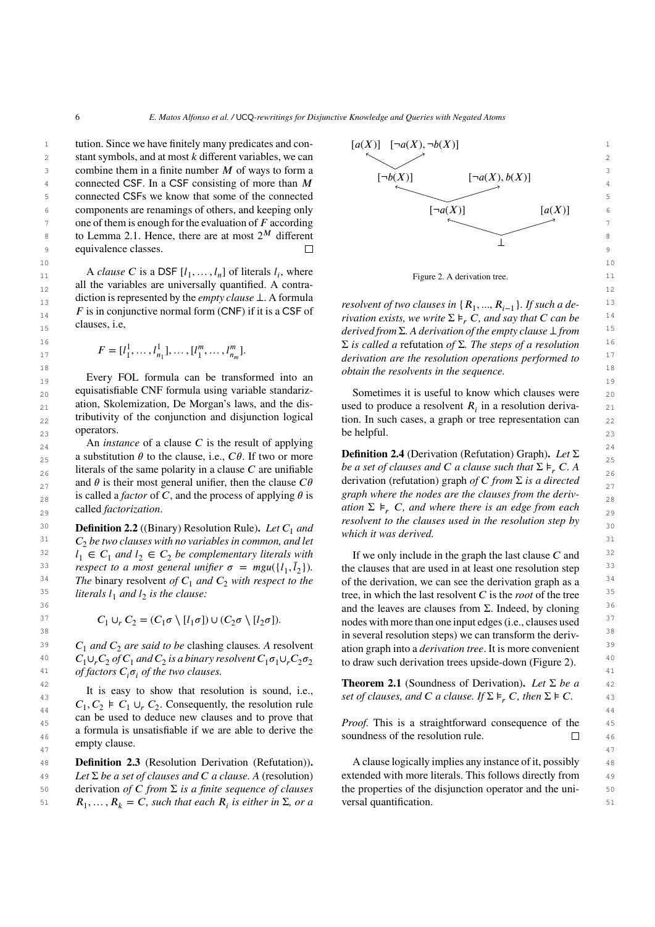1 tution. Since we have finitely many predicates and con-  $[a(X)] \quad [\neg a(X), \neg b(X)]$ 2 2 stant symbols, and at most *k* different variables, we can 3 combine them in a finite number *M* of ways to form a  $\frac{1}{k}$  or  $\frac{1}{k}$  or  $\frac{1}{k}$  or  $\frac{1}{k}$  or  $\frac{1}{k}$  or  $\frac{1}{k}$  3 4 connected CSF. In a CSF consisting of more than *M*  $\begin{bmatrix} 1 & \omega(A) & \cdots & 1 \\ 0 & \omega(A) & \cdots & \cdots \\ \vdots & \vdots & \ddots & \vdots \\ 0 & \cdots & \cdots & \cdots \end{bmatrix}$ 5 5 connected 𝖢𝖲𝖥s we know that some of the connected 6 components are renamings of others, and keeping only  $\lceil \neg a(X) \rceil$   $\lceil a(X) \rceil$  6 7 one of them is enough for the evaluation of  $F$  according  $\sim$ 8 to Lemma [2.1.](#page-4-1) Hence, there are at most  $2^M$  different 9 equivalence classes.

10 10  $11$  A *clause* C is a DSF  $[l_1, \ldots, l_n]$  of literals  $l_i$ , where Figure 2. A derivation tree.  $_{12}$  all the variables are universally quantified. A contra-13 diction is represented by the *empty clause*  $\pm$ . A formula<br>*resolvent of two clauses in* { $R_1$ , ...,  $R_{i-1}$ }. If such a de-<br>*F* is in conjunctive normal form (CNF) if it is a CSF of  $\frac{14}{14}$  *r* is in conjunctive normal form (CNF) if it is a COF of *rivation exists, we write*  $\Sigma \models_r C$ *, and say that*  $C$  *can be* diction is represented by the *empty clause ⊥*. A formula *F* is in conjunctive normal form (CNF) if it is a CSF of clauses, i.e,

$$
F = [l_1^1, \dots, l_{n_1}^1], \dots, [l_1^m, \dots, l_{n_m}^m].
$$

 $_{19}$  Every FOL formula can be transformed into an *bottum me resolvents in the sequence*.  $_{20}$  equisatisfiable CNF formula using variable standariz-<br>Sometimes it is useful to know which clauses were  $_{20}$ 21 ation, Skolemization, De Morgan's laws, and the dis-<br>used to produce a resolvent  $R_i$  in a resolution deriva-<br>21  $_{22}$  tributivity of the conjunction and disjunction logical tion. In such cases, a graph or tree representation can  $_{22}$ equisatisfiable CNF formula using variable standarization, Skolemization, De Morgan's laws, and the distributivity of the conjunction and disjunction logical operators.

24 An *instance* of a clause *C* is the result of applying  $\sum_{n=1}^{\infty}$  **24**  $\sum_{n=1}^{\infty}$  is the set of a state of a state  $\sum_{n=1}^{\infty}$  34  $\sum_{n=1}^{\infty}$  34  $\sum_{n=1}^{\infty}$  34  $\sum_{n=1}^{\infty}$  34  $\sum_{n=1}^{\infty}$  34  $\sum_{$ a substitution  $\theta$  to the clause, i.e., *C* $\theta$ . If two or more **Definition 2.4** (Derivation (Refutation) Graph). Let  $\Sigma$ 26 literals of the same polarity in a clause *C* are unifiable *be a set of clauses and C a clause such that*  $\Sigma \models_r C$ . and  $\theta$  is their most general unifier, then the clause  $C\theta$  derivation (refutation) graph of C from  $\Sigma$  is a directed 28 is called a *factor* of *C*, and the process of applying  $\theta$  is graph where the nodes are the clauses from the derivcalled *factorization*.

30 **Definition 2.2** ((Binary) Resolution Rule). Let  $C_1$  and which it was derived  $C_2$  be two clauses with no variables in common, and let  $C_2$  be two clauses with no variables in common, and let <sup>32</sup>  $l_1 \in C_1$  and  $l_2 \in C_2$  be complementary literals with If we only include in the graph the last clause C and <sup>32</sup> 33 *respect to a most general unifier*  $\sigma = mgu({l_1, l_2})$ . the clauses that are used in at least one resolution step <sup>33</sup> <sup>34</sup> *The* binary resolvent of  $C_1$  and  $C_2$  with respect to the of the derivation, we can see the derivation graph as a <sup>35</sup> *literals*  $l_1$  and  $l_2$  is the clause:  $\frac{35}{4}$  is the *root* of the tree  $\frac{35}{4}$ *literals 𝑙*<sup>1</sup> *and 𝑙*<sup>2</sup> *is the clause:*

$$
C_1 \cup_r C_2 = (C_1 \sigma \setminus [l_1 \sigma]) \cup (C_2 \sigma \setminus [l_2 \sigma]).
$$

 $^{39}$   $C_1$  *and*  $C_2$  *are said to be* clashing clauses. A resolvent ation graph into a *derivation tree*. It is more convenient <sup>39</sup> 40  $C_1 \cup_r C_2$  of  $C_1$  and  $C_2$  is a binary resolvent  $C_1 \sigma_1 \cup_r C_2 \sigma_2$  to draw such derivation trees upside-down (Figure 2). 41 *of factors*  $C_i \sigma_i$  *of the two clauses.* 41

43 **d** *f s* **easy i)** show that resolution is sound, i.e., set of clauses, and C a clause. If  $\Sigma \models_r C$ , then  $\Sigma \models C$ . 43  $\begin{array}{c} \epsilon_1, \epsilon_2 \to \epsilon_1 \; \epsilon_1 \; \epsilon_2 \; \epsilon_2 \; \text{consegularity, the resonant rule} \end{array}$ <br>can be used to deduce new clauses and to prove that *Proof.* This is a straightforward consequence of the <sup>45</sup> <sup>45</sup> <sup>15</sup> *Proof.* This is a straightforward consequence of the <sup>45</sup>  $46$  a formula is unsatisfable from a concluded to define the soundness of the resolution rule.  $\frac{47}{47}$   $\frac{47}{47}$ It is easy to show that resolution is sound, i.e.,  $C_1, C_2 \models C_1 \cup_r C_2$ . Consequently, the resolution rule a formula is unsatisfiable if we are able to derive the empty clause.

48 48 **Definition 2.3** (Resolution Derivation (Refutation))**.** 49 49 *Let* Σ *be a set of clauses and 𝐶 a clause. A* (resolution) 50 derivation *of C* from Σ *is a finite sequence of clauses* the properties of the disjunction operator and the uni-



<span id="page-5-0"></span>Figure 2. A derivation tree.

15 15 *derived from* Σ*. A derivation of the empty clause ⊥ from* <sup>16</sup>  $F = [l^1 \t l^1]$   $I^m$   $I^m$   $I^m$   $I^m$   $I^m$   $I^m$   $I^m$   $I^m$   $I^m$   $I^m$   $I^m$   $I^m$   $I^m$   $I^m$   $I^m$   $I^m$   $I^m$   $I^m$   $I^m$   $I^m$   $I^m$   $I^m$   $I^m$   $I^m$   $I^m$   $I^m$   $I^m$   $I^m$   $I^m$   $I^m$   $I^m$   $I^m$   $I^m$   $I$  $\mathbf{I} = [\mathbf{I}_1, \dots, \mathbf{I}_{n_1}], \dots, \mathbf{I}_1, \dots, \mathbf{I}_{n_m}].$  derivation are the resolution operations performed to  $\mathbf{I}^7$ 18 18 *obtain the resolvents in the sequence.*

 $23$  Operators. 23 be helpful.

 $\frac{29}{29}$  called *factorization*. **Definition 2.4** (Derivation (Refutation) Graph)**.** *Let* Σ *be a set of clauses and C a clause such that*  $\Sigma \models_r C$ *. A* derivation (refutation) graph *of 𝐶 from* Σ *is a directed graph where the nodes are the clauses from the derivresolvent to the clauses used in the resolution step by which it was derived.*

36 36 and the leaves are clauses from Σ. Indeed, by cloning <sup>37</sup>  $C_1 \cup_r C_2 = (C_1 \sigma \setminus [l_1 \sigma]) \cup (C_2 \sigma \setminus [l_2 \sigma])$ . nodes with more than one input edges (i.e., clauses used <sup>37</sup> 38 38 in several resolution steps) we can transform the deriv-If we only include in the graph the last clause C and the clauses that are used in at least one resolution step of the derivation, we can see the derivation graph as a ation graph into a *derivation tree*. It is more convenient to draw such derivation trees upside-down (Figure [2\)](#page-5-0).

42  $\bullet$  **Theorem 2.1** (Soundness of Derivation). Let  $\Sigma$  be a  $\bullet$  42

51  $R_1, \ldots, R_k = C$ *, such that each*  $R_i$  *is either in*  $\Sigma$ *, or a* versal quantification. A clause logically implies any instance of it, possibly extended with more literals. This follows directly from the properties of the disjunction operator and the universal quantification.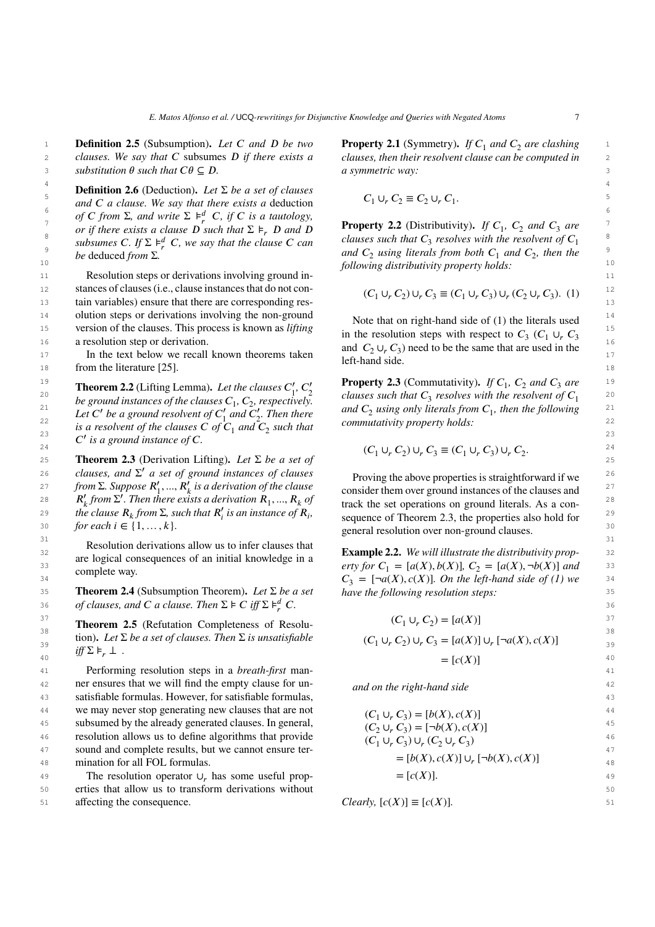**1 Definition 2.5** (Subsumption). Let C and D be two **Property 2.1** (Symmetry). If  $C_1$  and  $C_2$  are clashing 1 2 clauses. We say that C subsumes D if there exists a clauses, then their resolvent clause can be computed in 2  $\alpha$  *substitution*  $\theta$  *such that*  $C\theta \subseteq D$ .  $\alpha$  *symmetric way:* 

**Definition 2.6** (Deduction). Let  $\Sigma$  *be a set of clauses*  $\begin{array}{l} 5 \text{ and } C \text{ a clause. We say that there exists a deduction} \end{array}$   $C_1 \cup_r C_2 \equiv C_2 \cup_r C_1.$ 6 6 6 6 *of C* from Σ, and write Σ  $\models_r^d$  *C*, if *C* is a tautology, *Property 2.2* (Distributivity). If  $C_1$ ,  $C_2$  and  $C_3$  are  $\overline{C_1}$  *are*  $\overline{C_2}$  *are*  $\overline{C_3}$  *are*  $\overline{C_4}$ 8 8 *clauses such that*  $C_3$  *resolves with the resolvent of*  $C_1$ <sup>8</sup> *clauses such that*  $C_2$  *resolves with the resolvent of*  $C_1$ <sup>8</sup>  $\alpha$ <sup>9</sup> be deduced from  $\Sigma$ .<br>be deduced from  $\Sigma$ . *or if there exists a clause*  $\overrightarrow{D}$  *such that*  $\Sigma \models_r D$  *and*  $\overrightarrow{D}$ *subsumes*  $C$ *. If*  $\Sigma \models_r^d C$ *, we say that the clause*  $C$  *can be* deduced *from* Σ*.*

11 11 **Resolution steps or derivations involving ground in-** the state of the state of the state of the state of the state of the state of the state of the state of the state of the state of the state of the state of the s 12 stances of clauses (i.e., clause instances that do not con-<br> $(C_1 \cup C_2) \cup C_2 = (C_1 \cup C_2) \cup (C_2 \cup C_2)$  (1) <sup>12</sup> 13 tain variables) ensure that there are corresponding res-<sup>14</sup> olution steps or derivations involving the non-ground Note that on right hand side of (1) the literals used 15 version of the clauses. This process is known as *lifting* in the resolution steps with repeat to  $C_1 + C_2 = 15$ 16 a resolution step or derivation.

17 In the text below we recall known theorems taken  $\frac{125 \text{ V}}{25 \text{ K}} \approx 10^{14} \text{ kg}$ 18 from the literature [\[25\]](#page-23-10). 18 and the contract of the literature [25].

20 *construction in*  $\sum_{i=1}^{\infty}$   $\sum_{i=1}^{\infty}$  *clauses such that*  $C_3$  *resolves with the resolvent of*  $C_1$  20 21 Let C' be a ground resolvent of C' and C'. Then there and  $C_2$  using only literals from  $C_1$ , then the following 21  $\frac{22}{2}$  is a resolvent of the clauses  $C$  of  $C$ , and  $C$ , such that commutativity property holds: *z*<sup>2</sup> is a resolvent of the clauses C of  $C_1$  and  $C_2$  such that commutativity property notas: **Theorem 2.2** (Lifting Lemma). Let the clauses  $C_1, C_2'$ *be ground instances of the clauses*  $C_{1}$ *,*  $C_{2}$ *, respectively.* Let  $C'$  be a ground resolvent of  $C'_1$  and  $C'_2$ . Then there  $C'$  *is a ground instance of*  $C$ *.* 

<span id="page-6-1"></span>**Theorem 2.3** (Derivation Lifting). Let  $\Sigma$  be a set of the set of the set of the set of the set of the set of the set of the set of the set of the set of the set of the set of the set of the set of the set of the set of 26 *clauses, and*  $\Sigma'$  *a set of ground instances of clauses* **propertional properties** is straightforward if we <sup>26</sup> 27 *from*  $\Sigma$ *. Suppose*  $R'_1$ , ...,  $R'_k$  is a derivation of the clause<br>consider them over ground instances of the clauses and 28  $R'_k$  *from*  $\Sigma'$ . Then there exists a derivation  $R_1, ..., R_k$  of track the set operations on ground literals. As a con-<br>track the set operations on ground literals. As a con- $\epsilon$ <sup>29</sup> the clause  $R_k$  from  $\Sigma$ , such that  $R'_i$  is an instance of  $R_i$ , sequence of Theorem 2.3, the properties also hold for *for each*  $i \in \{1, ..., k\}$ *.* 

 $\frac{31}{20}$  Resolution derivations allow us to infer clauses that **Example 2.2** We will illustrate the distributivity was a control of the set of the set of the set of the set of the set of the set of the set of the set o 32 32 **Example 2.2.** *We will illustrate the distributivity prop-*33 are noticed to the equal consequences of an initial knowledge in a erty for  $C_1 = [a(X), b(X)]$ ,  $C_2 = [a(X), \neg b(X)]$  and 33 complete way are logical consequences of an initial knowledge in a complete way.

<span id="page-6-2"></span>35 35 **Theorem 2.4** (Subsumption Theorem)**.** *Let* Σ *be a set* 36 *of clauses, and C a clause. Then*  $\Sigma \models C$  *iff*  $\Sigma \models_r^d C$ .

 $\frac{38}{1000}$   $\frac{1}{2000}$   $\frac{1}{2000}$   $\frac{1}{200}$   $\frac{1}{200}$   $\frac{1}{200}$   $\frac{1}{200}$   $\frac{1}{200}$   $\frac{1}{200}$   $\frac{1}{200}$   $\frac{1}{200}$   $\frac{1}{200}$   $\frac{1}{200}$   $\frac{1}{200}$   $\frac{1}{200}$   $\frac{1}{200}$   $\frac{1}{200}$   $\frac{1}{200}$   $\sum_{39}^{\infty}$  tion). Let  $\Sigma$  *be a set of clauses. Then*  $\Sigma$  *is unsatisfiable*  $(C_1 \cup_r C_2) \cup_r C_3 = [a(X)] \cup_r [\neg a(X), c(X)]$  $\omega = \frac{1}{2} \omega - \frac{1}{2} \omega$  + 40 *iff* Σ ⊧<sub>*r*</sub> ⊥ .

41 41 Performing resolution steps in a *breath-first* man-42 ner ensures that we will find the empty clause for un-<br>and on the right-hand side<br>42 43 **and Satisfiable formulas. However, for satisfiable formulas,** 43 44 we may never stop generating new clauses that are not  $(C, \cup C) = [b(X) \ c(X)]$ 45 subsumed by the already generated clauses. In general,  $(C_1 \cup C_2) = [\neg b(X) \circ (X)]$  45 46 resolution allows us to define algorithms that provide  $(C, U, C)$   $(C, U, C)$  46 47 sound and complete results, but we cannot ensure ter-<br>47 48 mination for all FOL formulas.  $= [\nu(A), \nu(A)] \cup_{r} [\nu(A), \nu(A)]$ 

50 50 erties that allow us to transform derivations without 51 affecting the consequence. Clearly,  $[c(X)] \equiv [c(X)]$ .

**Property 2.1** (Symmetry). If  $C_1$  and  $C_2$  are clashing *clauses, then their resolvent clause can be computed in a symmetric way:*

$$
C_1 \cup_r C_2 \equiv C_2 \cup_r C_1.
$$

10 10 *following distributivity property holds:*

<span id="page-6-0"></span>
$$
(C_1 \cup_r C_2) \cup_r C_3 \equiv (C_1 \cup_r C_3) \cup_r (C_2 \cup_r C_3). (1)
$$

Note that on right-hand side of [\(1\)](#page-6-0) the literals used in the resolution steps with respect to  $C_3$  ( $C_1$   $\cup_r$   $C_3$ ) and  $C_2 \cup_r C_3$  need to be the same that are used in the left-hand side.

**Property 2.3** (Commutativity). If  $C_1$ ,  $C_2$  and  $C_3$  are  $C_3$  is a *Let the clauses C', C'*  $C_1$ . **Property 2.3** (Commutativity). If  $C_1$ ,  $C_2$  and  $C_3$  are  $C_3$ 

$$
(C_1 \cup_r C_2) \cup_r C_3 \equiv (C_1 \cup_r C_3) \cup_r C_2.
$$

30  $\text{for each } i \in \{1, ..., k\}.$  30  $\text{general resolution over non-ground clauses.}$ Proving the above properties is straightforward if we consider them over ground instances of the clauses and track the set operations on ground literals. As a consequence of Theorem [2.3,](#page-6-1) the properties also hold for

 $C_3 = [\neg a(X), c(X)]$ *. On the left-hand side of [\(1\)](#page-6-0)* we <sup>34</sup> *have the following resolution steps:*

**Theorem 2.5** (Refutation Completeness of Resolu-  
\ntion). Let 
$$
\Sigma
$$
 be a set of clauses. Then  $\Sigma$  is unsatisfiable  
\n
$$
\text{if } \Sigma \models_r \bot .
$$
\n
$$
\text{if } \Sigma \models_r \bot .
$$
\n
$$
= [c(X)]
$$
\n
$$
= [c(X)]
$$
\n
$$
^{33}
$$
\n
$$
= [c(X)]
$$
\n
$$
^{38}
$$
\n
$$
= [c(X)]
$$
\n
$$
^{39}
$$

*and on the right-hand side*

We may never stop generating new clauses that are not  
\nsubsumed by the already generated clauses. In general,  
\nresolution allows us to define algorithms that provide  
\nsound and complete results, but we cannot ensure ter-  
\nmination for all FOL formulas.

\nThe resolution operator 
$$
U_r
$$
 has some useful prop-  
\nerties that allow us to transform derivations without

\n144

\n155

\n276

\n287

\n296

\n206

\n207

\n208

\n210

\n220

\n230

\n247

\n250

\n260

\n271

\n281

\n299

\n200

\n200

\n210

\n221

\n230

\n247

\n250

\n261

\n271

\n282

\n293

\n200

\n200

\n200

\n200

\n200

\n200

\n200

\n200

\n200

\n200

\n200

\n200

\n200

\n200

\n200

\n201

\n200

\n200

\n200

\n201

\n200

\n200

\n201

\n201

\n200

\n200

\n201

\n200

\n200

\n201

\n200

\n200

\n201

\n200

\n200

\n201

\n200

\n200

\n200

\n200

\n200

\n200

\n200

\n200

\n200

\n200

 $Clearly, [c(X)] \equiv [c(X)].$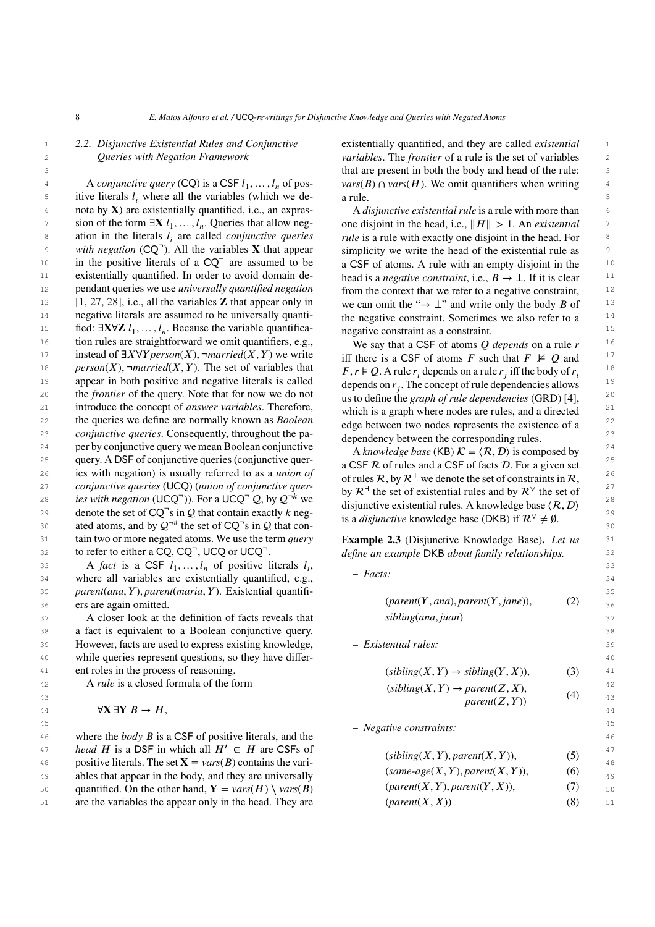# <span id="page-7-0"></span>*2.2. Disjunctive Existential Rules and Conjunctive Queries with Negation Framework*

4 A *conjunctive query* (CQ) is a CSF  $l_1, \ldots, l_n$  of pos-  $vars(B) \cap vars(H)$ . We omit quantifiers when writing 5 itive literals  $l_i$  where all the variables (which we de-<br>5 a rule. <sup>6</sup> note by **X**) are existentially quantified, i.e., an expres-<br>A *disjunctive existential rule* is a rule with more than 7 7 one disjoint in the head, i.e., ‖*𝐻*‖ *>* 1. An *existential* <sup>8</sup> ation in the literals  $l_i$  are called *conjunctive queries* rule is a rule with exactly one disjoint in the head. For <sup>9</sup> with negation (CQ<sup>'</sup>). All the variables **X** that appear simplicity we write the head of the existential rule as 10 in the positive literals of a  $CQ^{\dagger}$  are assumed to be a  $CSF$  of atoms. A rule with an empty disjoint in the <sup>10</sup> 11 existentially quantified. In order to avoid domain de-<br>head is a *negative constraint*, i.e.,  $B \to \bot$ . If it is clear <sup>12</sup> pendant queries we use *universally quantified negation* from the context that we refer to a negative constraint. <sup>12</sup> 13 [\[1,](#page-22-6) [27,](#page-23-5) [28\]](#page-23-6), i.e., all the variables **Z** that appear only in we can omit the " $\rightarrow \perp$ " and write only the body **B** of <sup>13</sup> <sup>14</sup> negative literals are assumed to be universally quanti-<br>the negative constraint. Sometimes we also refer to a 15 fied:  $\exists \mathbf{X} \forall \mathbf{Z} \mid_1, \ldots, I_n$ . Because the variable quantifica-<br>negative constraint as a constraint. <sup>16</sup> tion rules are straightforward we omit quantifiers, e.g., We say that a CSF of atoms O depends on a rule  $r^{16}$ <sup>17</sup> instead of ∃*X*∀*Y* person(*X*), ¬*married*(*X*, *Y*) we write if there is a CSF of atoms *F* such that  $F \not\cong O$  and <sup>17</sup> 18 *person*(*X*),  $\neg$ *married*(*X*, *Y*). The set of variables that  $F \rDash O$  A rule r, depends on a rule r, iff the body of r. <sup>18</sup> <sup>19</sup> appear in both positive and negative literals is called depends on r. The concept of rule dependencies allows <sup>19</sup> <sup>20</sup> the *frontier* of the query. Note that for now we do not the state of the graph of rule dependencies (GRD) [4] 21 introduce the concept of *answer variables*. Therefore, which is a graph where nodes are rules and a directed <sup>21</sup> 22 22 the queries we define are normally known as *Boolean conjunctive queries*. Consequently, throughout the pa-<br>23<br>dependency between the corresponding rules 24 per by conjunctive query we mean Boolean conjunctive  $\Delta$  knowledge hase (KB)  $\zeta = \sqrt{R} N$  is composed by 25 query. A DSF of conjunctive queries (conjunctive quer-<br>25  $\frac{1}{25}$  of rules and a CSE of facts D For a given set 26 ies with negation) is usually referred to as a *union of* of rules  $\mathbb{R} \times \mathbb{R}^{\perp}$  we denote the set of constraints in  $\mathbb{R}$ *conjunctive queries* (UCQ) (*union of conjunctive quer-*<br>  $\frac{1}{2}$   $\frac{1}{2}$  the set of existential rules and by  $\frac{1}{2}$  the set of 28 *ies with negation* (UCQ<sup>-</sup>)). For a UCQ<sup>-</sup> Q, by  $Q^{-k}$  we by  $R$  and set of existential rules and by  $R$  and set of  $\frac{1}{28}$ 29 denote the set of CQ<sup>-</sup>s in Q that contain exactly *k* neg-<br><sup>29</sup> denote the set of CQ<sup>-</sup>s in Q that contain exactly *k* neg-<br>29 30 ated atoms, and by  $Q^{-#}$  the set of CQ<sup>-</sup>s in Q that con-<br>30 31 tain two or more negated atoms. We use the term *query* **Example 2.3** (Disjunctive Knowledge Base). Let us 31 <sup>32</sup> to refer to either a CQ, CQ<sup>'</sup>, UCQ or UCQ<sup>'</sup>. *define an example* DKB *about family relationships.* <sup>32</sup> A *conjunctive query* (CQ) is a CSF  $l_1, \ldots, l_n$  of possion of the form  $\exists \mathbf{X} \, l_1, \ldots, l_n$ . Queries that allow negation in the literals  $l_i$  are called *conjunctive queries* with negation (CQ<sup>-</sup>). All the variables **X** that appear existentially quantified. In order to avoid domain deto refer to either a CQ, CQ<sup>-</sup>, UCQ or UCQ<sup>-</sup>.

33 A *fact* is a CSF  $l_1, \ldots, l_n$  of positive literals  $l_i$ ,  $l_i$ ,  $l_i$ ,  $l_i$ ,  $l_i$ ,  $l_i$ ,  $l_i$ ,  $l_i$ ,  $l_i$ ,  $l_i$ ,  $l_i$ ,  $l_i$ ,  $l_i$ ,  $l_i$ ,  $l_i$ ,  $l_i$ ,  $l_i$ ,  $l_i$ ,  $l_i$ ,  $l_i$ ,  $l_i$ ,  $l_i$ ,  $l_i$ ,  $l_i$ ,  $l_i$ ,  $l_i$ ,  $l_i$ ,  $l_i$  $34$  where all variables are existentially quantified, e.g.,  $74\%$  and  $74\%$  and  $34\%$ 35 35 *parent*(*ana, 𝑌* )*, parent*(*maria, 𝑌* )*.* Existential quantifi-36 ers are again omitted.  $\qquad \qquad (2)$  36 ers are again omitted.

37 A closer look at the definition of facts reveals that *sibling (ana, juan)* 37 38 38 a fact is equivalent to a Boolean conjunctive query. 39 However, facts are used to express existing knowledge,  $\overline{z}$  - Existential rules: 40 40 while queries represent questions, so they have differ-41 ent roles in the process of reasoning. (sibling  $(X, Y) \rightarrow sibling(Y, X)$ ), (3) 41

$$
44 \qquad \qquad \forall \mathbf{X} \exists \mathbf{Y} \; B \to H, \tag{44}
$$

46 where the *body* **B** is a CSF of positive literals, and the 46 and the 46  $47$  *head H* is a DSF in which all  $H' \in H$  are CSFs of  $\left(\frac{6}{\text{N}}\right)$   $\left(\frac{7}{\text{N}}\right)$   $\left(\frac{47}{\text{N}}\right)$   $\left(\frac{6}{\text{N}}\right)$   $\left(\frac{7}{\text{N}}\right)$   $\left(\frac{7}{\text{N}}\right)$   $\left(\frac{7}{\text{N}}\right)$   $\left(\frac{7}{\text{N}}\right)$   $\left(\frac{7}{\text{N}}\right)$  48 positive literals. The set  $\mathbf{X} = vars(B)$  contains the vari-<br>48 positive literals. The set  $\mathbf{X} = vars(B)$  contains the variables that appear in the body, and they are universally  $\left(\text{same-age}(A, I), \text{parent}(A, I)\right)$ , (b) 50 quantified. On the other hand,  $\mathbf{Y} = vars(\mathbf{H}) \setminus vars(\mathbf{B})$  (parent(*X*, *Y*), parent(*Y*, *X*)), (*I*) 50  $51$  are the variables the appear only in the head. They are  $(parent(X, X))$  (8)  $51$ 

**2.2.** Disjunctive Existential Rules and Conjunctive existentially quantified, and they are called *existential*  2 *variables*. The *frontier* of a rule is the set of variables 3 that are present in both the body and head of the rule: a rule.

> A *disjunctive existential rule* is a rule with more than a CSF of atoms. A rule with an empty disjoint in the from the context that we refer to a negative constraint, we can omit the " $\rightarrow \perp$ " and write only the body *B* of the negative constraint. Sometimes we also refer to a negative constraint as a constraint.

We say that a CSF of atoms *Q* depends on a rule *r* iff there is a CSF of atoms *F* such that  $F \not\models O$  and  $F, r \models Q$ . A rule  $r_i$  depends on a rule  $r_j$  iff the body of  $r_i$ depends on  $r_j$ . The concept of rule dependencies allows us to define the *graph of rule dependencies* (GRD) [\[4\]](#page-22-10), which is a graph where nodes are rules, and a directed edge between two nodes represents the existence of a dependency between the corresponding rules.

A *knowledge base* ( $KB$ )  $K = \langle R, D \rangle$  is composed by a CSF  $R$  of rules and a CSF of facts  $D$ . For a given set of rules R, by  $\mathcal{R}^{\perp}$  we denote the set of constraints in R, by  $\mathcal{R}^{\exists}$  the set of existential rules and by  $\mathcal{R}^{\vee}$  the set of disjunctive existential rules. A knowledge base  $\langle R, D \rangle$ is a *disjunctive* knowledge base (DKB) if  $\mathcal{R}^{\vee} \neq \emptyset$ .

<span id="page-7-8"></span>**Example 2.3** (Disjunctive Knowledge Base)**.** *Let us*

**–** *Facts:*

<span id="page-7-3"></span>

| (parent(Y,ana), parent(Y, jane)),            | (2) |
|----------------------------------------------|-----|
| sibling(ana, juan)                           |     |
| $-$ Existential rules:                       |     |
| $(sibling(X, Y) \rightarrow sibling(Y, X)),$ | (3) |

42 A *rule* is a closed formula of the form  $\left(\text{cibling}(X, Y) \rightarrow \text{parent}(Z, Y)\right)$  $(sibling(X, Y) \rightarrow parent(Z, X)$ ,

43 **a**  $\frac{1}{4}$   $\frac{1}{43}$  (4)  $\frac{43}{43}$  $p$ *arent*(*Z, <i>X*), (4)  $p$ *arent*(*Z, Y)) (4)* 

45 45 **–** *Negative constraints:*

<span id="page-7-7"></span><span id="page-7-6"></span><span id="page-7-5"></span><span id="page-7-4"></span><span id="page-7-2"></span><span id="page-7-1"></span>

| (sibling(X, Y), parent(X, Y)),    | (5) |
|-----------------------------------|-----|
| $(same-age(X, Y), parent(X, Y)),$ | (6) |
| (parent(X, Y), parent(Y, X)),     | (7) |
| (parent(X, X))                    | (8) |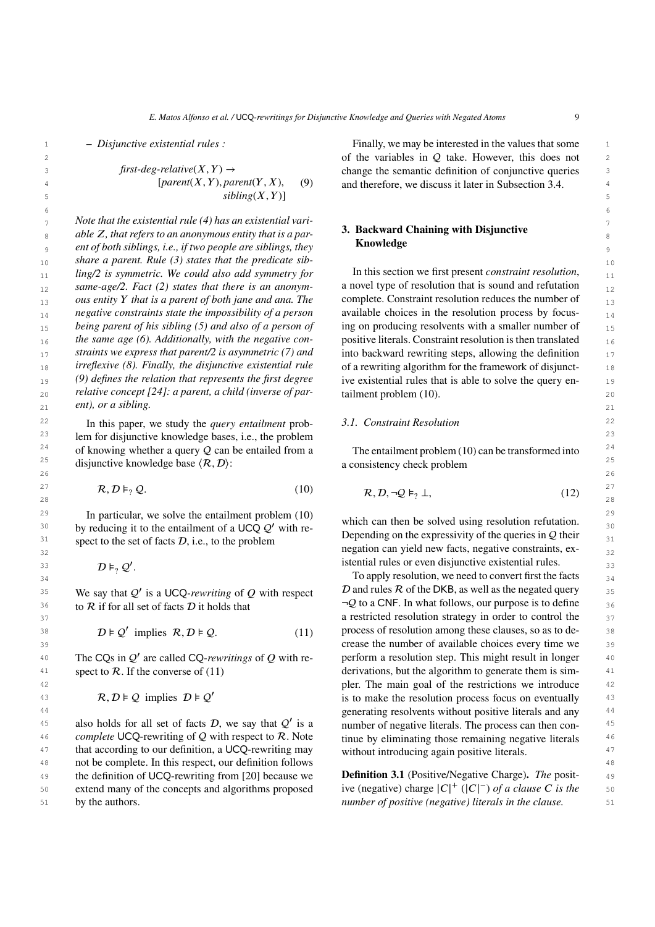$6$ 

**–** *Disjunctive existential rules :*

first-deg-relative 
$$
(X, Y) \rightarrow
$$
  
\n{parent $(X, Y)$ , parent $(Y, X)$ , (9)  
\n*shling* (1)  
\n*shling* (1)  
\n*h* (1)  
\n*h* (2)  
\n*h* (3)  
\n*h* (4)  
\n*h* (4)  
\n*h* (5)  
\n*h* (6)  
\n*h* (1)  
\n*h* (2)  
\n*h* (3)  
\n*h* (4)  
\n*h* (5)  
\n*h* (6)  
\n*h* (1)  
\n*h* (2)  
\n*h* (3)  
\n*h* (4)  
\n*h* (5)  
\n*h* (6)  
\n*h* (6)  
\n*h* (7)  
\n*h* (8)  
\n*h* (1)  
\n*h* (1)  
\n*h* (1)  
\n*h* (1)  
\n*h* (2)  
\n*h* (3)  
\n*h* (4)  
\n*h* (5)  
\n*h* (6)  
\n*h* (6)  
\n*h* (7)  
\n*h* (8)  
\n*h* (1)  
\n*h* (1)  
\n*h* (1)  
\n*h* (1)  
\n*h* (2)  
\n*h* (3)  
\n*h* (4)  
\n*h* (5)  
\n*h* (6)  
\n*h* (6)  
\n*h* (7)  
\n*h* (8)  
\n*h* (1)  
\n*h* (1)  
\n*h* (1)  
\n*h* (1)  
\n*h* (1)  
\n*h* (2)  
\n*h* (3)  
\n*h* (4)  
\n*h* (5)  
\n*h* (6)  
\n*h* (7)  
\n*h* (8

7 7 *Note that the existential rule [\(4\)](#page-7-1) has an existential vari-* $\frac{1}{8}$  able Z, that refers to an anonymous entity that is a par-<br> **3. Buckward Chaining with Disjunctive** 9 9 *ent of both siblings, i.e., if two people are siblings, they* 10 10 *share a parent. Rule [\(3\)](#page-7-2) states that the predicate sib-* $_{11}$   $\qquad$   $ling/2$  is symmetric. We could also add symmetry for  $\qquad$  In this section we first present constraint resolution,  $\qquad$ <sub>11</sub>  $\mu_{12}$  *same-age/2. Fact [\(2\)](#page-7-3) states that there is an anonym-* a novel type of resolution that is sound and refutation  $\mu_{12}$  $_{13}$  ous entity Y that is a parent of both jane and ana. The complete. Constraint resolution reduces the number of  $_{13}$  $_{14}$  *negative constraints state the impossibility of a person* available choices in the resolution process by focus-15 15 *being parent of his sibling [\(5\)](#page-7-4) and also of a person of*  $_{16}$  the same age (6). Additionally, with the negative con- positive literals. Constraint resolution is then translated  $_{16}$ 17 straints we express that parent/2 is asymmetric (7) and into backward rewriting steps, allowing the definition  $17$  $_{18}$  irreflexive (8). Finally, the disjunctive existential rule of a rewriting algorithm for the framework of disjunct-19 **19** defines the relation that represents the first degree ive existential rules that is able to solve the query en- $_{20}$  *relative concept [\[24\]](#page-23-12): a parent, a child (inverse of par-*  $_{10}$ ) railment problem (10).  $_{21}$  ent), or a stoling.  $_{21}$ *ous entity 𝑌 that is a parent of both jane and ana. The the same age [\(6\)](#page-7-5). Additionally, with the negative constraints we express that parent/2 is asymmetric [\(7\)](#page-7-6) and irreflexive [\(8\)](#page-7-7). Finally, the disjunctive existential rule [\(9\)](#page-8-2) defines the relation that represents the first degree ent), or a sibling.*

<sup>22</sup> In this paper, we study the *query entailment* prob-<br><sup>22</sup> 3.1. Constraint Resolution  $23$  lem for disjunctive knowledge bases, i.e., the problem  $23$ <sup>24</sup> of knowing whether a query Q can be entailed from a The entailment problem (10) can be transformed into <sup>24</sup>

$$
R, D \models_? Q. \tag{10} \qquad R, D, \neg Q \models_? \bot,
$$

<sup>29</sup> In particular, we solve the entailment problem  $(10)$  which can then be solved using resolution refutation <sup>30</sup> by reducing it to the entailment of a  $UCQQ'$  with re-<br>Depending on the augmessivity of the quartic in O their

<span id="page-8-4"></span>
$$
\mathcal{D} \models_? \mathcal{Q}'.
$$

to  $R$  if for all set of facts  $D$  it holds that

 $D \models Q'$  implies  $R, D \models Q$ . (11)

41 spect to  $\mathcal{R}$ . If the converse of (11) derivations, but the algorithm to generate them is sim-The CQs in  $Q'$  are called CQ-*rewritings* of *Q* with respect to  $\mathcal R$ . If the converse of [\(11\)](#page-8-4)

$$
\mathcal{R}, \mathcal{D} \models \mathcal{Q} \text{ implies } \mathcal{D} \models \mathcal{Q}'
$$

<sup>46</sup> *complete* UCQ-rewriting of Q with respect to R. Note tinue by eliminating those remaining negative literals 47 that according to our definition, a UCQ-rewriting may without introducing again positive literals. 48 48 not be complete. In this respect, our definition follows 49 the definition of UCQ-rewriting from [\[20\]](#page-23-2) because we **Definition 3.1** (Positive/Negative Charge). The posit-50 extend many of the concepts and algorithms proposed ive (negative) charge  $|C|^+$  ( $|C|^$ ) of a clause C is the 50 51 51 *number of positive (negative) literals in the clause.*extend many of the concepts and algorithms proposed by the authors.

<sup>1</sup> 1 - *Disjunctive existential rules*: Finally, we may be interested in the values that some 2 2 of the variables in take. However, this does not 3 3 3 3  $first-degree lattice(X, Y) \rightarrow$  change the semantic definition of conjunctive queries  $4 \qquad \qquad [parent(X, Y), parent(Y, X), \quad (9) \qquad \text{and therefore, we discuss it later in Subsection 3.4.}$  $4 \qquad \qquad [parent(X, Y), parent(Y, X), \quad (9) \qquad \text{and therefore, we discuss it later in Subsection 3.4.}$  $4 \qquad \qquad [parent(X, Y), parent(Y, X), \quad (9) \qquad \text{and therefore, we discuss it later in Subsection 3.4.}$ 

# <span id="page-8-2"></span><span id="page-8-0"></span>**3. Backward Chaining with Disjunctive Knowledge**

In this section we first present *constraint resolution*, a novel type of resolution that is sound and refutation available choices in the resolution process by focusing on producing resolvents with a smaller number of tailment problem [\(10\)](#page-8-3).

## <span id="page-8-3"></span><span id="page-8-1"></span>*3.1. Constraint Resolution*

 $^{25}$  disjunctive knowledge base  $\langle R, D \rangle$ : a consistency check problem  $^{25}$  $26$ The entailment problem [\(10\)](#page-8-3) can be transformed into a consistency check problem

$$
\mathcal{R}, \mathcal{D} \models_{?} \mathcal{Q}. \tag{10}
$$
\n
$$
\mathcal{R}, \mathcal{D}, \neg \mathcal{Q} \models_{?} \bot,
$$
\n
$$
\tag{12}
$$

<sup>31</sup> 31 spect to the set of facts D, i.e., to the problem<br><sup>31</sup> spect to the set of facts D, i.e., to the problem<br>**Example 1998** spectrum can viald now facts negative constraints or  $\frac{32}{32}$  are set of facts  $D$ , i.e., to the problem negation can yield new facts, negative constraints, ex- $33 \qquad D \models_2 Q'$  33  $33 \qquad D \models_3 Q'$ which can then be solved using resolution refutation. Depending on the expressivity of the queries in  $Q$  their

 $34$  To apply resolution, we need to convert first the facts  $34$ <sup>35</sup> We say that Q' is a UCQ-rewriting of Q with respect  $D$  and rules R of the DKB, as well as the negated query  $\frac{36}{10}$  to  $\frac{36}{10}$  if for all set of facts  $\overline{D}$  it holds that  $\overline{D}$  to a CNF. In what follows, our purpose is to define  $\overline{D}$ 37 37 a restricted resolution strategy in order to control the  $D \models Q'$  implies  $R, D \models Q$ . (11) process of resolution among these clauses, so as to de-39 39 crease the number of available choices every time we 40 The CQs in Q' are called CQ-rewritings of Q with re- perform a resolution step. This might result in longer 40 <sup>42</sup> **pler.** The main goal of the restrictions we introduce  $\frac{42}{3}$ 43  $R, D \models Q$  implies  $D \models Q'$  is to make the resolution process focus on eventually 43 44 44 generating resolvents without positive literals and any 45 also holds for all set of facts D, we say that Q' is a number of negative literals. The process can then con-D and rules  $R$  of the DKB, as well as the negated query number of negative literals. The process can then continue by eliminating those remaining negative literals without introducing again positive literals.

**Definition 3.1** (Positive/Negative Charge)**.** *The* posit-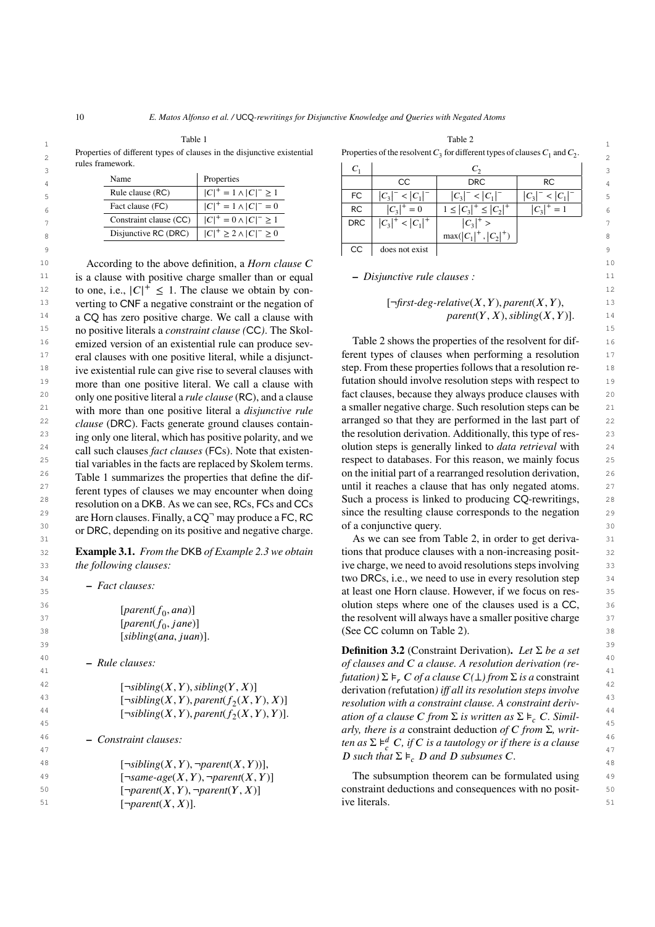<span id="page-9-0"></span>

| rules framework.       |                                   |
|------------------------|-----------------------------------|
| Name                   | Properties                        |
| Rule clause (RC)       | $ C ^+ = 1 \wedge  C ^-\geq 1$    |
| Fact clause (FC)       | $ C ^+ = 1 \wedge  C ^-=0$        |
| Constraint clause (CC) | $ C ^+ = 0 \wedge  C ^-\geq 1$    |
| Disjunctive RC (DRC)   | $ C ^+ \geq 2 \wedge  C ^-\geq 0$ |

Table 1

10 10 According to the above definition, a *Horn clause 𝐶* <sup>11</sup> is a clause with positive charge smaller than or equal  $-$  *Disjunctive rule clauses*: 12 to one, i.e.,  $|C|^+ \le 1$ . The clause we obtain by con-13 verting to CNF a negative constraint or the negation of  $[\neg first\text{-}deg\text{-}relative(X, Y), parent(X, Y),$ <sup>14</sup> a CQ has zero positive charge. We call a clause with  $parent(Y, X), sibling(X, Y)$ . <sup>14</sup> <sup>15</sup> 15 15 15 <sup>16</sup> emized version of an existential rule can produce sev-<br>Table 2 shows the properties of the resolvent for dif-<sup>17</sup> eral clauses with one positive literal, while a disjunct- ferent types of clauses when performing a resolution <sup>17</sup> <sup>18</sup> ive existential rule can give rise to several clauses with step. From these properties follows that a resolution re-<sup>19</sup> more than one positive literal. We call a clause with futation should involve resolution steps with respect to 20 only one positive literal a rule clause (RC), and a clause fact clauses, because they always produce clauses with 20 <sup>21</sup> with more than one positive literal a disjunctive rule a smaller negative charge. Such resolution steps can be  $22$  clause (DRC). Facts generate ground clauses contain-<br>arranged so that they are performed in the last part of  $22$ <sup>23</sup> in g only one literal which has positive polarity and we the resolution derivation. Additionally, this type of res- $^{24}$  call such clauses *fact clauses* (**FCs**). Note that existen-<br>olution steps is generally linked to *data retrieval* with  $^{24}$  $^{25}$  tial variables in the facts are replaced by Skolem terms respect to databases. For this reason, we mainly focus  $^{25}$  $^{26}$  Table 1 summarizes the properties that define the dif-<br>on the initial part of a rearranged resolution derivation,  $^{26}$ <sup>27</sup> ferent types of clauses we may encounter when doing until it reaches a clause that has only negated atoms. 27  $28$  resolution on a DKB, As we can see RCs. FCs and CCs Such a process is linked to producing CQ-rewritings, 28  $29$  are Horn clauses Finally  $2\overline{C}O^T$  may produce  $2\overline{C}C$  ince the resulting clause corresponds to the negation  $29$ <sup>30</sup> or DRC, depending on its positive and negative charge. of a conjunctive query. eral clauses with one positive literal, while a disjunctive existential rule can give rise to several clauses with more than one positive literal. We call a clause with only one positive literal a *rule clause* (RC), and a clause with more than one positive literal a *disjunctive rule clause* (DRC). Facts generate ground clauses containing only one literal, which has positive polarity, and we call such clauses *fact clauses* (FCs). Note that existential variables in the facts are replaced by Skolem terms. Table [1](#page-9-0) summarizes the properties that define the different types of clauses we may encounter when doing resolution on a DKB. As we can see, RCs, FCs and CCs are Horn clauses. Finally, a  $CQ<sup>-</sup>$  may produce a FC, RC

32 **Example 3.1.** *From the DKB of Example [2.3](#page-7-8) we obtain* tions that produce clauses with a non-increasing posit-32 *the following clauses:*

**–** *Fact clauses:*

| [parent( $f_0$ , ana)]<br>[parent( $f_0$ , jane)]    | button steps where one of the clauses used is a CC.<br>the resolvent will always have a smaller positive charge<br>(See CC column on Table 2). | って<br>37<br>38                                                                                                                                                                                                                                                                                                                                                                                              |
|------------------------------------------------------|------------------------------------------------------------------------------------------------------------------------------------------------|-------------------------------------------------------------------------------------------------------------------------------------------------------------------------------------------------------------------------------------------------------------------------------------------------------------------------------------------------------------------------------------------------------------|
|                                                      | <b>Definition 3.2</b> (Constraint Derivation). Let $\Sigma$ be a set                                                                           | 39<br>40                                                                                                                                                                                                                                                                                                                                                                                                    |
| $-$ Rule clauses:                                    | of clauses and $C$ a clause. A resolution derivation (re-                                                                                      | 41                                                                                                                                                                                                                                                                                                                                                                                                          |
| $[\neg sibling(X, Y), sibling(Y, X)]$                |                                                                                                                                                | 42                                                                                                                                                                                                                                                                                                                                                                                                          |
| [¬sibling(X, Y), parent( $f_2(X, Y), X$ )]           |                                                                                                                                                | 43                                                                                                                                                                                                                                                                                                                                                                                                          |
| $[\neg sibling(X, Y), parent(f_2(X, Y), Y)].$        |                                                                                                                                                | 44                                                                                                                                                                                                                                                                                                                                                                                                          |
|                                                      | arly, there is a constraint deduction of C from $\Sigma$ , writ-                                                                               | 45                                                                                                                                                                                                                                                                                                                                                                                                          |
|                                                      | ten as $\Sigma \models_c^d C$ , if C is a tautology or if there is a clause                                                                    | 46<br>47                                                                                                                                                                                                                                                                                                                                                                                                    |
|                                                      | D such that $\Sigma \models_c D$ and D subsumes C.                                                                                             |                                                                                                                                                                                                                                                                                                                                                                                                             |
|                                                      |                                                                                                                                                | 48                                                                                                                                                                                                                                                                                                                                                                                                          |
|                                                      |                                                                                                                                                | 4S                                                                                                                                                                                                                                                                                                                                                                                                          |
| $\lceil \neg parent(X, Y), \neg parent(Y, X) \rceil$ |                                                                                                                                                | 50                                                                                                                                                                                                                                                                                                                                                                                                          |
| $\lceil \neg parent(X, X) \rceil$ .                  | ive literals.                                                                                                                                  | 51                                                                                                                                                                                                                                                                                                                                                                                                          |
|                                                      | [sibling (ana, Juan)].<br>- Constraint clauses:<br>$[\neg sibling(X, Y), \neg parent(X, Y)],$<br>[¬same-age(X, Y), ¬parent(X, Y)]              | futation) $\Sigma \models_r C$ of a clause $C(\bot)$ from $\Sigma$ is a constraint<br>derivation (refutation) iff all its resolution steps involve<br>resolution with a constraint clause. A constraint deriv-<br>ation of a clause C from $\Sigma$ is written as $\Sigma \models_c C$ . Simil-<br>The subsumption theorem can be formulated using<br>constraint deductions and consequences with no posit- |

1 1 Properties of different types of clauses in the disjunctive existential Properties of the resolvent  $C_3$  for different types of clauses  $C_1$  and  $C_2$ . Table 2 Properties of the resolvent  $C_3$  for different types of clauses  $C_1$  and  $C_2$ .

| rules framework.       |                                   | $\sqrt{ }$<br>U. |                                     |                                           |                          |  |
|------------------------|-----------------------------------|------------------|-------------------------------------|-------------------------------------------|--------------------------|--|
| Name                   | Properties                        |                  | CC                                  | <b>DRC</b>                                | <b>RC</b>                |  |
| Rule clause (RC)       | $ C ^+ = 1 \wedge  C ^-\geq 1$    | <b>FC</b>        | $\sqrt{ C_1 ^{1}}$                  | $<$ $ C_1$                                | $<  C_1 ^{-}$<br>$ C_2 $ |  |
| Fact clause (FC)       | $ C ^+ = 1 \wedge  C ^-=0$        | <b>RC</b>        | $ C_3 ^+$<br>$= 0$                  | $\leq  C_2 ^+$                            | $\sim$ 1+<br>$=$         |  |
| Constraint clause (CC) | $ C ^+ = 0 \wedge  C ^-\geq 1$    | <b>DRC</b>       | $< C_1 ^+$<br>$\sim$ 1 <sup>+</sup> | $ C_3 $ <sup>+</sup>                      |                          |  |
| Disjunctive RC (DRC)   | $ C ^+ \geq 2 \wedge  C ^-\geq 0$ |                  |                                     | $\left  C_2 \right ^{+}$<br>$max( C_1 ^+$ |                          |  |
|                        |                                   | <b>CC</b>        | does not exist                      |                                           |                          |  |

<span id="page-9-1"></span>**–** *Disjunctive rule clauses :*

 $\lceil \neg \text{first-deg-relative}(X, Y), \text{parent}(X, Y), \rceil$  $parent(Y, X), sibling(X, Y)$ ].

Table [2](#page-9-1) shows the properties of the resolvent for difof a conjunctive query.

 $31$   $31$   $32$   $33$   $34$   $35$   $37$   $39$   $31$   $31$   $31$   $32$   $33$   $35$   $31$   $32$   $33$   $35$   $37$   $39$   $31$   $31$   $32$   $33$   $34$   $35$   $37$   $38$   $39$   $31$   $31$   $32$   $33$   $34$   $35$   $36$   $37$   $38$   $39$   $31$   $32$   $33$   $34$   $35$  33 *the following clauses*: **1998 1999 1999 1999 1999 1999 1999 1999 1999 1999 1999 1999 1999 1999 1999 1999 1999 1999 1999 1999 1999 1999 1999 1999 1999 1999 1999 1999** <sup>34</sup> two DRCs, i.e., we need to use in every resolution step <sup>34</sup> <sup>35</sup> <sup>25</sup> <sup>25</sup> <sup>25</sup> <sup>25</sup> <sup>25</sup> <sup>25</sup> <sup>25</sup> <sup>35</sup> <sup>35</sup> <sup>35</sup> at least one Horn clause. However, if we focus on res-36 **Solution** Seps where one of the clauses used is a CC, 36  $\frac{d^2y}{dx^2}$  is  $\frac{d^2y}{dx^2}$  the resolvent will always have a smaller positive charge  $\frac{d^2y}{dx^2}$  $\frac{1}{38}$  38  $\frac{1}{38}$   $\frac{1}{38}$   $\frac{1}{38}$   $\frac{1}{38}$   $\frac{1}{38}$   $\frac{1}{38}$   $\frac{1}{38}$   $\frac{1}{38}$   $\frac{1}{38}$   $\frac{1}{38}$   $\frac{1}{38}$   $\frac{1}{38}$   $\frac{1}{38}$   $\frac{1}{38}$   $\frac{1}{38}$   $\frac{1}{38}$   $\frac{1}{38}$   $\frac{1}{38}$   $\frac{1}{38}$ tions that produce clauses with a non-increasing posit-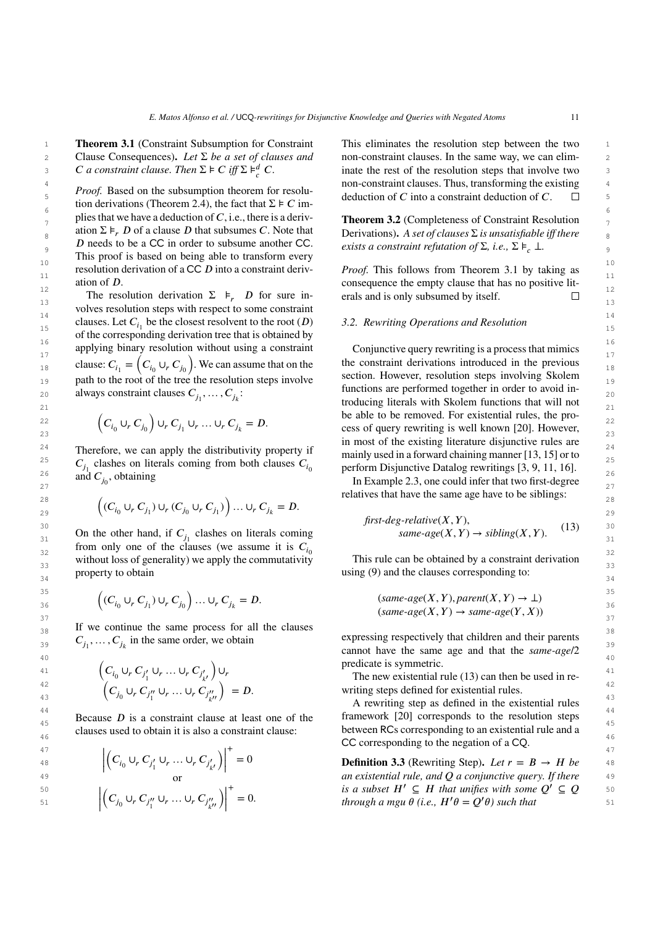$\frac{5}{1000}$ . Based on the subsumption theorem for resolution of *C* into a constraint deduction of *C*.  $\Box$  5  $\frac{6}{2}$  blies that we have a deduction of *C*, i.e., there is a deriv-<br> $\frac{6}{2}$  plies that we have a deduction of *C*, i.e., there is a deriv-<br>Theorem 3.2 (Completeness of Constraint Resolution plies that we have a deduction of C, i.e., there is a deriv-<br> **Theorem 3.2** (Completeness of Constraint Resolution ation  $\Sigma F_r D$  of a clause D that subsumes C. Note that Derivations). A set of clauses  $\Sigma$  is unsatisfiable iff there 9 *exists a constraint refutation of*  $\Sigma$ , *i.e.*,  $\Sigma \models_c \bot$ . 10 10 resolution derivation of a 𝖢𝖢 *𝐷* into a constraint derivresolution derivation of a CC D into a constraint deriv-<br> $Proof.$  This follows from Theorem [3.1](#page-10-1) by taking as *Proof.* Based on the subsumption theorem for resolu-tion derivations (Theorem [2.4\)](#page-6-2), the fact that  $\Sigma \models C$  imation  $\Sigma \models_r D$  of a clause *D* that subsumes *C*. Note that *D* needs to be a CC in order to subsume another CC. This proof is based on being able to transform every ation of *D*.

 $\frac{13}{13}$  volves resolution steps with respect to some constraint  $14$  14  $\ldots$  14  $\ldots$  14  $\ldots$  14 clauses. Let  $C_{i_1}$  be the closest resolvent to the root  $(D)$  3.2. Rewriting Operations and Resolution 16 16 applying binary resolution without using a constraint ( ) 17 17 18 clause:  $C_{i_1} = \left(C_{i_0} \cup_r C_{j_0}\right)$ . We can assume that on the the constraint derivations introduced in the previous 18 <sub>19</sub> path to the root of the tree the resolution steps involve section. However, resolution steps involving Skotem of the corresponding derivation tree that is obtained by

$$
(C_{i_0} \cup_r C_{j_0}) \cup_r C_{j_1} \cup_r \dots \cup_r C_{j_k} = D.
$$

 $C_{j_1}$  clashes on literals coming from both clauses  $C_{i_0}$  mainly ased in a forward channing mainter [15, 15] or to  $C_{j_1}$  $\mathcal{L}_{j_1}$  classics on inclairs coming from boun clauses  $\mathcal{L}_{i_0}$  perform Disjunctive Datalog rewritings [\[3,](#page-22-3) [9,](#page-22-4) [11,](#page-22-5) [16\]](#page-23-4). and  $C_{j_0}$ , obtaining

$$
2^{8}
$$
 relatives that have the same age have to be siblings:  
\n
$$
2^{8}
$$
 relatives that have the same age have to be siblings:  
\n
$$
2^{8}
$$

On the other hand, if  $C_{j_1}$  clashes on literals coming same-age(X, Y)  $\rightarrow$  sibling(X, Y). from only one of the clauses (we assume it is  $C_{i_0}$   $\blacksquare$   $\blacksquare$   $\blacksquare$   $\blacksquare$   $\blacksquare$   $\blacksquare$   $\blacksquare$   $\blacksquare$   $\blacksquare$   $\blacksquare$   $\blacksquare$   $\blacksquare$   $\blacksquare$   $\blacksquare$   $\blacksquare$   $\blacksquare$   $\blacksquare$   $\blacksquare$   $\blacksquare$   $\blacksquare$   $\blacksquare$   $\blacksquare$   $\blacksquare$   $\blacksquare$ without loss of generality) we apply the commutativity This rule can be obtained by a constraint derivation property to obtain

$$
\begin{aligned}\n\left( (C_{i_0} \cup_r C_{j_1}) \cup_r C_{j_0} \right) \dots \cup_r C_{j_k} &= D. \\
\text{(same-age(X, Y), parent(X, Y) \to \bot)} \\
\text{(same-age(X, Y) \to same-age(Y, X))} \\
\text{(same-age(X, Y) \to same-age(Y, X))} \\
\text{(same-age(X, Y) \to same-age(Y, X))}\n\end{aligned}
$$

 $38$  If we continue the same process for all the clauses

<span id="page-10-3"></span>
$$
\left(C_{i_0} \cup_r C_{j'_1} \cup_r \dots \cup_r C_{j'_{k'}}\right) \cup_r
$$
  

$$
\left(C_{j_0} \cup_r C_{j''_1} \cup_r \dots \cup_r C_{j''_{k''}}\right) = D.
$$

 $\frac{45}{45}$  between RCs corresponding to an existential rule and a<br>clauses used to obtain it is also a constraint clause: between RCs corresponding to an existential rule and a Because *D* is a constraint clause at least one of the clauses used to obtain it is also a constraint clause:

$$
\begin{vmatrix}\n1^{47} & \left| \left( C_{i_0} \cup_r C_{j'_1} \cup_r \dots \cup_r C_{j'_{k'}} \right) \right|^+ = 0 & \text{Definition 3.3 (Rewriting Step). Let } r = B \rightarrow H \text{ be } 48 \\
0^4 & \text{or} \\
1^5 & \left| \left( C_{j_0} \cup_r C_{j''_1} \cup_r \dots \cup_r C_{j''_{k''}} \right) \right|^+ = 0. & \text{in } \text{a subset } H' \subseteq H \text{ that unifies with some } Q' \subseteq Q \\
0^5 & \text{in } \text{rough a } m \neq 0 \text{ (i.e., } H' \theta = Q' \theta \text{) such that} \n\end{vmatrix}
$$

<span id="page-10-1"></span><sup>4</sup> non-constraint clauses. Thus, transforming the existing <sup>4</sup> This eliminates the resolution step between the two non-constraint clauses. In the same way, we can elim-

<span id="page-10-4"></span>

The resolution derivation  $\Sigma \models_r D$  for sure in-<br>13<br>13<br>13<br>13 consequence the empty clause that has no positive literals and is only subsumed by itself.

### <span id="page-10-2"></span><span id="page-10-0"></span>*3.2. Rewriting Operations and Resolution*

20 always constraint clauses  $C_{j_1}, \ldots, C_{j_k}$ :<br>troducing literals with Skolem functions that will not 21 21 21 21 21  $\frac{J_1}{2}$   $\frac{J_k}{2}$  troducing literals with Skolem functions that will not  $22$  be able to be removed. For existential rules, the pro- $\left(\mathbf{C}_{i_0} \mathbf{O}_r \mathbf{C}_{j_0}\right) \mathbf{O}_r \mathbf{C}_{j_1} \mathbf{O}_r \dots \mathbf{O}_r \mathbf{C}_{j_k} = D.$  cess of query rewriting is well known [\[20\]](#page-23-2). However, <sup>24</sup> 24<br>
Therefore, we can apply the distributivity property if  $\frac{m \text{ mod } 64 \text{ mod } 64 \text{ mod } 64 \text{ mod } 64 \text{ mod } 64 \text{ mod } 64 \text{ mod } 64 \text{ mod } 64 \text{ mod } 64 \text{ mod } 64 \text{ mod } 64 \text{ mod } 64 \text{ mod } 64 \text{ mod } 64 \text{ mod } 64 \text{ mod } 64 \text{ mod } 64 \text{ mod } 64 \text{ mod } 64$ Conjunctive query rewriting is a process that mimics the constraint derivations introduced in the previous section. However, resolution steps involving Skolem functions are performed together in order to avoid inin most of the existing literature disjunctive rules are mainly used in a forward chaining manner [\[13,](#page-22-2) [15\]](#page-22-1) or to

and  $C_{j_0}$ , obtaining  $\ln$  Example [2.3,](#page-7-8) one could infer that two first-degree  $\left(128\right)$  28

$$
first-deg-relative(X, Y),
$$
\nOn the other hand, if  $C_{j_1}$  classhes on literals coming 
$$
same\cdot age(X, Y) \rightarrow sibling(X, Y).
$$
\n(13)

property to obtain  $\frac{34}{34}$  property to obtain This rule can be obtained by a constraint derivation

$$
\left( (C_{i_0} \cup_r C_{j_1}) \cup_r C_{j_0} \right) \dots \cup_r C_{j_k} = D. \qquad \qquad \text{(same-age}(X, Y), parent(X, Y) \to \bot) \qquad \qquad \text{(same-age}(X, Y)) \qquad \qquad \text{(same-age}(X, Y)) \qquad \qquad \text{(same-age}(X, Y)) \qquad \qquad \text{(same-age}(X, Y)) \qquad \qquad \text{(same-age}(X, Y)) \qquad \qquad \text{(same-age}(X, Y)) \qquad \qquad \text{(same-age}(X, Y)) \qquad \qquad \text{(same-age}(X, Y)) \qquad \qquad \text{(same-age}(X, Y)) \qquad \qquad \text{(same-age}(X, Y)) \qquad \qquad \text{(same-age}(X, Y)) \qquad \qquad \text{(same-age}(X, Y)) \qquad \qquad \text{(same-age}(X, Y)) \qquad \qquad \text{(same-age}(X, Y)) \qquad \qquad \text{(same-age}(X, Y)) \qquad \qquad \text{(same-age}(X, Y)) \qquad \qquad \text{(same-age}(X, Y)) \qquad \qquad \text{(same-age}(X, Y)) \qquad \qquad \text{(same-age}(X, Y)) \qquad \qquad \text{(same-age}(X, Y)) \qquad \qquad \text{(same-age}(X, Y)) \qquad \qquad \text{(one-age}(X, Y)) \qquad \qquad \text{(one age((X, Y))))} \qquad \qquad \text{(same age((X, Y))))} \qquad \qquad \text{(same age((X, Y))))} \qquad \qquad \text{(one age((X, Y))))} \qquad \qquad \text{(one age((X, Y))))} \qquad \qquad \text{(two age((X, Y))))} \qquad \qquad \text{(two age((X, Y))))} \qquad \qquad \text{(two age((X, Y))))} \qquad \qquad \text{(two age((X, Y))))} \qquad \qquad \text{(two age((X, Y))))} \qquad \qquad \text{(two age((X, Y))))} \qquad \qquad \text{(two age((X, Y))))} \qquad \qquad \text{(two age((X, Y))))} \qquad \qquad \text{(two age((X, Y))))} \qquad \qquad \text{(two age((X, Y))))} \qquad \qquad \text{(two age((X, Y))))} \qquad \qquad \text{(two age((X, Y))))} \qquad \qquad \text{(two age((X, Y))))} \qquad \qquad \text{(two age((X,
$$

 $C_{j_1}, \ldots, C_{j_k}$  in the same order, we obtain expressing respectively that children and their parents  $C_{j_1}, \ldots, C_{j_k}$  in the same order, we obtain  $\frac{40}{40}$ expressing respectively that children and their parents cannot have the same age and that the *same-age*/2 predicate is symmetric.

 ${C_{i_0} \cup_r C_{j'_1} \cup_r \dots \cup_r C_{j'_{k'}})}$   $\cup_r$  The new existential rule [\(13\)](#page-10-2) can then be used in re-<sup>42</sup>  $(C_{i_0} \cup_r C_{i''} \cup_r ... \cup_r C_{i''}) = D.$  writing steps defined for existential rules.

 $\left(\begin{array}{cc} 43 & 43 \\ -96 & \text{P} & \text{P} \end{array}\right)$   $\left(\begin{array}{cc} 43 \\ -42 \\ -1 \end{array}\right)$  A rewriting step as defined in the existential rules <sup>44</sup><br>Because D is a constraint clause at least one of the framework [\[20\]](#page-23-2) corresponds to the resolution steps <sup>46</sup>  $\frac{46}{\sqrt{10}}$  chasses ased to obtain it is also a constraint chase.

48  $\left| \left( C_{i_0} \cup_r C_{j'_1} \cup_r \dots \cup_r C_{j'_{k'}} \right) \right| = 0$  **Definition 3.3** (Rewriting Step). Let  $r = B \rightarrow H$  be 48 <sup>49</sup> **an existential rule, and Q a conjunctive query. If there**  $\frac{49}{49}$ 50 **is a subset**  $H' \subseteq H$  **that unifies with some**  $Q' \subseteq Q$  50  $\left|\left(C_{j_0}\cup_{r} C_{j''_1}\cup_{r} \ldots \cup_{r} C_{j''_{k''}}\right)\right| = 0.$  through a mgu  $\theta$  (i.e.,  $H'\theta = Q'\theta$ ) such that  $\qquad \qquad$  51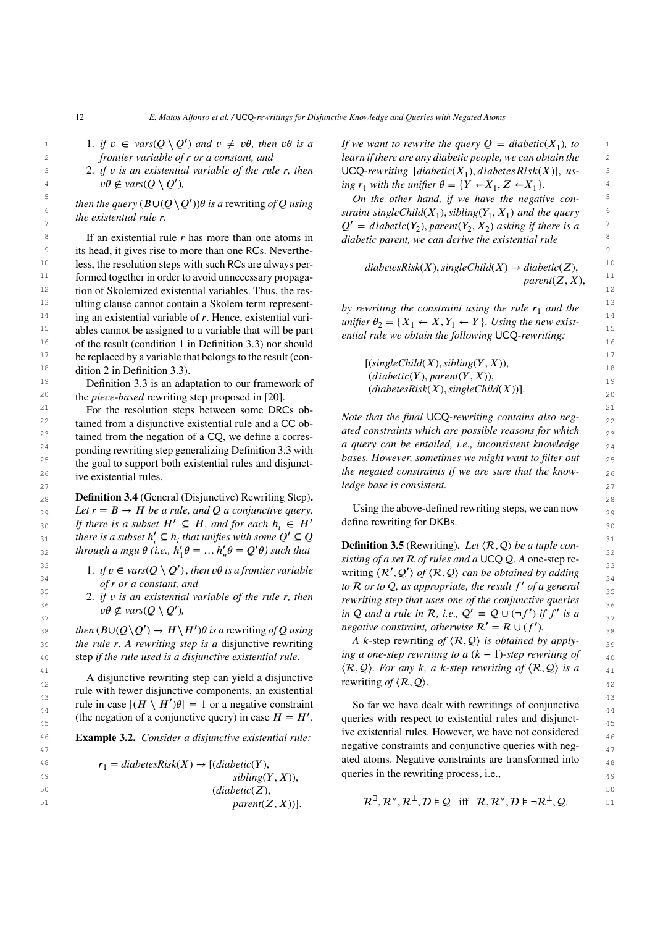1. *if*  $v \in \text{vars}(Q \setminus Q')$  and  $v \neq v\theta$ , then  $v\theta$  is a *frontier variable of r or a constant, and* 

2. *if 𝑣 is an existential variable of the rule 𝑟, then*  $v\theta \notin \text{vars}(Q \setminus Q'),$ 

 $\sum_{k=1}^{\infty}$  *straint singleChild*(*X*<sub>1</sub>), *sibling*(*Y*<sub>1</sub>, *X*<sub>1</sub>) and the query *then the query*  $(B\cup (Q\,\backslash\,Q'))\theta$  *is a* rewriting *of*  $Q$  *using the existential rule r.* 

<sup>8</sup> If an existential rule *r* has more than one atoms in *diabetic parent, we can derive the existential rule* <sup>9</sup> its head, it gives rise to more than one RCs. Neverthe-<sup>10</sup> less, the resolution steps with such RCs are always per-<br>diabetesRisk(X), singleChild(X)  $\rightarrow$  diabetic(Z). <sup>11</sup> formed together in order to avoid unnecessary propaga-<br><sup>11</sup> https://www.formed.org/communications/integrations/integrations/integrations/integrations/integrations/integrations/integrations/integrations/integrations/i <sup>12</sup> tion of Skolemized existential variables. Thus, the res-<br><sup>12</sup> <sup>13</sup> ulting clause cannot contain a Skolem term represent-<br>*hy rewriting the constraint using the rule r, and the* <sup>14</sup> ing an existential variable of *r*. Hence, existential vari-<br> $unifier \beta_2 = \{X_i \leftarrow X \mid Y_i \leftarrow Y\}$  Using the new exist-<sup>15</sup> ables cannot be assigned to a variable that will be part *antique we obtain the following* LICO-rewriting: <sup>16</sup> of the result (condition 1 in Definition [3.3\)](#page-10-3) nor should <sup>17</sup> be replaced by a variable that belongs to the result (con-<br> $[(\text{singleChild}(Y), \text{silting}(Y, Y))$ 18 dition 2 in Definition [3.3\)](#page-10-3).

19 **Definition [3.3](#page-10-3)** is an adaptation to our framework of  $\begin{array}{c} \text{(diphotosPisk(Y) single-child(Y))}\end{array}$  19 <sup>20</sup> the *piece-based* rewriting step proposed in [\[20\]](#page-23-2).  $\frac{1}{20}$ 

<sup>21</sup> For the resolution steps between some DRCs ob-<br> $N_{\text{obs}}$  that the first UCO magnitius expression also necessary  $^{22}$  tained from a disjunctive existential rule and a CC ob-<br> $^{22}$  tained from a disjunctive existential rule and a CC ob- $\frac{23}{2}$  tained from the negation of a CO we define a corres-<br><sup>23</sup> tained from the negation of a CO we define a corres-<sup>24</sup> ponding rewriting step generalizing Definition [3.3](#page-10-3) with  $\frac{a}{l}$  query can be entailed, i.e., inconsistent knowledge <sup>25</sup> the goal to support both existential rules and disjunct bases. However, sometimes we might want to filter out <sup>26</sup> ive existential rules with the constraints if we are sure that the know-<br><sup>26</sup> ive existential rules tained from the negation of a CQ, we define a corresthe goal to support both existential rules and disjunctive existential rules.

28 28 **Definition 3.4** (General (Disjunctive) Rewriting Step)**.** 29 Let  $r = B \rightarrow H$  be a rule, and Q a conjunctive query. Using the above-defined rewriting steps, we can now  $\frac{29}{3}$ 30 *If there is a subset*  $H' \subseteq H$ *, and for each*  $h_i \in H'$  define rewriting for DKBs. 31 there is a subset  $h'_i \subseteq h_i$  that unifies with some  $Q' \subseteq Q$  **Definition 3.5** (Rewriting) Let  $(R, Q)$  be a tuple con-

- *of 𝑟 or a constant, and*
- $v\theta \notin \text{vars}(Q \setminus Q'),$

38 *then*  $(B \cup (Q \setminus Q') \to H \setminus H')\theta$  is a rewriting of Q using negative constraint, otherwise  $\mathcal{R}' = \mathcal{R} \cup (f')$ . 39 the rule r. A rewriting step is a disjunctive rewriting  $A$  k-step rewriting of  $(R, Q)$  is obtained by apply-

A disjunctive rewriting step can yield a disjunctive<br>  $\frac{1}{42}$  rewriting of  $\langle R, Q \rangle$ . rule with fewer disjunctive components, an existential  $\frac{2}{3}$ rule in case  $|(H \setminus H')\theta| = 1$  or a negative constraint So far we have dealt with rewritings of conjunctive rule in case  $|(H \setminus H')\theta| = 1$  or a negative constraint (the negation of a conjunctive query) in case  $H = H'$ .

$$
sibling(Y, X)),
$$

 $(diabetic(Z),$  50  $parent(Z, X))$ ].

1 if  $v \in \text{vars}(Q \setminus Q')$  and  $v \neq v\theta$ , then  $v\theta$  is a *If we want to rewrite the query*  $Q = \text{diabetic}(X_1)$ , to 2 2 *learn if there are any diabetic people, we can obtain the* 3 2. if v is an existential variable of the rule r, then  $UCQ$ -rewriting  $[diabetic(X_1), diabetesRisk(X)], us-$ 4  $\qquad \qquad \text{if } \theta \notin \text{vars}(Q \setminus Q'), \qquad \qquad \text{if } \theta \in \{Y \leftarrow X_1, Z \leftarrow X_1\}.$ 

<sup>5</sup> then the quary  $(B \cup (O \setminus O'))$  is a rewriting of Quaing 0n the other hand, if we have the negative con-<sup>5</sup>  $Q' = diabetic(Y_2), parent(Y_2, X_2)$  asking if there is a<sup>7</sup> *diabetic parent, we can derive the existential rule*

$$
diabetesRisk(X), singleChild(X) \rightarrow diabetic(Z),
$$
  
parent(Z, X),

*by rewriting the constraint using the rule*  $r_1$  *and the unifier*  $\theta_2 = \{X_1 \leftarrow X, Y_1 \leftarrow Y\}$ *. Using the new existential rule we obtain the following UCQ-rewriting:* 

 $[(singleChild(X), sibling(Y, X)),$  $(diabetic(Y), parent(Y, X)).$  $(diabetesRisk(X), singleChild(X))$ ].

27 27 *ledge base is consistent. Note that the final UCO-rewriting contains also nega query can be entailed, i.e., inconsistent knowledge*

> Using the above-defined rewriting steps, we can now define rewriting for DKBs.

 $\mathcal{L}_{32}$  through a mgu  $\theta$  (i.e.,  $h'_1 \theta = ... h'_n \theta = Q' \theta$ ) such that **Definition 3.5** (Rewriting). Let  $(R, Q)$  be a tuple con-<br>sisting of a set R of rules and a LICO O. A one-step re-33 1. *if*  $v \in \text{vars}(Q \setminus Q')$ , then  $v\theta$  is a frontier variable writing  $\langle R', Q' \rangle$  of  $\langle R, Q \rangle$  can be obtained by adding 33 1. if  $v \in \text{vars}(Q \setminus Q')$ , then  $v\theta$  is a frontier variable writing  $\langle R', Q' \rangle$  of  $\langle R, Q \rangle$  can be obtained by adding  $\frac{33}{34}$ <sup>35</sup><br>2. *if v* is an existential variable of the rule *r*, then *is rewriting step that uses one of the conjunctive queries* 36 36 *rewriting step that uses one of the conjunctive queries*  $\frac{\partial^2}{\partial x^2}$   $\qquad \qquad \nu\theta \notin vars(Q \setminus Q'),$   $\qquad \qquad \text{in } Q \text{ and a rule in } R, \text{ i.e., } Q' = Q \cup (\neg f') \text{ if } f' \text{ is a }$ **Definition 3.5** (Rewriting). Let  $\langle R, Q \rangle$  be a tuple con*sisting of a set*  $R$  *of rules and a* UCQ  $Q$ *. A* one-step re*to*  $R$  *or to*  $Q$ *, as appropriate, the result*  $f'$  *of a general negative constraint, otherwise*  $R' = R \cup (f')$ .

40  $\frac{1}{40}$  step if the rule used is a disjunctive existential rule.  $\frac{1}{40}$  ane-step rewriting to a  $(k-1)$ -step rewriting of  $\langle R,Q \rangle$ *. For any k*, a *k*-step rewriting of  $\langle R,Q \rangle$  is a *A k*-step rewriting *of*  $\langle R, Q \rangle$  *is obtained by applying a one-step rewriting to a*  $(k - 1)$ *-step rewriting of* rewriting *of*  $\langle R, Q \rangle$ .

(the negation of a conjunctive query) in case  $H = H'$ . queries with respect to existential rules and disjunct-46 46 **Example 3.2.** *Consider a disjunctive existential rule:*  $\frac{1}{47}$   $\frac{1}{47}$  and  $\frac{1}{47}$  are  $\frac{1}{47}$  are  $\frac{1}{47}$  are  $\frac{1}{47}$  are  $\frac{1}{47}$  are  $\frac{1}{47}$  are  $\frac{1}{47}$  are  $\frac{1}{47}$  are  $\frac{1}{47}$  are  $\frac{1}{47}$  are  $\frac{1}{47}$  are  $\frac{1}{47}$  are  $\frac{1}{47}$  are  $r_1 = \text{diabetesRisk}(X) \rightarrow \left[\text{(diabetic}(Y), \right]$  are atoms. Negative constraints are transformed into  $r_1 = \text{diabetesRisk}(X) \rightarrow \left[\text{(diabetic}(Y), \right]$  $\text{sibling}(Y, X)$  queries in the rewriting process, i.e., ive existential rules. However, we have not considered ated atoms. Negative constraints are transformed into

51  $\text{parent}(\mathbf{Z}, \mathbf{X})$ ],  $\mathbb{R}^{\mathbb{I}}, \mathbb{R}^{\vee}, \mathbb{R}^{\mathbb{L}}, \mathcal{D} \models \mathcal{Q} \text{ iff } \mathbb{R}, \mathbb{R}^{\vee}, \mathbb{D} \models \neg \mathbb{R}^{\mathbb{L}}, \mathcal{Q}.$  51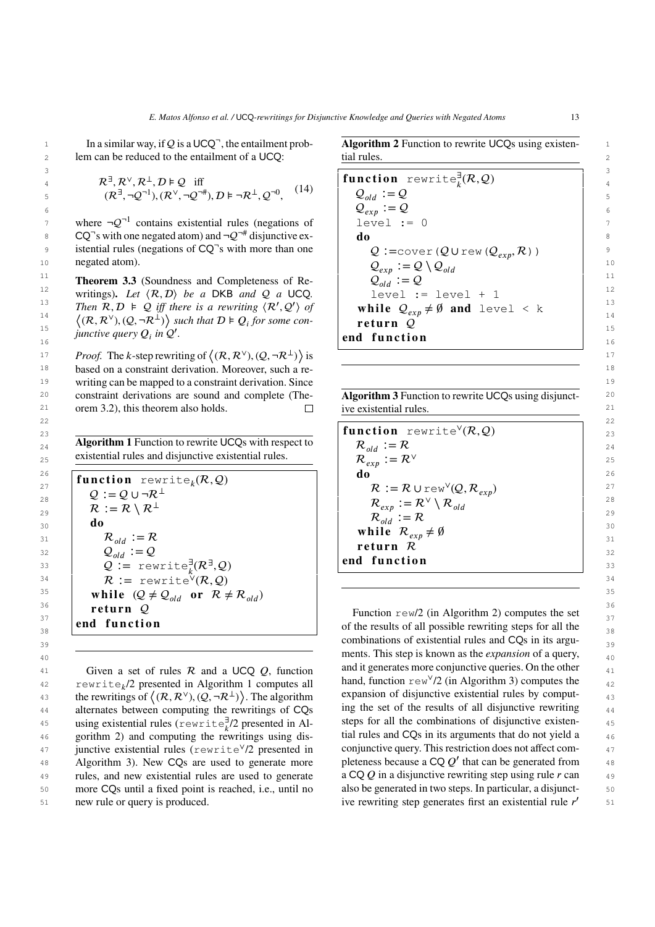2 2 lem can be reduced to the entailment of a 𝖴𝖢𝖰:

<span id="page-12-3"></span>
$$
\mathcal{R}^{\exists}, \mathcal{R}^{\vee}, \mathcal{R}^{\perp}, \mathcal{D} \models \mathcal{Q} \text{ iff} (\mathcal{R}^{\exists}, \neg \mathcal{Q}^{-1}), (\mathcal{R}^{\vee}, \neg \mathcal{Q}^{-\#}), \mathcal{D} \models \neg \mathcal{R}^{\perp}, \mathcal{Q}^{-0},
$$
(14)

8 CQ<sup>-</sup>s with one negated atom) and  $\neg Q^{\neg \#}$  disjunctive ex-<br> **do** 9 istential rules (negations of CQ<sup>-</sup>s with more than one  $Q := \text{cover}(Q \cup \text{rew}(Q_{\text{new}}, R))$ negated atom).

<sup>12</sup> writings). Let  $\langle R, D \rangle$  be a DKB and Q a UCQ. level := level + 1 *I*<sup>3</sup> *Then*  $\overline{R}$ ,  $\overline{D}$   $\models$  Q iff there is a rewriting  $\langle R', Q' \rangle$  of while  $Q_{\rho_{\rm YD}} \neq \emptyset$  and level < k  $\frac{13}{\rho_{\rm YD}}$  $\langle (R, R^{\vee}), (Q, \neg R^{\perp}) \rangle$  such that D ⊧ Q<sub>i</sub> for some con-<br> **for some con-**<br> **for some con-**<br> **for some con-**<br> **for some con-**<br> **for some con-** $\frac{15}{2}$  *junctive query*  $Q_i$  *in*  $Q'$ .

*Proof.* The *k*-step rewriting of  $\langle (R, R^{\vee}), (Q, \neg R^{\perp}) \rangle$  is  $17$ 18 based on a constraint derivation. Moreover, such a re-<sup>19</sup> writing can be mapped to a constraint derivation. Since  $19$ <sup>20</sup> constraint derivations are sound and complete (The-**Algorithm 3** Function to rewrite UCQs using disjunct-<sup>20</sup> 21 orem [3.2\)](#page-10-4), this theorem also holds.  $\square$  ive existential rules. 21 constraint derivations are sound and complete (The-

**24 Algorithm 1** Function to rewrite UCQs with respect to  $\mathcal{R}_{old} := \mathcal{R}$   $\qquad \qquad$ 

```
33 \bigcup Q := \text{rewrite}^3(\mathcal{R}^3, Q) \bigcup \mathcal{C} and \mathcal{C} and \mathcal{C} and \bigcup 33
R := \text{rewrite}^{\mathcal{N}}(R, Q) 34
35 while (Q \neq Q_{old} or R \neq R_{old}) 35
\frac{36}{26} motion \OmegaQ := Q ∪ ¬ R<sup>⊥</sup>R := R \setminus R^{\perp}do
         \mathcal{R}_{old} := \mathcal{R}\mathcal{Q}_{old}^{S,cc} := Q
         Q \coloneqq \texttt{rewrite}_k^{\exists}(\mathcal{R}^{\exists}, Q)return Q
     end function
```
<span id="page-12-0"></span> $12 \text{ revrite}_k/2$  presented in Algorithm [1](#page-12-0) computes all hand, function rew  $\frac{7}{2}$  (in Algorithm 3) computes the the rewritings of  $((R, R^{\vee}), (Q, \neg R^{\perp}))$ . The algorithm expansion of disjunctive existential rules by comput- $44$  alternates between computing the rewritings of  $CQs$  ing the set of the results of all disjunctive rewriting  $44$ 45 using existential rules (rewrite<sup>∃</sup> $\frac{1}{k}$ /2 presented in Al-<br>(i.e. the part of the combinations of disjunctive existential and 50 properties that the part of the part of the part of the part of the part of the part 46 gorithm [2\)](#page-12-1) and computing the rewritings using dis-<br> $\frac{46}{46}$  and CQs in its arguments that do not yield a 47 junctive existential rules (rewrite<sup>∨</sup>/2 presented in conjunctive query. This restriction does not affect com-48 Algorithm [3\)](#page-12-2). New CQs are used to generate more pleteness because a CQ  $Q'$  that can be generated from  $\frac{48}{3}$ 49 rules, and new existential rules are used to generate a  $CQQ$  in a disjunctive rewriting step using rule r can 50 more CQs until a fixed point is reached, i.e., until no also be generated in two steps. In particular, a disjunct-51 new rule or query is produced. **i** ive rewriting step generates first an existential rule  $r'$  51 new rule or query is produced.

1 In a similar way, if Q is a UCQ<sup>-</sup>, the entailment prob-<br>**Algorithm 2** Function to rewrite UCQs using existen-**Algorithm 2** Function to rewrite UCOs using existential rules

 $\frac{1}{3}$  $\mathcal{R}^{\exists}, \mathcal{R}^{\vee}, \mathcal{R}^{\perp}, \mathcal{D} \models \mathcal{Q}$  iff  $\left| \begin{array}{ccc} \textbf{function} & \text{rewrite}_k^{\exists}(\mathcal{R}, \mathcal{Q}) \\ 0 & \text{otherwise} \end{array} \right|$ 5 5 6 6 7 where  $\neg Q^{-1}$  contains existential rules (negations of  $\Box$  level := 0 10 negated atom).  $Q_{exp} := Q \setminus Q_{old}$  <sup>10</sup> **11 Theorem 3.3** (Soundness and Completeness of Re-<br> $Q_{old}$  := Q 16 16  $\mathcal{Q}_{old} := \mathcal{Q}$  $Q_{exp}$  :=  $Q$  $level := 0$ **do**  $Q :=$ cover( $Q \cup$ rew( $Q_{exp}$ , $R$ ))  $Q_{old} := Q$ level := level + 1 **while**  $Q_{\text{exp}} \neq \emptyset$  and level < k return Q  $end$  function

<span id="page-12-2"></span><span id="page-12-1"></span>ive existential rules.

22  $\sim$  22 23 **function** rewrite  $\sqrt{(R,Q)}$  and  $\sqrt{(R,Q)}$  and  $\sqrt{(R,Q)}$  and  $\sqrt{(R,Q)}$  and  $\sqrt{(R,Q)}$  and  $\sqrt{(R,Q)}$  and  $\sqrt{(R,Q)}$  and  $\sqrt{(R,Q)}$  and  $\sqrt{(R,Q)}$  and  $\sqrt{(R,Q)}$  and  $\sqrt{(R,Q)}$  and  $\sqrt{(R,Q)}$  and  $\sqrt{(R,Q)}$  and  $\sqrt{(R,Q)}$  and  $\sqrt{(R,Q)}$  and  $\sqrt{($ 25 existential rules and disjunctive existential rules.<br>  $R_{\text{sym}}^{\text{out}} := \mathcal{R}^{\vee}$   $\qquad \qquad$  25  $\frac{26}{27}$  **function** rewrite<sub>k</sub>( $\overline{R}, \overline{Q}$ ) **do**<br> $\overline{R}$  :  $\overline{R}$  line  $\overline{N}(Q, \overline{R})$   $\overline{R}$  : 27  $\left[\begin{array}{cc} \text{P} & \text{P} \\ \text{P} & \text{P} \end{array}\right]$  **7**  $\left[\begin{array}{cc} \text{P} & \text{P} \\ \text{P} & \text{P} \end{array}\right]$  **7**  $\left[\begin{array}{cc} \text{P} & \text{P} \\ \text{P} & \text{P} \end{array}\right]$  27 28  $\mathbb{Z} \cdot \mathbb{Z} \cdot \mathbb{Z} \cdot \mathbb{Z} \cdot \mathbb{Z} \cdot \mathbb{Z} \cdot \mathbb{Z} \cdot \mathbb{Z} \cdot \mathbb{Z} \cdot \mathbb{Z} \cdot \mathbb{Z} \cdot \mathbb{Z} \cdot \mathbb{Z} \cdot \mathbb{Z} \cdot \mathbb{Z} \cdot \mathbb{Z} \cdot \mathbb{Z} \cdot \mathbb{Z} \cdot \mathbb{Z} \cdot \mathbb{Z} \cdot \mathbb{Z} \cdot \mathbb{Z} \cdot \mathbb{Z} \cdot \mathbb{Z} \cdot \mathbb{Z} \cdot \mathbb{Z} \cdot \mathbb{Z} \cdot \$ 29 29 *𝑜𝑙𝑑* ∶=  $\frac{30}{30}$   $\left| \begin{array}{ccc} 10 & 30 \\ 30 & 1 \end{array} \right|$   $\left| \begin{array}{ccc} 30 & 10 \\ 30 & 1 \end{array} \right|$   $\left| \begin{array}{ccc} 30 & 10 \\ 30 & 1 \end{array} \right|$ 31  $\kappa_{old} := \kappa$  31 32  $Q_{old} := Q$  32  $\mathcal{R}_{old}$  :=  $\mathcal{R}$  $\widetilde{\mathcal{R}}_{exp}^{in} := \mathcal{R}^{\vee}$ **do while**  $\mathcal{R}_{exp} \neq \emptyset$ return  $R$  $end$  function

**FULLER 1989 FULLER 1999 Function rew/2 (in Algorithm [2\)](#page-12-1) computes the set**  $\frac{37}{37}$  $\begin{bmatrix} 38 \end{bmatrix}$  **end function of the results of all possible rewriting steps for all the**  $\frac{39}{39}$  combinations of existential rules and CQs in its argu-<sup>40</sup> ments. This step is known as the *expansion* of a query, 41 Given a set of rules R and a UCQ Q, function and it generates more conjunctive queries. On the other  $\frac{41}{41}$ and it generates more conjunctive queries. On the other hand, function  $r \in \mathbb{W}^1/2$  (in Algorithm [3\)](#page-12-2) computes the expansion of disjunctive existential rules by computing the set of the results of all disjunctive rewriting steps for all the combinations of disjunctive existential rules and CQs in its arguments that do not yield a conjunctive query. This restriction does not affect completeness because a CQ Q' that can be generated from a CQ Q in a disjunctive rewriting step using rule *r* can also be generated in two steps. In particular, a disjunct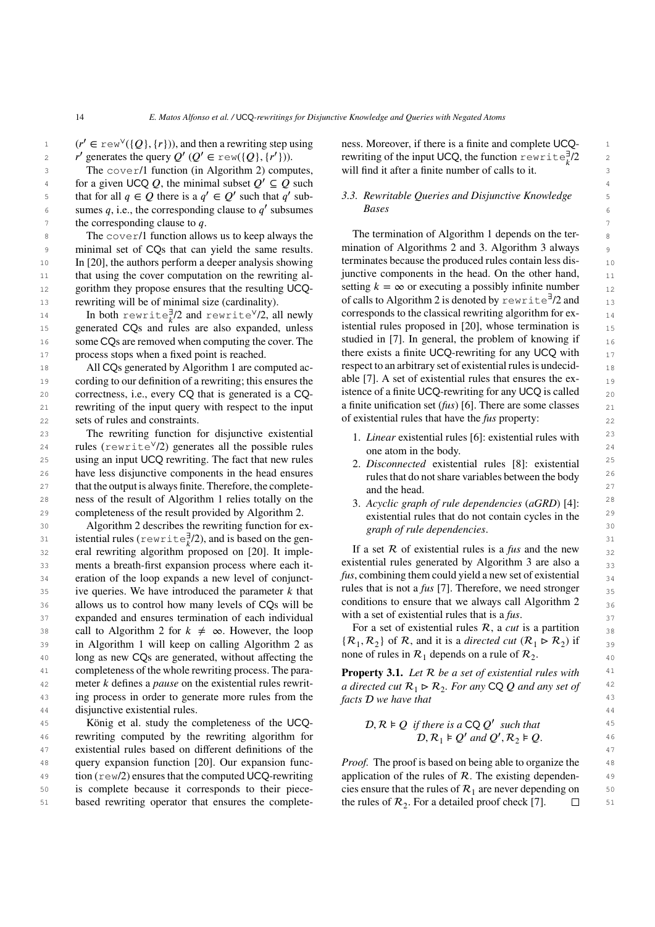$r'$  generates the query  $Q'$  ( $Q' \in \text{rew}(\{Q\}, \{r'\})$ ).

3 3 The cover/1 function (in Algorithm [2\)](#page-12-1) computes, 4 for a given  $\text{UCQ } Q$ , the minimal subset  $Q' \subseteq Q$  such  $\frac{4}{3}$ 5 that for all  $q \in Q$  there is a  $q' \in Q'$  such that  $q'$  sub-<br>3.3. Rewritable Queries and Disjunctive Knowledge  $6$  sumes *q*, i.e., the corresponding clause to *q'* subsumes *Bases bases* 7 the corresponding clause to *q*.

8 8 8 8 8 8 1 The cover/1 function allows us to keep always the The termination of Algorithm 1 depends on the ter-9 minimal set of CQs that can yield the same results. mination of Algorithms 2 and 3. Algorithm 3 always  $10$  In [\[20\]](#page-23-2), the authors perform a deeper analysis showing terminates because the produced rules contain less dis- $11$  that using the cover computation on the rewriting al-<br> $11$  junctive components in the head. On the other hand, 12 gorithm they propose ensures that the resulting UCQ-<br>setting  $k = \infty$  or executing a possibly infinite number

15 generated CQs and rules are also expanded, unless istential rules proposed in [20], whose termination is 15 16 some CQs are removed when computing the cover. The studied in [7]. In general, the problem of knowing if  $\frac{16}{16}$ 17 process stops when a fixed point is reached. there exists a finite UCQ-rewriting for any UCQ with 17

18 [1](#page-12-0)8 18 11 CQs generated by Algorithm 1 are computed ac-<br>18  $19$  cording to our definition of a rewriting; this ensures the able [7]. A set of existential rules that ensures the ex-20 correctness, i.e., every CQ that is generated is a CQ- istence of a finite UCQ-rewriting for any UCQ is called  $_{20}$ 21 rewriting of the input query with respect to the input a finite unification set  $(tus)$  [6]. There are some classes  $_{21}$ 22 22 of existential rules that have the *fus* property: sets of rules and constraints.

23 The rewriting function for disjunctive existential  $\frac{1}{2}$  *Linear* existential rules [6] existential rules with  $\frac{23}{2}$ 24 rules (rewrite $\frac{V}{2}$ ) generates all the possible rules can be holder the holder of the holder and the holder of the holder and the holder of the holder of the holder of the holder of the holder of the holder of the 25 using an input UCQ rewriting. The fact that new rules  $\sigma$  *Disconnected* existential rules [8] existential 25 <sup>26</sup> have less disjunctive components in the head ensures and rules that do not share variables between the hody 27 that the output is always finite. Therefore, the complete-<br>27 and the head 28 ness of the result of Algorithm [1](#page-12-0) relies totally on the  $\frac{3}{2}$  Acyclic graph of rule dependencies (aGRD) [4] 29 29 completeness of the result provided by Algorithm [2.](#page-12-1)

31 istential rules (rewrite $\epsilon_k^2/2$ ), and is based on the gen-<br><sup>16</sup> a set  $R$  of guidantial rules is a fix and the new sub- $32$  eral rewriting algorithm proposed on [\[20\]](#page-23-2). It imple-<br> $\frac{1}{2}$  a set R of existential rules is a *fus* and the new  $33$  ments a breath-first expansion process where each it-<br> $\frac{1}{3}$  existential rules generated by Algorithm 3 are also a  $34$  eration of the loop expands a new level of conjunct-<br> $\mu$ s, combining them could yield a new set of existential  $34$  $35$  ive queries. We have introduced the parameter *k* that **unity that is not a** *jus* [*I*]. Therefore, we need stronger  $35$  $36$  allows us to control how many levels of CQs will be conditions to ensure that we always call Algorithm 2  $36$  $37$  expanded and ensures termination of each individual with a set of existential rules that is a *jus*. 38 call to Algorithm [2](#page-12-1) for  $k \neq \infty$ . However, the loop For a set of existential rules R, a *cut* is a partition <sub>38</sub> 39 in Algorithm [1](#page-12-0) will keep on calling Algorithm [2](#page-12-1) as  $\{K_1, K_2\}$  of R, and it is a *directed cut*  $(K_1 \triangleright K_2)$  if  $\frac{1}{39}$  $40$  long as new CQs are generated, without affecting the none of rules in  $\kappa_1$  depends on a rule of  $\kappa_2$ . 41 completeness of the whole rewriting process. The para-<br>**Property 3.1.** Let R be a set of existential rules with  $\frac{41}{2}$ 42 meter *k* defines a *pause* on the existential rules rewrit-<br>*a* directed cut  $R_1 \triangleright R_2$ . For any CO *O* and any set of  $\frac{42}{5}$ <sup>43</sup> ing process in order to generate more rules from the *facts D we have that* <sup>43</sup> 44 44 disjunctive existential rules.

45 König et al. study the completeness of the UCQ-<br>  $D, R \models Q$  if there is a CQ Q' such that 46 rewriting computed by the rewriting algorithm for  $D, \mathcal{R}_1 \models Q'$  and  $Q', \mathcal{R}_2 \models Q$ . 47 47 existential rules based on different definitions of the 48 query expansion function [20]. Our expansion func-<br> *Proof.* The proof is based on being able to organize the 49 tion ( $r \in \mathbb{W}/2$ ) ensures that the computed UCQ-rewriting application of the rules of R. The existing dependen-50 is complete because it corresponds to their piece-<br>cies ensure that the rules of  $\mathcal{R}_1$  are never depending on 50 51 based rewriting operator that ensures the complete- the rules of  $\mathcal{R}_2$ . For a detailed proof check [7].  $\Box$  51 query expansion function [\[20\]](#page-23-2). Our expansion funcis complete because it corresponds to their piece-

1  $(r' \in \text{rew}^{\vee}(\{Q\}, \{r\}))$ , and then a rewriting step using ness. Moreover, if there is a finite and complete UCQ*r'* generates the query  $Q'$  ( $Q' \in \text{rew}(\{Q\}, \{r'\})$ ). rewriting of the input UCQ, the function rewrite $\frac{1}{k}/2$  2 ness. Moreover, if there is a finite and complete UCQwill find it after a finite number of calls to it.

# <span id="page-13-0"></span>*3.3. Rewritable Queries and Disjunctive Knowledge Bases*

13 13 13 13 13 rewriting will be of minimal size (cardinality). The of calls to Algorithm 2 is denoted by  $\text{rewrite}^{-1/2}$  and 14 In both rewrite<sup>∃</sup>/2 and rewrite<sup>∨</sup>/2, all newly corresponds to the classical rewriting algorithm for ex-<br>14 The termination of Algorithm [1](#page-12-0) depends on the termination of Algorithms [2](#page-12-1) and [3.](#page-12-2) Algorithm [3](#page-12-2) always terminates because the produced rules contain less disjunctive components in the head. On the other hand, setting  $k = \infty$  or executing a possibly infinite number of calls to Algorithm [2](#page-12-1) is denoted by rewrite<sup>∃</sup>/2 and corresponds to the classical rewriting algorithm for existential rules proposed in [\[20\]](#page-23-2), whose termination is studied in [\[7\]](#page-22-0). In general, the problem of knowing if there exists a finite UCQ-rewriting for any UCQ with respect to an arbitrary set of existential rules is undecidable [\[7\]](#page-22-0). A set of existential rules that ensures the existence of a finite UCQ-rewriting for any UCQ is called a finite unification set (*fus*) [\[6\]](#page-22-11). There are some classes

- 1. *Linear* existential rules [\[6\]](#page-22-11): existential rules with one atom in the body.
- 2. *Disconnected* existential rules [\[8\]](#page-22-12): existential rules that do not share variables between the body and the head.
- 30 Algorithm [2](#page-12-1) describes the rewriting function for ex-<br>30 3. *Acyclic graph of rule dependencies* (*aGRD*) [\[4\]](#page-22-10): existential rules that do not contain cycles in the *graph of rule dependencies*.

If a set  $R$  of existential rules is a *fus* and the new existential rules generated by Algorithm [3](#page-12-2) are also a *fus*, combining them could yield a new set of existential rules that is not a *fus* [\[7\]](#page-22-0). Therefore, we need stronger conditions to ensure that we always call Algorithm [2](#page-12-1) with a set of existential rules that is a *fus*.

For a set of existential rules  $R$ , a *cut* is a partition { $\mathcal{R}_1, \mathcal{R}_2$ } of  $\mathcal{R}$ , and it is a *directed cut* ( $\mathcal{R}_1 \triangleright \mathcal{R}_2$ ) if none of rules in  $\mathcal{R}_1$  depends on a rule of  $\mathcal{R}_2$ .

<span id="page-13-1"></span>**Property 3.1.** *Let be a set of existential rules with a directed cut*  $R_1 \triangleright R_2$ . For any CQ Q and any set of *facts*  $D$ *we have that* 

$$
D, R \models Q \text{ if there is a } CQ Q' \text{ such that} D, R_1 \models Q' \text{ and } Q', R_2 \models Q.
$$

application of the rules of  $R$ . The existing dependenthe rules of  $\mathcal{R}_2$ . For a detailed proof check [\[7\]](#page-22-0).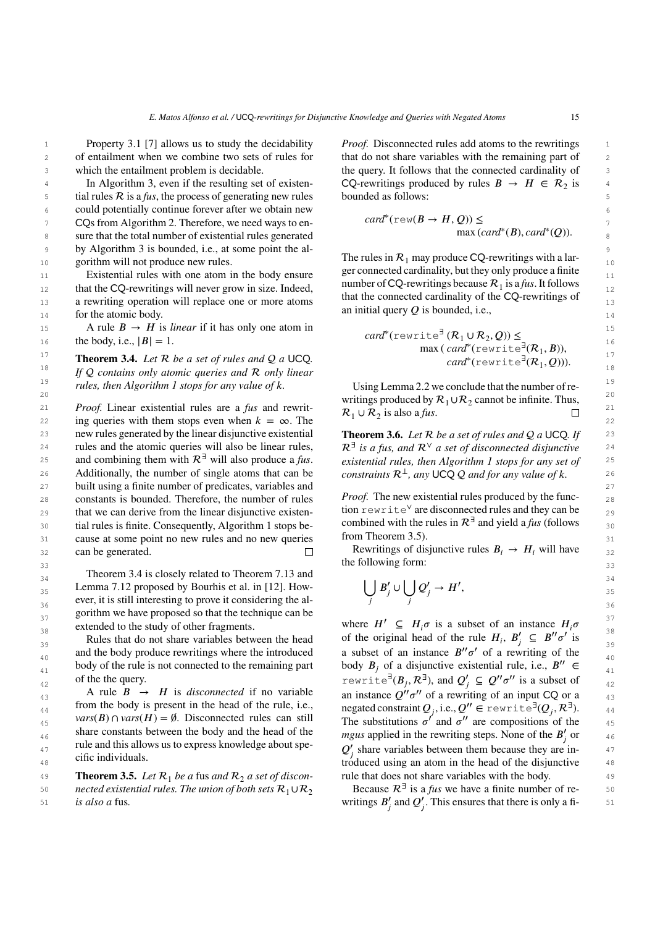<sup>1</sup> 1 Property 3.1 [7] allows us to study the decidability *Proof.* Disconnected rules add atoms to the rewritings 2 of entailment when we combine two sets of rules for that do not share variables with the remaining part of 2 3 3 the query. It follows that the connected cardinality of Property [3.1](#page-13-1) [\[7\]](#page-22-0) allows us to study the decidability of entailment when we combine two sets of rules for which the entailment problem is decidable.

5 tial rules  $\mathcal R$  is a *fus*, the process of generating new rules bounded as follows: 6 6 could potentially continue forever after we obtain new  $7 \text{ CQs from Algorithm 2. Therefore, we need ways to end: } \text{Card}'(\text{few}(B \to H, Q)) \leq 7$  $7 \text{ CQs from Algorithm 2. Therefore, we need ways to end: } \text{Card}'(\text{few}(B \to H, Q)) \leq 7$  $7 \text{ CQs from Algorithm 2. Therefore, we need ways to end: } \text{Card}'(\text{few}(B \to H, Q)) \leq 7$ 8 8 sure that the total number of existential rules generated 9 9 by Algorithm [3](#page-12-2) is bounded, i.e., at some point the al-10 10 gorithm will not produce new rules. In Algorithm [3,](#page-12-2) even if the resulting set of existen-

11 11 11 11 Existential rules with one atom in the body ensure the set connected cardinarity, but they only produce a finite 12 that the CQ-rewritings will never grow in size. Indeed,  $\frac{1}{2}$  that the CQ-rewritings because  $\kappa_1$  is a jus. It follows 13 **a rewriting operation will replace one or more atoms** that the connected cardinality of the CQ-rewritings of  $\frac{13}{13}$ 14 for the atomic body.  $14$  14 and  $14$  14 and  $14$  14 and  $14$  14 and  $14$  14 and  $14$  14 and  $14$  14 and  $14$  14 and  $14$  14 and  $14$  14 and  $14$  14 and  $14$  14 and  $14$  14 and  $14$  14 and  $14$  14 and  $14$  14 and  $14$ 

15 A rule  $B \to H$  is *linear* if it has only one atom in 16 the body, i.e.,  $|B| = 1$ . the body, i.e.,  $|B| = 1$ .

<span id="page-14-0"></span>**Theorem 3.4.** Let R be a set of rules and Q a UCQ.  $card^*(\text{rewrite}^{\exists}(R_1, O))).$ <sup>18</sup> If Q contains only atomic queries and R only linear *If*  $\frac{18}{200}$  *CONTING*  $\frac{18}{200}$ <sup>19</sup> *rules, then Algorithm [1](#page-12-0) stops for any value of k.* Using Lemma 2.2 we conclude that the number of re-

21 *Proof.* Linear existential rules are a *fus* and rewrit-<br> $P_{1,1}P_{2,1}P_{3,2}P_{4,3}P_{5,4}P_{6,5}P_{7,6}P_{8,7}P_{9,8}P_{10,7}P_{11}P_{12}P_{13}P_{14}P_{15,8}P_{16,8}P_{17,8}P_{18,8}P_{19,8}P_{10,8}P_{10,8}P_{11,8}P_{12,8}P_{13,8}P_{14,8}P$ 22 ing queries with them stops even when  $k = \infty$ . The  $\frac{1}{2}$  is the  $\frac{1}{2}$  state  $\frac{1}{2}$  and  $\frac{1}{2}$  and  $\frac{1}{2}$  and  $\frac{1}{2}$  and  $\frac{1}{2}$  and  $\frac{1}{2}$  and  $\frac{1}{2}$  and  $\frac{1}{2}$  and  $\frac{1}{2}$  and  $\frac{1}{2}$ 23 new rules generated by the linear disjunctive existential **Theorem 3.6.** Let R be a set of rules and Q a UCQ. If 23 z<sup>4</sup> rules and the atomic queries will also be linear rules,  $\mathbb{R}^3$  *is a fus, and*  $\mathbb{R}^{\vee}$  *a set of disconnected disjunctive*  $\frac{1}{24}$ 25 and combining them with  $\mathcal{R}^3$  will also produce a *fus.* existential rules, then Algorithm [1](#page-12-0) stops for any set of 25 26 Additionally, the number of single atoms that can be constraints  $\mathcal{R}^{\perp}$ , any UCQ Q and for any value of k. 26 27 27 built using a finite number of predicates, variables and 28 constants is bounded. Therefore, the number of rules  $Proof.$  The new existential rules produced by the func-29 that we can derive from the linear disjunctive existen tion rewrite' are disconnected rules and they can be 30 ial rules is finite. Consequently, Algorithm [1](#page-12-0) stops be-<br>combined with the rules in  $\mathcal{R}^2$  and yield a *jus* (follows  $\frac{30}{30}$ 31 cause at some point no new rules and no new queries from Theorem 3.5). 32 can be generated.  $\Box$  Rewritings of disjunctive rules  $B_i \rightarrow H_i$  will have  $\Box$ rules and the atomic queries will also be linear rules, and combining them with  $\mathcal{R}^{\exists}$  will also produce a *fus*. can be generated.

 $34 \text{ Theorem } 3.4 \text{ is closely related to Theorem } 7.13 \text{ and } 34$  $34 \text{ Theorem } 3.4 \text{ is closely related to Theorem } 7.13 \text{ and } 34$  $34 \text{ Theorem } 3.4 \text{ is closely related to Theorem } 7.13 \text{ and } 34$  $\lim_{35}$  Lemma 7.12 proposed by Bourhis et al. in [\[12\]](#page-22-9). How-<br>35  $36$  ever, it is still interesting to prove it considering the al-<br>36 37 37 where *𝐻*′ *⊆ 𝐻𝑖𝜎* is a subset of an instance *𝐻𝑖𝜎* gorithm we have proposed so that the technique can be extended to the study of other fragments.

and the body produce rewritings where the introduced a subset of an instance  $B''\sigma'$  of a rewriting of the body of the rule is not connected to the remaining part body  $B_j$  of a disjunctive existential rule, i.e.,  $B'' \in$ <sup>10</sup> Rules that do not share variables between the head and the body produce rewritings where the introduced body of the rule is not connected to the remaining part of the the query.

A rule  $B \to H$  is *disconnected* if no variable an instance  $Q'' \sigma''$  of a rewriting of an input CQ or a  $_{43}$ from the body is present in the head of the rule, i.e., negated constraint  $Q_j$ , i.e.,  $Q'' \in \text{rewrite}^{\exists} (Q_j, R^{\exists})$ .  $\langle u_{45} \rangle$   $\sim$   $vars(B) \cap vars(H) = \emptyset$ . Disconnected rules can still The substitutions  $\sigma'$  and  $\sigma''$  are compositions of the  $\sigma_{45}$ <sup>46</sup> share constants between the body and the head of the *mgus* applied in the rewriting steps. None of the  $B'_j$  or  $\frac{46}{9}$ <sup>47</sup> The and this allows us to express knowledge about spe-<br> $Q'_j$  share variables between them because they are in-<br> $q^2$ A rule  $B \rightarrow H$  is *disconnected* if no variable from the body is present in the head of the rule, i.e.,  $vars(B) \cap vars(H) = \emptyset$ . Disconnected rules can still share constants between the body and the head of the rule and this allows us to express knowledge about specific individuals.

<span id="page-14-1"></span>50 *nected existential rules. The union of both sets*  $R_1 \cup R_2$  Because  $R^{\exists}$  is a *fus* we have a finite number of re*is also a* fus*.*

4 In Algorithm 3, even if the resulting set of existen-<br>CQ-rewritings produced by rules  $B \to H \in \mathcal{R}_2$  is bounded as follows:

$$
card^*(\text{rew}(B \to H, Q)) \le \max (card^*(B), card^*(Q)).
$$

The rules in  $\mathcal{R}_1$  may produce CQ-rewritings with a larger connected cardinality, but they only produce a finite number of CQ-rewritings because  $\mathcal{R}_1$  is a *fus*. It follows that the connected cardinality of the CQ-rewritings of an initial query *Q* is bounded, i.e.,

$$
card^*(\text{rewrite}^{\exists} (R_1 \cup R_2, Q)) \le
$$
  
max(*card*<sup>\*</sup>(\text{rewrite}^{\exists} (R\_1, B)),  
*card*<sup>\*</sup>(\text{rewrite}^{\exists} (R\_1, Q))).

20<br>
20 21 Proof Linear existential rules are a five and reporting produced by  $\mathcal{R}_1 \cup \mathcal{R}_2$  cannot be infinite. Thus, Using Lemma [2.2](#page-4-2) we conclude that the number of re- $\mathcal{R}_1 \cup \mathcal{R}_2$  is also a *fus*.

> <span id="page-14-2"></span>**Theorem 3.6.** *Let*  $R$  *be a set of rules and*  $Q$  *a* UCQ. If *constraints*  $\mathcal{R}^{\perp}$ *, any* UCQ *Q and for any value of k.*

> *Proof.* The new existential rules produced by the function rewrite<sup>∨</sup> are disconnected rules and they can be combined with the rules in  $\mathcal{R}^{\exists}$  and yield a *fus* (follows from Theorem [3.5\)](#page-14-1).

 $\frac{133}{33}$  and  $\frac{1}{3}$  and  $\frac{1}{3}$  and  $\frac{1}{3}$  and  $\frac{1}{3}$  and  $\frac{1}{3}$  and  $\frac{1}{3}$  and  $\frac{1}{3}$  and  $\frac{1}{3}$  and  $\frac{1}{3}$  and  $\frac{1}{3}$  and  $\frac{1}{3}$  and  $\frac{1}{3}$  and  $\frac{1}{3}$  and  $\frac{1}{3}$  and  $\frac{1}{3}$ the following form:

$$
\bigcup_j B'_j \cup \bigcup_j Q'_j \to H',
$$

 $\frac{38}{38}$  calculate to the staty of other ragments. S<sup>38</sup><br>39 **Rules that do not share variables between the head of the original head of the rule**  $H_i$ **,**  $B'_j \subseteq B'' \sigma'$  **is**  $\begin{array}{ll}\n \text{if } \mathbf{a} \in \mathbb{R}^d, \\
 & \mathbf{a} \in \mathbb{R}^d, \\
 & \mathbf{b} \in \mathbb{R}^d, \\
 & \mathbf{c} \in \mathbb{R}^d, \\
 & \mathbf{c} \in \mathbb{R}^d, \\
 & \mathbf{c} \in \mathbb{R}^d, \\
 & \mathbf{d} \in \mathbb{R}^d, \\
 & \mathbf{d} \in \mathbb{R}^d, \\
 & \mathbf{e} \in \mathbb{R}^d, \\
 & \mathbf{e} \in \mathbb{R}^d, \\
 & \mathbf{e} \in \mathbb{R}^d$ <sup>48</sup> <sup>48</sup> <sup>troduced using an atom in the head of the disjunctive <sup>48</sup></sup> **Theorem 3.5.** Let  $\mathcal{R}_1$  be a fus and  $\mathcal{R}_2$  a set of discon-<br>rule that does not share variables with the body. rule that does not share variables with the body.

51 *is also a* fus.  $\qquad \qquad$  **b**  $\qquad \qquad$  **s**  $\qquad \qquad$  **b**  $\qquad \qquad$  **b**  $\qquad \qquad$  **b**  $\qquad \qquad$  **b**  $\qquad \qquad$  **b**  $\qquad \qquad$  **b**  $\qquad \qquad$  **b**  $\qquad \qquad$  **b**  $\qquad \qquad$  **fi**  $\qquad \qquad$  **b**  $\qquad \qquad$  **fi**  $\qquad \qquad$  **b**  $\qquad \qquad$  **fi**  $\q$ Because  $\mathcal{R}^{\exists}$  is a *fus* we have a finite number of re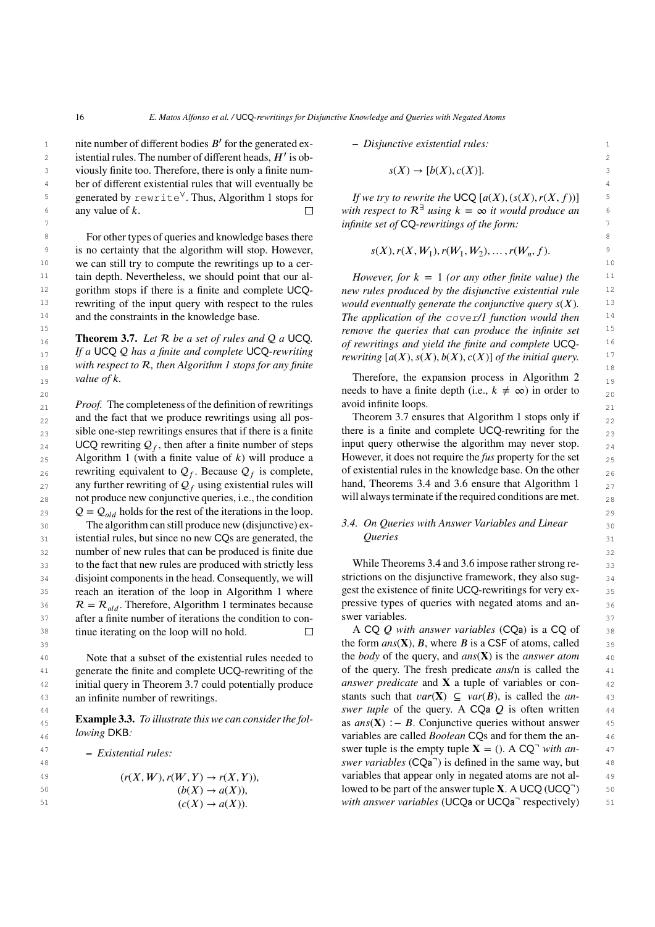1 ite number of different bodies *B'* for the generated ex-<br>1 **1** 2 istential rules. The number of different heads,  $H'$  is ob-3 viously finite too. Therefore, there is only a finite num-<br>  $s(X) \to [b(X), c(X)]$ . 4 4 ber of different existential rules that will eventually be 5 generated by rewrite Y. Thus, Algorithm [1](#page-12-0) stops for If we try to rewrite the UCQ  $[a(X), (s(X), r(X, f))]$  5 6 any value of k.  $□$  with respect to  $\mathcal{R}^{\exists}$  *using*  $k = ∞$  *it would produce an* any value of *k*.

8 8 For other types of queries and knowledge bases there <sup>9</sup> is no certainty that the algorithm will stop. However,  $s(X), r(X, W_1), r(W_1, W_2), \ldots, r(W_n, f)$ . <sup>10</sup> we can still try to compute the rewritings up to a cer-<br><sup>10</sup> <sup>11</sup> tain depth. Nevertheless, we should point that our al-<br>However, for  $k = 1$  (or any other finite value) the 12 gorithm stops if there is a finite and complete UCQ- new rules produced by the disjunctive existential rule  $12$ 13 rewriting of the input query with respect to the rules would eventually generate the conjunctive query  $s(X)$ . 13 and the constraints in the knowledge base.

<span id="page-15-1"></span>16 **11 1601 cm 3.1.** Let  $\kappa$  be a set of rules and  $\varphi$  a  $\upsilon \in \mathbb{C}$  of rewritings and yield the finite and complete UCQ-  $\frac{16}{5}$ 17 *rewriting*  $[a(X), s(X), b(X), c(X)]$  *of the initial query.* 17 *i i i with respect to*  $\mathcal{R}$ , *then Algorithm [1](#page-12-0) stops for any finite ightharrow is*  $\mu(\mathbf{A})$ ,  $\mu(\mathbf{A})$ ,  $\mu(\mathbf{A})$ ,  $\mu(\mathbf{A})$ ,  $\mu(\mathbf{A})$ ,  $\mu(\mathbf{A})$ ,  $\mu(\mathbf{A})$ ,  $\mu(\mathbf{A})$ ,  $\mu(\mathbf{A})$ ,  $\mu(\mathbf{A})$ ,  $\mu(\math$  $_{19}$  value of k.  $_{19}$  value of k. **Theorem 3.7.** *Let*  $R$  *be a set of rules and*  $Q$   $a$  UCQ. *If a* UCQ *Q* has a finite and complete UCQ-rewriting *value of k.* 

 $21$  *Proof.* The completeness of the definition of rewritings avoid infinite loops. 22 and the fact that we produce rewritings using all pos-<br>Theorem 3.7 ensures that Algorithm 1 stops only if  $\frac{22}{2}$ 23 ible one-step rewritings ensures that if there is a finite there is a finite and complete UCQ-rewriting for the  $_{23}$  $24$  UCQ rewriting  $Q_f$ , then after a finite number of steps input query otherwise the algorithm may never stop. 25 Algorithm [1](#page-12-0) (with a finite value of *k*) will produce a However, it does not require the *fus* property for the set  $\frac{25}{25}$ z<sub>6</sub> rewriting equivalent to  $Q_f$ . Because  $Q_f$  is complete, of existential rules in the knowledge base. On the other  $\frac{26}{5}$ 27 any further rewriting of  $Q_f$ <sup>t</sup> using existential rules will hand, Theorems 3.4 and 3.6 ensure that Algorithm 1 28 not produce new conjunctive queries, i.e., the condition will always terminate if the required conditions are met.  $Q = Q_{old}$  holds for the rest of the iterations in the loop. 29

 $_{30}$  The algorithm can still produce new (disjunctive) ex- 3.4. On Queries with Answer Variables and Linear  $_{30}$  $31$  istential rules, but since no new CQs are generated, the *Queries*  $31$ 32 32 number of new rules that can be produced is finite due 33 to the fact that new rules are produced with strictly less While Theorems 3.4 and 3.6 impose rather strong re-34 disjoint components in the head. Consequently, we will strictions on the disjunctive framework, they also sug-<sup>35</sup> reach an iteration of the loop in Algorithm [1](#page-12-0) where gest the existence of finite UCQ-rewritings for very ex- $36$   $\mathcal{R} = \mathcal{R}_{old}$ . Therefore, Algorithm [1](#page-12-0) terminates because pressive types of queries with negated atoms and an-37 after a finite number of iterations the condition to con-<br>37 38 tinue iterating on the loop will no hold.  $\Box$  A CQ Q with answer variables (CQa) is a CQ of 38 tinue iterating on the loop will no hold.

Note that a subset of the existential rules needed to an infinite number of rewritings.

**Example 3.3.** *To illustrate this we can consider the following* DKB:

**–** *Existential rules:*

$$
(r(X, W), r(W, Y) \to r(X, Y)),
$$
  
\n
$$
(b(X) \to a(X)),
$$
  
\n
$$
(c(X) \to a(X)).
$$

**–** *Disjunctive existential rules:*

$$
s(X) \to [b(X), c(X)].
$$

*infinite set of* **CQ-rewritings of the form:**  $\frac{1}{2}$ *If we try to rewrite the*  $UCQ[a(X), (s(X), r(X, f))]$ 

$$
s(X), r(X, W_1), r(W_1, W_2), \ldots, r(W_n, f).
$$

<sup>14</sup> and the constraints in the knowledge base. The application of the cover/I function would then <sup>14</sup> 15 15 *remove the queries that can produce the infinite set However, for*  $k = 1$  *(or any other finite value) the new rules produced by the disjunctive existential rule would eventually generate the conjunctive query*  $s(X)$ *.* 

 $20$  needs to have a finite depth (i.e.,  $k \neq \infty$ ) in order to  $20$ avoid infinite loops.

> Theorem [3.7](#page-15-1) ensures that Algorithm [1](#page-12-0) stops only if there is a finite and complete UCQ-rewriting for the input query otherwise the algorithm may never stop. However, it does not require the *fus* property for the set of existential rules in the knowledge base. On the other hand, Theorems [3.4](#page-14-0) and [3.6](#page-14-2) ensure that Algorithm [1](#page-12-0) will always terminate if the required conditions are met.

# <span id="page-15-0"></span>*3.4. On Queries with Answer Variables and Linear Queries*

While Theorems [3.4](#page-14-0) and [3.6](#page-14-2) impose rather strong restrictions on the disjunctive framework, they also suggest the existence of finite UCO-rewritings for very expressive types of queries with negated atoms and answer variables.

**the form** *ans***(<b>X**), *B*, where *B* is a CSF of atoms, called as 40 Note that a subset of the existential rules needed to the *body* of the query, and *ans*(**X**) is the *answer atom* 40 41 generate the finite and complete UCQ-rewriting of the of the query. The fresh predicate *ans*/n is called the  $\frac{41}{2}$ <sup>42</sup> initial query in Theorem [3.7](#page-15-1) could potentially produce *answer predicate* and **X** a tuple of variables or con-43 an infinite number of rewritings. Stants such that  $var(\mathbf{X}) \subseteq var(\mathbf{B})$ , is called the *an*-<sup>44</sup> *swer tuple* of the query. A CQa Q is often written 44 45 **Example 3.3.** *Io illustrate this we can consider the fol-* as  $ans(X) := B$ . Conjunctive queries without answer 45 <sup>46</sup> *lowing* DKB: *bloggeright A6 CO2 CO3 A6 CO3 A6 A6 A6 A6 A6 A6 A6 A6 A6 A6 A6 A6 A6 A6 A6 A6 A6 A6 A6 A6 A6*  $47$   $-$  *Existential rules*:  $47$  swer tuple is the empty tuple  $X = ($ ). A CQ<sup>-</sup> *with an-*  $47$ <sup>48</sup> Existence rates.<br>
<sup>48</sup> swer variables (CQa<sup>-</sup>) is defined in the same way, but  $(r(X, W), r(W, Y) \rightarrow r(X, Y)),$  variables that appear only in negated atoms are not al-50  $(b(X) \rightarrow a(X))$ , lowed to be part of the answer tuple **X**. A UCQ (UCQ<sup>-</sup>) 50  $(c(X) \rightarrow a(X))$ . with answer variables (**UCQa** or **UCQa**<sup> $\text{T}$ </sup> respectively) 51 of the query. The fresh predicate *ans*/n is called the *answer predicate* and **X** a tuple of variables or con-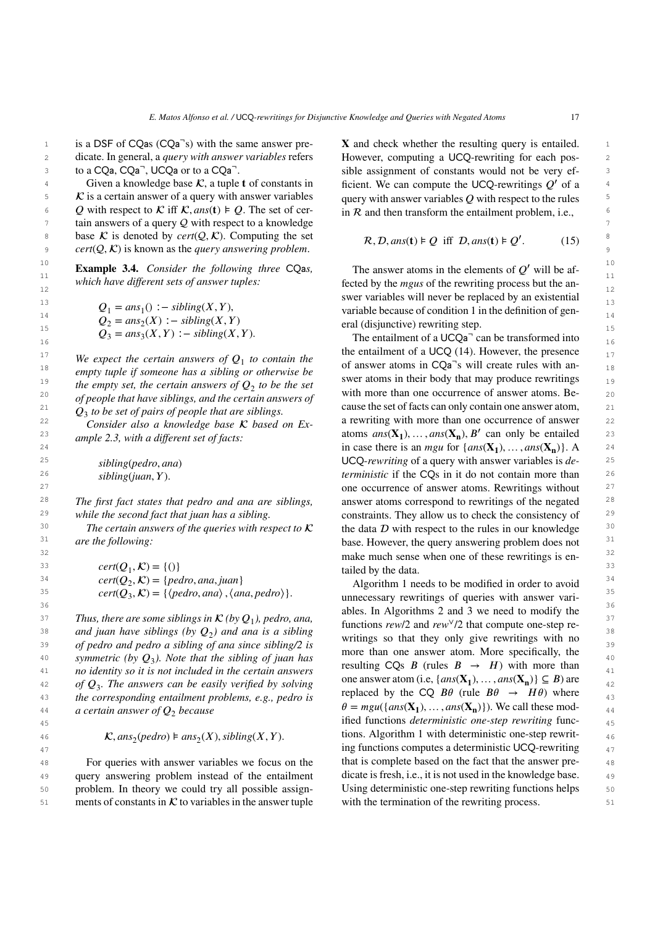2 2 dicate. In general, a *query with answer variables* refers to a CQa, CQa<sup>-</sup>, UCQa or to a CQa<sup>-</sup>.

4 Given a knowledge base  $\mathcal K$ , a tuple **t** of constants in ficient. We can compute the UCQ-rewritings  $Q'$  of a 4 5  $\kappa$  is a certain answer of a query with answer variables query with answer variables Q with respect to the rules 6 *Q* with respect to *K* iff *K*, *ans*(**t**)  $\models Q$ . The set of cer-<br>in *R* and then transform the entailment problem, i.e.,  $\frac{1}{7}$  tain answers of a query Q with respect to a knowledge 8 base *K* is denoted by *cert*(*Q, K*). Computing the set <br> **R** D ans(**t**)  $\in$  O iff D ans(**t**)  $\in$  O' (15)<sup>8</sup> 9 *cert*( $Q, K$ ) is known as the *query answering problem*. Given a knowledge base  $K$ , a tuple **t** of constants in  $\mathcal K$  is a certain answer of a query with answer variables

*which have different sets of answer tuples:*

| $Q_1 = ans_1() := sibling(X, Y),$      |
|----------------------------------------|
| $Q_2 = ans_2(X)$ : - sibling(X, Y)     |
| $Q_3 = ans_3(X, Y)$ : - sibling(X, Y). |

We expect the certain answers of  $Q_1$  to contain the<br><sup>18</sup> of answer atoms in  $CQa$ <sup>-</sup>s will create rules with an- $\frac{19}{12}$  the applies of the angular set of the set of the set of the set of the set of the set of the set of the set of the set of the set of the set of the set of the set of the set of the set of the set of the set of 20  $\alpha$  frequence than  $\alpha$  20  $\alpha$  20  $\alpha$  20  $\alpha$  20  $\alpha$  20  $\alpha$  20  $\alpha$  20  $\alpha$  20  $\alpha$  20  $\alpha$  20  $\alpha$  20  $\alpha$  20  $\alpha$  20  $\alpha$  20  $\alpha$  20  $\alpha$  20  $\alpha$  20  $\alpha$  20  $\alpha$  20  $\alpha$  20  $\alpha$  20  $\alpha$  20  $\alpha$  20  $\alpha$  20  $\alpha$  2  $21$   $\alpha$  to be set of pairs of people that are siblings.<br>Cause the set of facts can only contain one answer atom, *empty tuple if someone has a sibling or otherwise be the empty set, the certain answers of*  $Q_2$  *to be the set of people that have siblings, and the certain answers of 𝑄*3 *to be set of pairs of people that are siblings.*

*Consider also a knowledge base based on Example [2.3,](#page-7-8) with a different set of facts:*

> *sibling*(*pedro, ana*)  $sibling(iuan, Y)$ .

*while the second fact that juan has a sibling.*

*are the following:*

 $cert(Q_2, \mathcal{K}) = \{pedro, ana, Juan\}$ 

38 and juan have siblings (by  $Q_2$ ) and ana is a sibling<br>writings so that they only give rewritings with no 39 39 *of pedro and pedro a sibling of ana since sibling/2 is* <sup>40</sup> symmetric (by  $Q_3$ ). Note that the sibling of juan has<br>resulting  $\overline{C}$   $\overline{C}$   $\overline{R}$  (rules  $\overline{R}$   $\rightarrow$  H) with more than 41 *no identity so it is not included in the certain answers* **1. Increase 1.1** *no identity so it is not included in the certain answers* 42 of  $Q_3$ . The answers can be easily verified by solving<br>**only only and hunter CO**,  $P_0$  (mln,  $P_0$ ),  $P_1$  where 43 the corresponding entailment problems, e.g., pedro is replaced by the  $CQ$  *BU* (fulle  $BU \rightarrow HU$ ) where  $\frac{43}{3}$ 44 *a certain answer of O<sub>2</sub> because*  $\theta = \text{mgu}(\{\text{ans}(\mathbf{X}_1), ..., \text{ans}(\mathbf{X}_n)\})$ . We call these mod*a certain answer of 𝑄*<sup>2</sup> *because*

48 For queries with answer variables we focus on the that is complete based on the fact that the answer pre-49 query answering problem instead of the entailment dicate is fresh, i.e., it is not used in the knowledge base. 50 problem. In theory we could try all possible assign-<br>Using deterministic one-step rewriting functions helps 50 51 ments of constants in  $\kappa$  to variables in the answer tuple with the termination of the rewriting process.

1 is a DSF of CQas (CQa<sup>-</sup>s) with the same answer pre-<br> $X$  and check whether the resulting query is entailed. <sup>3</sup> to a CQa, CQa<sup>-</sup>, UCQa or to a CQa<sup>-</sup>. Sible assignment of constants would not be very ef-**X** and check whether the resulting query is entailed. However, computing a UCQ-rewriting for each posin  $R$  and then transform the entailment problem, i.e.,

$$
R, D, ans(t) \models Q \text{ iff } D, ans(t) \models Q'. \tag{15}
$$

**Example 3.4.** *Consider the following three* CQas, The answer atoms in the elements of  $Q'$  will be af-**Example 3.4.** Consider the following three CQas, The answer atoms in the elements of  $Q'$  will be af*n* 12 *which have different sets of answer tuples:* **fected by the** *mgus* of the rewriting process but the an-13 13 swer variables will never be replaced by an existential  $Q_1 = ans_1() := subung(X, Y),$ <br>
variable because of condition 1 in the definition of gen- $Q_2 = ans_2(X)$ :  $-sibling(X, I)$  eral (disjunctive) rewriting step.

 $Q_3 = ans_3(X, Y)$ :  $-sibling(X, Y)$ . The entailment of a  $UCQa$ <sup>-</sup> can be transformed into <sup>17</sup> We expect the certain answers of  $Q_1$  to contain the the containing of a  $\frac{17}{2}$  of answer atoms in  $\frac{17}{2}$  will create rules with an-22  $\sim$  Consider also a knowledge hase  $\mathcal{E}$  hased on  $\mathcal{E}$  a rewriting with more than one occurrence of answer 22 23 ample 2.3, with a different set of facts: **ans**  $ans(X_1), ..., ans(X_n), B'$  can only be entailed 23  $24$  in case there is an *mgu* for  $\{ans(\mathbf{X}_1), ..., ans(\mathbf{X}_n)\}\$ . A  $24$ <sup>25</sup> a subling (pedro, and) and the same of the CO-rewriting of a query with answer variables is *de-*  $^{25}$ <sup>26</sup> *sibling(juan, Y).*  $\blacksquare$ <sup>26</sup> *terministic* if the CQs in it do not contain more than 27 27 one occurrence of answer atoms. Rewritings without <sup>28</sup> *The first fact states that pedro and ana are siblings,* answer atoms correspond to rewritings of the negated <sup>29</sup> while the second fact that juan has a sibling. constraints. They allow us to check the consistency of <sup>29</sup> <sup>30</sup> *The certain answers of the queries with respect to*  $\mathcal{K}$  the data D with respect to the rules in our knowledge <sup>30</sup>  $31$  are the following:  $31$  base. However, the query answering problem does not  $31$ 32 32 make much sense when one of these rewritings is en $cert(Q_1, \mathcal{K}) = \{()\}$  and tailed by the data. the entailment of a  $UCQ$  [\(14\)](#page-12-3). However, the presence answer atoms correspond to rewritings of the negated the data  $D$  with respect to the rules in our knowledge tailed by the data.

<sup>34</sup>  $cert(Q_2, \mathcal{K}) = \{pedro, ana, Juan\}$  Algorithm [1](#page-12-0) needs to be modified in order to avoid <sup>34</sup>  $\text{card}(Q_3, \mathcal{K}) = \{ \langle \text{pedro}, \text{ana} \rangle, \langle \text{ana}, \text{pedro} \rangle \}.$ <br>
unnecessary rewritings of queries with answer vari- $\frac{36}{2}$  36 ables. In Algorithms [2](#page-12-1) and [3](#page-12-2) we need to modify the  $\frac{36}{2}$ <sup>37</sup> *Thus, there are some siblings in*  $\mathcal{K}(byQ_1)$ , pedro, ana,  $\frac{1}{2}$  functions  $\frac{1}{2}$  and  $\frac{1}{2}$  and  $\frac{1}{2}$  and  $\frac{1}{2}$  and  $\frac{1}{2}$  and  $\frac{1}{2}$  and  $\frac{1}{2}$  and  $\frac{1}{2}$  and  $\frac{1}{2}$  and  $\frac{1}{2$ 45 45 ified functions *deterministic one-step rewriting* func-46  $\kappa$ , *ans*<sub>2</sub>(*pedro*) **⊧** *ans*<sub>2</sub>(*X*), *sibling*(*X*, *Y*). tions. Algorithm 1 with deterministic one-step rewrit-<sup>47</sup> <sup>47</sup> **ing functions computes a deterministic UCQ-rewriting** unnecessary rewritings of queries with answer varifunctions *rew*/2 and *rew*<sup>∨</sup>/2 that compute one-step rewritings so that they only give rewritings with no more than one answer atom. More specifically, the resulting  $CQs$  *B* (rules  $B \rightarrow H$ ) with more than one answer atom (i.e,  $\{ans(\mathbf{X}_1), \ldots, ans(\mathbf{X}_n)\} \subseteq B$ ) are replaced by the  $CQ$   $B\theta$  (rule  $B\theta \rightarrow H\theta$ ) where tions. Algorithm [1](#page-12-0) with deterministic one-step rewritthat is complete based on the fact that the answer predicate is fresh, i.e., it is not used in the knowledge base. Using deterministic one-step rewriting functions helps with the termination of the rewriting process.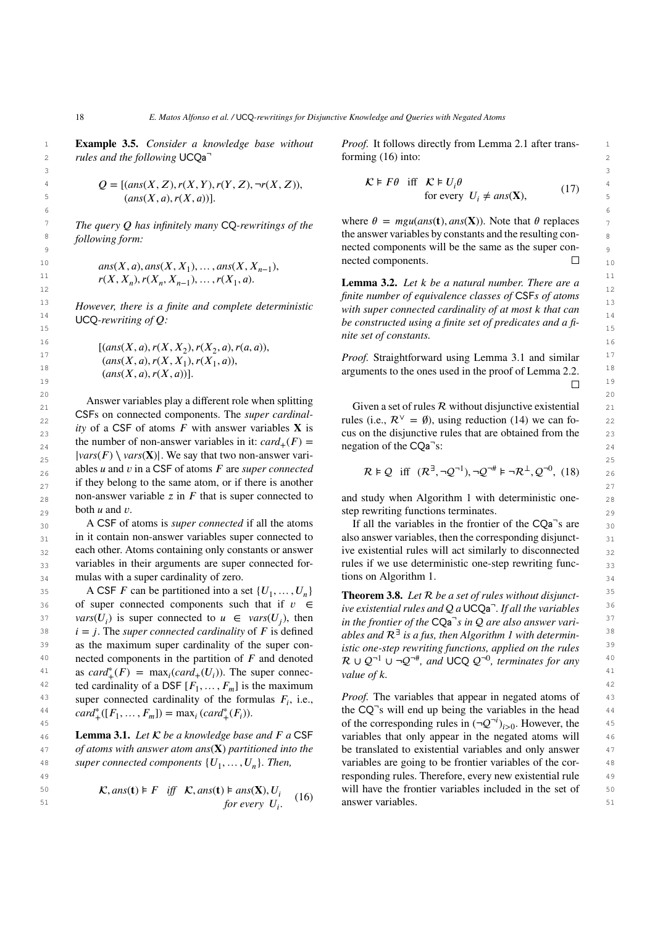1 1 **Example 3.5.** *Consider a knowledge base without* 2 *rules and the following* UCQa<sup>-1</sup> *Parameters of the forming* (16) into:

$$
Q = [(ans(X, Z), r(X, Y), r(Y, Z), \neg r(X, Z)), (ans(X, a), r(X, a))].
$$

*following form:*

*ans*(X, a), *ans*(X, X<sub>1</sub>), ..., *ans*(X, X<sub>n-1</sub>),  

$$
r(X, X_n), r(X_n, X_{n-1}), ..., r(X_1, a).
$$

 $14$  1100 munitipe of O<sub>t</sub> 𝖴𝖢𝖰*-rewriting of 𝑄:*

$$
[(ans(X, a), r(X, X_2), r(X_2, a), r(a, a)),
$$
\n
$$
(ans(X, a), r(X, X_1), r(X_1, a)),
$$
\n
$$
(ans(X, a), r(X, X_1), r(X_1, a)),
$$
\n
$$
(ans(X, a), r(X, A_1))
$$
\n
$$
[S(ans(X, a), r(X, A_1), r(X_1, a))]
$$
\n
$$
[S(ans(X, a), r(X, A_1), r(X_1, a))]
$$
\n
$$
[S(ans(X, a), r(X, A_1), r(X_1, a))]
$$
\n
$$
[S(ans(X, a), r(X, A_1), r(X_1, a))]
$$
\n
$$
[S(ans(X, a), r(X, A_1), r(X_1, a))]
$$
\n
$$
[S(ans(X, a), r(X, a))]
$$
\n
$$
[S(ans(X, a), r(X, a))]
$$
\n
$$
[S(ans(X, a), r(X, a))]
$$
\n
$$
[S(ans(X, a), r(X, a))]
$$
\n
$$
[S(ans(X, a), r(X, a))]
$$
\n
$$
[S(ans(X, a), r(X, a))]
$$
\n
$$
[S(ans(X, a), r(X, a))]
$$
\n
$$
[S(ans(X, a), r(X, a))]
$$
\n
$$
[S(ans(X, a), r(X, a))]
$$
\n
$$
[S(ans(X, a), r(X, a))]
$$
\n
$$
[S(ans(X, a), r(X, a))]
$$
\n
$$
[S(ans(X, a), r(X, a))]
$$
\n
$$
[S(ans(X, a), r(X, a))]
$$
\n
$$
[S(ans(X, a), r(X, a))]
$$
\n
$$
[S(ans(X, a), r(X, a))]
$$
\n
$$
[S(ans(X, a), r(X, a))]
$$
\n
$$
[S(ans(X, a), r(X, a))]
$$
\n
$$
[S(ans(X, a), r(X, a))]
$$
\n
$$
[S(ans(X, a), r(X, a))]
$$
\n
$$
[S(ans(X, a), r(X, a))]
$$
\n
$$
[S(ans(X, a), r(X, a))]
$$
\n
$$
[
$$

20 20 Answer variables play a different role when splitting 21 Answer variables play a different role when splitting Given a set of rules R without disjunctive existential 21 22 CSFs on connected components. The *super cardinal* rules (i.e.,  $\mathcal{R}^{\vee} = \emptyset$ ), using reduction [\(14\)](#page-12-3) we can fo- $23$  and  $22$  and  $23$  cus on the disjunctive rules that are obtained from the  $23$ the number of non-answer variables in it:  $card_+(F) =$  negation of the CQa<sup>-</sup>s: 24  $|vars(F) \setminus vars(\mathbf{X})|$ . We say that two non-answer variables *u* and *v* in a CSF of atoms *F* are *super connected*  $R \models Q$  iff  $(R^{\exists}, \neg Q^{\neg 1}), \neg Q^{\neg \#} \models \neg R^{\perp}, Q^{\neg 0}, (18)$  26  $27$  if they belong to the same atom, or if there is another 28 non-answer variable z in F that is super connected to and study when Algorithm [1](#page-12-0) with deterministic one-29 both *u* and *v*. 29 step rewriting functions terminates. CSFs on connected components. The *super cardinality* of a CSF of atoms  $F$  with answer variables  $X$  is the number of non-answer variables in it: *card*  $(F)$  = non-answer variable *z* in *F* that is super connected to both  $u$  and  $v$ .

30 A CSF of atoms is *super connected* if all the atoms If all the variables in the frontier of the CQa<sup>-</sup>s are <sub>30</sub>  $_{31}$  in it contain non-answer variables super connected to also answer variables, then the corresponding disjunct- $32$  each other. Atoms containing only constants or answer ive existential rules will act similarly to disconnected  $32$ 33 variables in their arguments are super connected for-<br>33 34 34 mulas with a super cardinality of zero.

35 A CSF F can be partitioned into a set  $\{U_1, \ldots, U_n\}$  **Theorem 3.8.** Let R be a set of rules without disjunct-36 of super connected components such that if  $v \in$  *ive existential rules and Q a*  $\text{LCOa}^{\text{2}}$  If all the variables  $\alpha$  *vars*( $U_i$ ) is super connected to  $u \in \text{vars}(U_j)$ , then in the frontier of the CO<sub>a</sub><sup>T</sup>s in Q are also answer vari-<sup>38</sup>  $i = j$ . The *super connected cardinality* of *F* is defined ables and  $R^{\exists}$  is a fus, then Algorithm 1 with determin-<sup>39</sup> as the maximum super cardinality of the super con-<br>istic one-step rewriting functions, applied on the rules 40 nected components in the partition of F and denoted  $R \cup Q^{-1} \cup \neg Q^{-\#}$ , and UCO  $Q^{-0}$ , terminates for any 41 as  $card^*_+(F) = \max_i (card_+(U_i))$ . The super connec-<br>value of k. <sup>42</sup> ted cardinality of a DSF  $[F_1, ..., F_m]$  is the maximum  $\frac{42}{\sqrt{3}}$ <sup>43</sup> super connected cardinality of the formulas  $F_i$ , i.e., *Proof.* The variables that appear in negated atoms of  $\frac{43}{2}$ <sup>44</sup>  $card^*([F_1, ..., F_m]) = \max_i (card^*(F_i)).$  the CQ<sup>-</sup>s will end up being the variables in the head <sup>44</sup> super connected cardinality of the formulas  $F_i$ , i.e.,  $card^*_+([F_1, ..., F_m]) = \max_i (card^*_+(F_i)).$ 

<span id="page-17-1"></span>**46 Lemma 3.1.** Let  $\kappa$  be a knowledge base and  $F$  a CSF variables that only appear in the negated atoms will 46 47 of atoms with answer atom ans(**X**) partitioned into the be translated to existential variables and only answer 47 48 *super connected components*  $\{U_1, \ldots, U_n\}$ . Then, variables are going to be frontier variables of the cor-**Lemma 3.1.** *Let*  $K$  *be a knowledge base and*  $F$   $a$  CSF  $super$  connected components  $\{U_1, \ldots, U_n\}$ . Then,

50 
$$
\mathcal{K}, ans(\mathbf{t}) \models F \text{ iff } \mathcal{K},ans(\mathbf{t}) \models ans(\mathbf{X}), U_i
$$
 will have the frontier variables included in the set of *for every*  $U_i$ .  
51.

*Proof.* It follows directly from Lemma [2.1](#page-4-1) after transforming [\(16\)](#page-17-0) into:

$$
Q = [(ans(X, Z), r(X, Y), r(Y, Z), \neg r(X, Z)), \qquad \mathcal{K} \models F\theta \text{ iff } \mathcal{K} \models U_i \theta
$$
  
\n
$$
(ans(X, a), r(X, a))]. \qquad \mathcal{K} \models F\theta \text{ iff } \mathcal{K} \models U_i \theta
$$
  
\nfor every  $U_i \neq ans(\mathbf{X}),$  (17)

*The query* Q has infinitely many  $CQ$ -rewritings of the where  $\theta = \text{mgu}(\text{ans}(t), \text{ans}(t))$ . Note that  $\theta$  replaces  $\frac{8}{10}$  following form: 9 9 nected components will be the same as the super con-10  $\cos(Y, a) \cos(Y, Y)$   $\cos(Y, Y)$  nected components. where  $\theta = \text{mgu}(\text{ans}(\mathbf{t}), \text{ans}(\mathbf{X}))$ . Note that  $\theta$  replaces

 $r(X, X_n), r(X_n, X_{n-1}), \ldots, r(X_1, a).$  **Lemma 3.2.** Let *k* be a natural number. There are a 12<br> *finite number of equivalence classes of* CSFs of atoms <sup>13</sup> 13 *However, there is a finite and complete deterministic* with super connected cardinality of at most k that can <sup>11</sup> **be constructed using a finite set of predicates and a fi-**<br><sup>15</sup> **be constructed using a finite set of predicates and a fi***with super connected cardinality of at most k that can nite set of constants.*

<sup>17</sup> *(ans(X, a), r(X, X<sub>1</sub>), r(X<sub>1</sub>, a)). Proof.* Straightforward using Lemma [3.1](#page-17-1) and similar <sup>17</sup> <sup>18</sup>  $(ans(X, a), r(X, a))$ .  $(1, 1, 2)$  arguments to the ones used in the proof of Lemma [2.2.](#page-4-2)  $\Box$  19  $\Box$  19

<span id="page-17-2"></span>

$$
\mathcal{R} \models Q
$$
 iff  $(\mathcal{R}^{\exists}, \neg Q^{-1}), \neg Q^{-\#} \models \neg \mathcal{R}^{\perp}, Q^{-0}, (18)$ 

If all the variables in the frontier of the CQa<sup>-</sup>s are also answer variables, then the corresponding disjunctive existential rules will act similarly to disconnected rules if we use deterministic one-step rewriting functions on Algorithm [1.](#page-12-0)

<span id="page-17-3"></span><span id="page-17-0"></span>**Theorem 3.8.** *Let be a set of rules without disjunct*ive existential rules and Q a UCQa<sup>-</sup>. If all the variables in the frontier of the CQa<sup>-</sup>s in Q are also answer variables and  $\mathcal{R}^{\exists}$  is a fus, then Algorithm [1](#page-12-0) with determin*istic one-step rewriting functions, applied on the rules*  $R \cup Q^{-1} \cup \neg Q^{-#}$ , and **UCQ**  $Q^{-0}$ , terminates for any *value of k.* 

 $\frac{1}{45}$   $\frac{1}{45}$   $\frac{1}{45}$   $\frac{1}{45}$   $\frac{1}{45}$   $\frac{1}{45}$  of the corresponding rules in  $\left(\frac{-Q^{-i}}{i}\right)_{i>0}$ . However, the 49 49 responding rules. Therefore, every new existential rule 50 **E**  $\mathcal{K}$ , ans(**t**)  $\models$  F iff  $\mathcal{K}$ , ans(**t**)  $\models$  ans(**X**),  $U_i$  (10) will have the frontier variables included in the set of 50 be translated to existential variables and only answer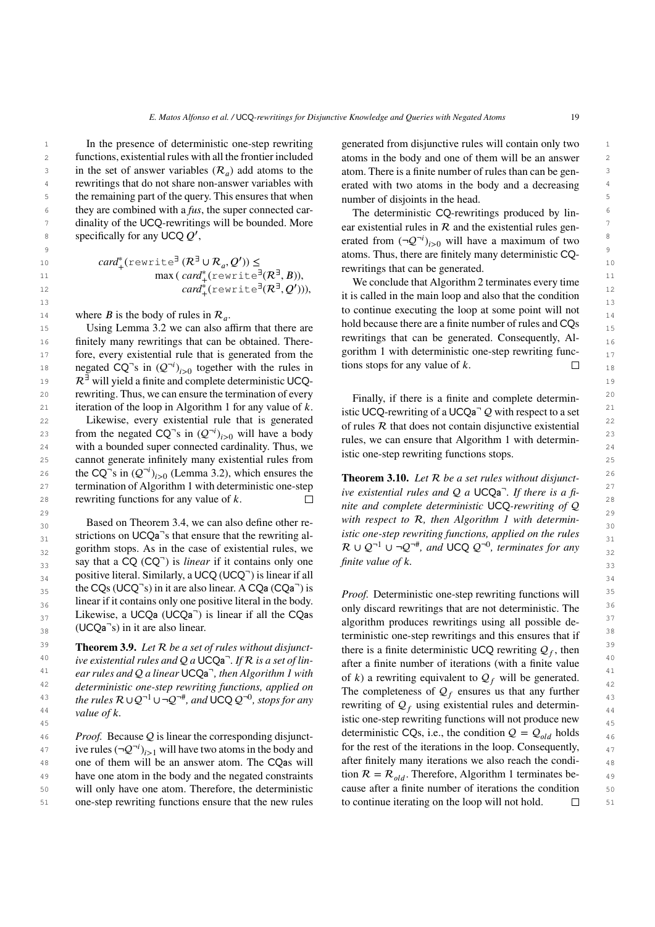<sup>1</sup> In the presence of deterministic one-step rewriting generated from disjunctive rules will contain only two <sup>1</sup> 2 functions, existential rules with all the frontier included atoms in the body and one of them will be an answer 2 3 in the set of answer variables  $(R_a)$  add atoms to the atom. There is a finite number of rules than can be gen-<sup>4</sup> rewritings that do not share non-answer variables with erated with two atoms in the body and a decreasing <sup>4</sup> <sup>5</sup> the remaining part of the query. This ensures that when mumber of disjoints in the head. <sup>6</sup> they are combined with a *fus*, the super connected car-<br>The deterministic CO-rewritings produced by lin- $\sigma$  dinality of the UCQ-rewritings will be bounded. More early existential rules in  $\vec{R}$  and the existential rules gen-In the presence of deterministic one-step rewriting specifically for any  $UCQQ'$ ,

$$
card_{+}^{*}(rewrite^{\exists} (R^{\exists} \cup R_{a}, Q')) \leq \nmax (card_{+}^{*}(rewrite^{\exists}(R^{\exists}, B)),\nand_{+}^{*}(rewrite^{\exists}(R^{\exists}, Q'))),
$$
\nwe conclude that Algorithm 2 terminates every time  
it is called in the main loop and also that the condition

15 15 Using Lemma [3.2](#page-17-2) we can also affirm that there are though because there are a linne number of rules and  $\cos$  15  $16$  finitely many rewritings that can be obtained. There-<br> $16$  rewritings that can be generated. Consequently, Al- $17$  fore, every existential rule that is generated from the gorithm 1 with deterministic one-step rewriting func-18 negated CQ<sup>-</sup>s in  $(Q^{-i})_{i>0}$  together with the rules in tions stops for any value of k.  $19 \qquad \mathcal{R}^{\bar{3}}$  will yield a finite and complete deterministic UCQ-20 rewriting. Thus, we can ensure the termination of every Finally if there is a finite and complete determin-21 iteration of the loop in Algorithm [1](#page-12-0) for any value of *k*. is the LCO rewriting of a LCO<sup>3</sup><sup>7</sup> Q with respect to a set 22 Likewise, every existential rule that is generated  $\frac{1}{2}$  of rules R that does not contain disjunctive existential 22 23 from the negated  $CQ^s$ s in  $(Q^{-i})_{i>0}$  will have a body  $\frac{Q^{i}}{i}$  will see that Algorithm 1 with determin-24 with a bounded super connected cardinality. Thus, we have the superior connection of the superior of the superior of  $\frac{1}{24}$ 25 cannot generate infinitely many existential rules from the successful providing functions stops. 26 the CQ<sup> $\bar{\textbf{Q}}$ </sup>'s in  $(Q^{\bar{\textbf{q}}})_{i>0}$  (Lemma [3.2\)](#page-17-2), which ensures the **Theorem 3.10.** Let R, be a set rules without disjunct-27 termination of Algorithm [1](#page-12-0) with deterministic one-step  $\frac{1}{27}$  is existential rules and O a  $\frac{1}{27}$  If there is a find ze *rewriting functions for any value of k*.

30  $\frac{30}{30}$  Based on Theorem [3.4,](#page-14-0) we can also define other re-<br>30 strictions on UCQa<sup>-</sup>s that ensure that the rewriting al-<br> $\frac{1}{31}$  istic one-step rewriting functions, applied on the rules 32 32 ∪ ¬1 ∪ ¬¬#*, and* 𝖴𝖢𝖰 ¬0*, terminates for any* say that a  $CQ$  ( $CQ^{\dagger}$ ) is *linear* if it contains only one finite value of k. positive literal. Similarly, a  $UCQ (UCQ<sup>o</sup>)$  is linear if all  $\frac{34}{34}$  $\frac{35}{35}$  are  $\frac{1}{35}$  in the also linear. A  $\frac{1}{35}$  is *Proof.* Deterministic one-step rewriting functions will  $\frac{35}{35}$  $\frac{36}{16}$  incent in comains only one positive field in the body.<br>Tikovice e HCOe (HCOe) is linear if all the COes only discard rewritings that are not deterministic. The  $\frac{37}{2}$  Likewise, a OCQa (OCQa) is inicial if an the CQas<br>algorithm produces rewritings using all possible de-<br> $\frac{37}{2}$ gorithm stops. As in the case of existential rules, we the CQs (UCQ<sup>-</sup>s) in it are also linear. A CQa (CQa<sup>-</sup>) is linear if it contains only one positive literal in the body. Likewise, a UCQa (UCQa<sup>-</sup>) is linear if all the CQas (UCQa<sup>-</sup>s) in it are also linear.

<span id="page-18-0"></span><sup>40</sup> *ive existential rules and Q a*  $UCQa$ <sup>-</sup>. If R is a set of lin-<br>after a finite number of iterations (with a finite value <sup>41</sup> ear rules and Q a linear  $UCQa^T$ , then Algorithm [1](#page-12-0) with  $\frac{a}{f(k)}$  a rewriting equivalent to  $Q_c$  will be generated <sup>42</sup> deterministic one-step rewriting functions, applied on  $\frac{1}{2}$  The completeness of  $\Omega_e$  ensures us that any further <sup>43</sup> *the rules*  $\mathcal{R} \cup \mathcal{Q}^{-1} \cup \neg \mathcal{Q}^{-#}$ , and UCQ  $\mathcal{Q}^{-0}$ , stops for any *the complete times* of  $\mathcal{Q}$ , using existential rules and determinimumthe rules  $R \cup Q^{\perp_1} \cup \neg Q^{\perp_2}$ , and  $U C Q Q^{\perp_1}$ , stops for any rewriting of  $Q_f$  using existential rules and determin*value of k.* 

47 ive rules  $(\neg Q^{\neg i})_{i>1}$  will have two atoms in the body and for the rest of the iterations in the loop. Consequently, 48 one of them will be an answer atom. The  $CQ$ as will after finitely many iterations we also reach the condi-49 have one atom in the body and the negated constraints tion  $R = R_{old}$ . Therefore, Algorithm 1 terminates be-50 50 will only have one atom. Therefore, the deterministic 51 one-step rewriting functions ensure that the new rules to continue iterating on the loop will not hold.  $\Box$  51

atoms in the body and one of them will be an answer atom. There is a finite number of rules than can be generated with two atoms in the body and a decreasing number of disjoints in the head.

<sup>8</sup> specifically for any UCQ Q',<br>
<sup>8</sup> erated from  $(\neg Q^{-i})_{i>0}$  will have a maximum of two  $\mathbb{R}^9$  atoms. Thus, there are finitely many deterministic CQ-10  $card_{+}^{*}$ (rewrite<sup>-1</sup> $(R^{-1} \cup R_{a}, Q')$ )  $\leq$  rewritings that can be generated. The deterministic CO-rewritings produced by linear existential rules in  $R$  and the existential rules gen-

 $card_{+}^{*}(\text{rewrite}^{\exists}(\mathcal{R}^{\exists}, Q'))),$  it is called in the main loop and also that the condition 13 and the main top and disc that the condition is a set of the set of the condition is a set of the set of the set of the set of the set of the set of the set of the set of the set of the set of the set of the set of the 14 where *B* is the body of rules in  $\mathcal{R}_a$ .<br>
14 body of rules in  $\mathcal{R}_a$ . to continue executing the loop at some point will not hold because there are a finite number of rules and CQs rewritings that can be generated. Consequently, Algorithm [1](#page-12-0) with deterministic one-step rewriting functions stops for any value of  $k$ .

> Finally, if there is a finite and complete deterministic UCQ-rewriting of a UCQa<sup> $\sim$ </sup>Q with respect to a set of rules  $R$  that does not contain disjunctive existential rules, we can ensure that Algorithm [1](#page-12-0) with deterministic one-step rewriting functions stops.

<sup>29</sup><br>Based on Theorem 3.4, we can also define other re-<br> *with respect to R*, then Algorithm [1](#page-12-0) with determin-**Theorem 3.10.** *Let be a set rules without disjunct*ive existential rules and Q a UCQa<sup>-</sup>. If there is a fi*nite and complete deterministic* UCQ-rewriting of Q *istic one-step rewriting functions, applied on the rules finite value of k.* 

 $38$  (OCQa  $3)$  in it are also finear.<br>terministic one-step rewritings and this ensures that if <sup>39</sup> **Theorem 3.9.** Let R be a set of rules without disjunct-<br>there is a finite deterministic UCO rewriting O<sub>c</sub>, then *Ab*  $\mu$  and  $\mu$  of  $\mu$ . <sup>46</sup> *Proof.* Because Q is linear the corresponding disjunct-<br>deterministic CQs, i.e., the condition  $Q = Q_{old}$  holds there is a finite deterministic UCQ rewriting  $Q_f$ , then after a finite number of iterations (with a finite value of *k*) a rewriting equivalent to  $Q_f$  will be generated. The completeness of  $\mathcal{Q}_f$  ensures us that any further deterministic CQs, i.e., the condition  $Q = Q_{old}$  holds for the rest of the iterations in the loop. Consequently, after finitely many iterations we also reach the condition  $R = R_{old}$ . Therefore, Algorithm [1](#page-12-0) terminates because after a finite number of iterations the condition to continue iterating on the loop will not hold.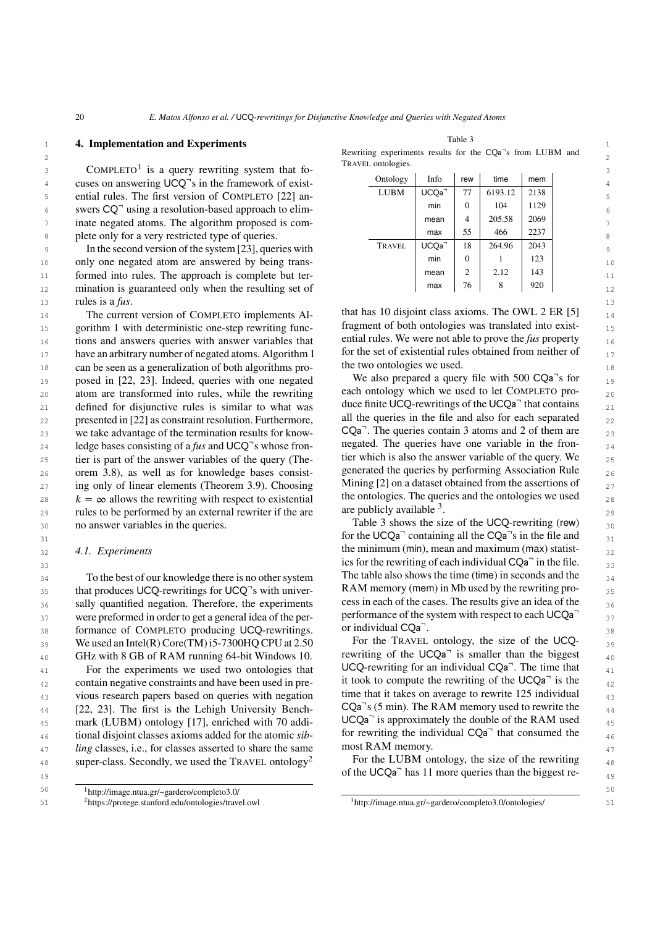## <span id="page-19-0"></span>1 1 **4. Implementation and Experiments**

3  $\blacksquare$  COMPLETO<sup>[1](#page-19-2)</sup> is a query rewriting system that fo-4 cuses on answering  $UCQ^-s$  in the framework of exist-<br> $\frac{Ontology}{\text{Info}}$  Info rew time mem 5 ential rules. The first version of COMPLETO [\[22\]](#page-23-8) an-<br> $5\frac{\text{LUBM}}{\text{LUBM}}$   $0.024$   $1/7$   $0.93.12$   $1.38$ 6 swers  $CQ$ <sup>-</sup> using a resolution-based approach to elim-<br>6  $\mid$  <sup>min</sup>  $\mid$  0  $\mid$  104  $\mid$  1129 7 7 inate negated atoms. The algorithm proposed is com-8 blee plete only for a very restricted type of queries.

9 In the second version of the system [\[23\]](#page-23-9), queries with  $\frac{1}{2}$   $\frac{1}{2}$   $\frac{1}{2}$   $\frac{1}{2}$   $\frac{1}{2}$   $\frac{1}{2}$   $\frac{1}{2}$   $\frac{1}{2}$   $\frac{1}{2}$   $\frac{1}{2}$   $\frac{1}{2}$   $\frac{1}{2}$   $\frac{1}{2}$   $\frac{1}{2}$   $\frac{1}{2}$   $\frac{1}{2}$   $\frac{$ 10 only one negated atom are answered by being trans-11 11 formed into rules. The approach is complete but ter-12 mination is guaranteed only when the resulting set of  $\left| \begin{array}{c} \text{max} \\ \text{max} \end{array} \right|$   $\left| \begin{array}{c} \text{max} \\ \text{max} \end{array} \right|$   $\left| \begin{array}{c} \text{max} \\ \text{max} \end{array} \right|$   $\left| \begin{array}{c} \text{max} \\ \text{max} \end{array} \right|$ 13 **rules is a** *fus***.** 13

14 14 The current version of COMPLETO implements Al-<br> $14$  that has 10 disjoint class axioms. The OWL 2 ER [5]  $14$ 15 [1](#page-12-0)5 gorithm 1 with deterministic one-step rewriting func-<br>15  $16$  tions and answers queries with answer variables that ential rules. We were not able to prove the *jus* property  $16$ 17 have an arbitrary number of negated atoms. Algorithm [1](#page-12-0) for the set of existential rules obtained from neither of  $\frac{17}{2}$ 18 18 can be seen as a generalization of both algorithms pro-19 posed in [\[22,](#page-23-8) [23\]](#page-23-9). Indeed, queries with one negated we also prepared a query file with 500 CQa s for  $\frac{19}{2}$  $_{20}$  atom are transformed into rules, while the rewriting each ontology which we used to let COMPLETO pro- $_{21}$  defined for disjunctive rules is similar to what was duce finite UCQ-rewritings of the UCQa that contains  $_{21}$ 22 presented in [\[22\]](#page-23-8) as constraint resolution. Furthermore, all the queries in the file and also for each separated  $_{22}$ 23 we take advantage of the termination results for know-  $CQa$ . The queries contain 3 atoms and 2 of them are  $\frac{23}{25}$ 24 ledge bases consisting of a *fus* and  $UCQ^-s$  whose fron- negated. The queries have one variable in the fron-25 tier is part of the answer variables of the query (The-<br>tier which is also the answer variable of the query  $\frac{25}{25}$ 26 orem [3.8\)](#page-17-3), as well as for knowledge bases consist-<br>generated the queries by performing Association Rule 27 ing only of linear elements (Theorem [3.9\)](#page-18-0). Choosing Minimg [2] on a dataset obtained from the assertions of  $\frac{27}{27}$  $28 \t k = \infty$  allows the rewriting with respect to existential the ontologies. The queries and the ontologies we used  $28$ 29 a rules to be performed by an external rewriter if the are  $\frac{1}{2}$  are publicly available. 30 **no answer variables in the queries.** Table 3 shows the size of the UCQ-rewriting (rew)  $\frac{30}{30}$ 

### <span id="page-19-1"></span>*4.1. Experiments*

 $34$  To the best of our knowledge there is no other system The table also shows the time (time) in seconds and the  $34$  $35$  that produces UCQ-rewritings for UCQ<sup>-</sup>s with univer-<br>RAM memory (mem) in Mb used by the rewriting pro- $36$  sally quantified negation. Therefore, the experiments cess in each of the cases. The results give an idea of the  $36$  $37$  were preformed in order to get a general idea of the per-<br> $37$  performance of the system with respect to each UCQa  $38$  formance of COMPLETO producing UCQ-rewritings. or individual CQa.  $_{39}$  We used an Intel(R) Core(TM) i5-7300HQ CPU at 2.50 For the TRAVEL ontology, the size of the UCQ- $_{40}$  GHz with 8 GB of RAM running 64-bit Windows 10. Tewnting of the UCQa is smaller than the biggest  $_{40}$  $41$  For the experiments we used two ontologies that UCQ-rewriting for an individual CQa. The time that  $41$  $_{42}$  contain negative constraints and have been used in pre-<br> $_{42}$  it took to compute the rewriting of the UCQa is the <sup>43</sup> vious research papers based on queries with negation time that it takes on average to rewrite 125 individual  $_{44}$  [\[22,](#page-23-8) [23\]](#page-23-9). The first is the Lehigh University Bench- CQa s (5 min). The RAM memory used to rewrite the  $_{44}$  $_{45}$  mark (LUBM) ontology [\[17\]](#page-23-13), enriched with 70 addi-<br> $_{45}$  UCQa sapproximately the double of the RAM used  $46$  tional disjoint classes axioms added for the atomic *sib*- for rewriting the individual  $CQa$  that consumed the  $46$ <sup>47</sup> *ling* classes, i.e., for classes asserted to share the same most RAM memory.

Table 3

 $\frac{1}{2}$  Rewriting experiments results for the  $CQa^Ts$  from LUBM and  $\frac{1}{2}$ TRAVEL ontologies.

<span id="page-19-5"></span>

| Ontology | Info               | rew            | time    | mem  |  |
|----------|--------------------|----------------|---------|------|--|
| LUBM     | UCQa <sup>-1</sup> | 77             | 6193.12 |      |  |
|          | min                | 0              | 104     | 1129 |  |
|          | mean               | 4              | 205.58  | 2069 |  |
|          | max                | 55             | 466     | 2237 |  |
| TRAVEL   | UCQa <sup>-1</sup> | 18             | 264.96  | 2043 |  |
|          | min                | 0              |         | 123  |  |
|          | mean               | $\overline{c}$ | 2.12    | 143  |  |
|          | max                | 76             |         | 920  |  |

that has 10 disjoint class axioms. The OWL 2 ER [\[5\]](#page-22-13) fragment of both ontologies was translated into existential rules. We were not able to prove the *fus* property for the set of existential rules obtained from neither of the two ontologies we used.

We also prepared a query file with 500 CQa<sup>-</sup>s for each ontology which we used to let COMPLETO produce finite UCQ-rewritings of the UCQa<sup>-</sup> that contains all the queries in the file and also for each separated CQa<sup>-</sup>. The queries contain 3 atoms and 2 of them are negated. The queries have one variable in the frontier which is also the answer variable of the query. We generated the queries by performing Association Rule Mining [\[2\]](#page-22-14) on a dataset obtained from the assertions of the ontologies. The queries and the ontologies we used are publicly available <sup>[3](#page-19-4)</sup>.

 $\frac{31}{31}$  for the UCQa<sup>-</sup> containing all the CQa<sup>-</sup>s in the file and  $\frac{31}{31}$  $\frac{32}{4.1}$ . Experiments the minimum (min), mean and maximum (max) statist- $\frac{33}{33}$  ics for the rewriting of each individual  $CQa$ <sup>-</sup> in the file. Table [3](#page-19-5) shows the size of the UCQ-rewriting (rew) The table also shows the time (time) in seconds and the RAM memory (mem) in Mb used by the rewriting process in each of the cases. The results give an idea of the performance of the system with respect to each UCQa<sup>-</sup> or individual CQa<sup>-</sup>.

> For the TRAVEL ontology, the size of the UCQrewriting of the UCQa<sup>-</sup> is smaller than the biggest UCQ-rewriting for an individual CQa<sup>-</sup>. The time that it took to compute the rewriting of the UCQa<sup>-</sup> is the time that it takes on average to rewrite 125 individual CQa<sup>-</sup>s (5 min). The RAM memory used to rewrite the UCQa<sup>-</sup> is approximately the double of the RAM used for rewriting the individual CQa<sup>-</sup> that consumed the most RAM memory.

<sup>48</sup> super-class. Secondly, we used the TRAVEL ontology<sup>[2](#page-19-3)</sup> For the LUBM ontology, the size of the rewriting  $\frac{48}{3}$  $\frac{1}{49}$  of the UCQa<sup>-</sup> has 11 more queries than the biggest re-For the LUBM ontology, the size of the rewriting

<span id="page-19-4"></span>

<span id="page-19-2"></span><sup>50</sup> 50 <sup>1</sup><http://image.ntua.gr/~gardero/completo3.0/>

<span id="page-19-3"></span><sup>51 &</sup>lt;sup>2</sup>https://protege.stanford.edu/ontologies/travel.owl <sup>3</sup><http://image.ntua.gr/~gardero/completo3.0/ontologies/> <sup>2</sup><https://protege.stanford.edu/ontologies/travel.owl>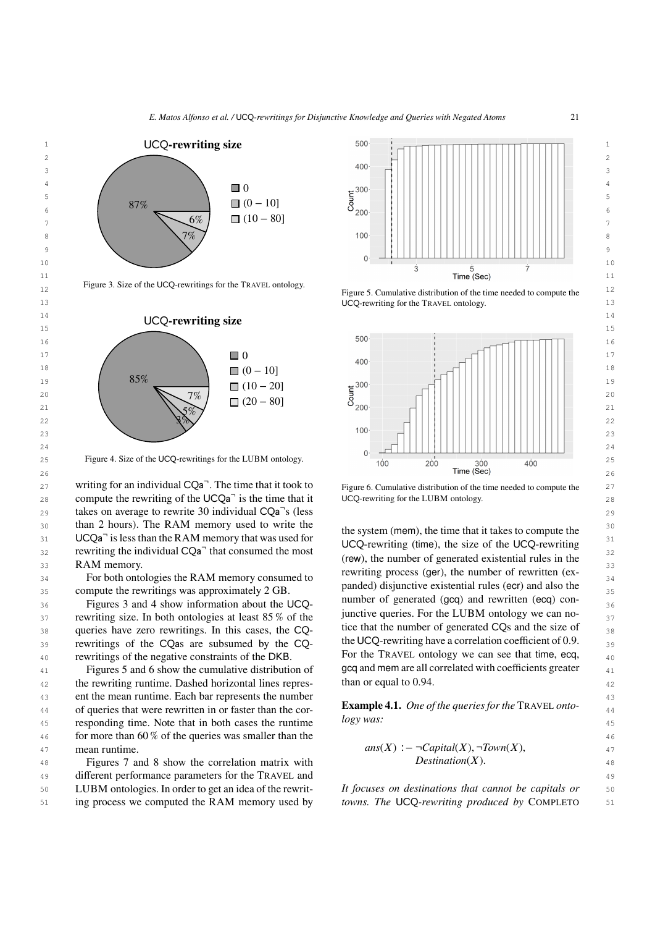

<span id="page-20-0"></span>Figure 3. Size of the UCQ-rewritings for the TRAVEL ontology.



<span id="page-20-1"></span>

27 writing for an individual  $CQa^T$ . The time that it took to Figure 6. Cumulative distribution of the time needed to compute the 27 28 compute the rewriting of the  $UCQa^T$  is the time that it  $UCQ$ -rewriting for the LUBM ontology. 29 takes on average to rewrite 30 individual  $CQa^Ts$  (less  $29$ 30 30 than 2 hours). The RAM memory used to write the  $31$  UCQa<sup>-</sup> is less than the RAM memory that was used for the system (mem, the time that it takes to compute the 32 rewriting the individual  $CQa^T$  that consumed the most  $CQ = CQ + CQ$  and the most rewriting (unle), the size of the  $CQ = CQ + CQ$  is the second the most represented with the most represented with the size of  $CQ = CQ + CQ$  is t RAM memory.

34 For both ontologies the RAM memory consumed to rewriting process (get), the number of rewritten (ex-<br>34

 Figures [3](#page-20-0) and [4](#page-20-1) show information about the UCQ-<br> $\frac{1}{36}$  humber of generated (gcq) and rewritten (ecq) con- rewriting size. In both ontologies at least 85% of the Junctive queries. For the LOBM ontology we can no- queries have zero rewritings. In this cases, the CQ- tice that the number of generated CQs and the size of  $38$ rewritings of the CQas are subsumed by the CQ- the UCQ-rewriting have a correlation coefficient of 0.9.

 $41$  Figures [5](#page-20-2) and [6](#page-20-3) show the cumulative distribution of gcq and mem are all correlated with coefficients greater  $41$ <sup>42</sup> the rewriting runtime. Dashed horizontal lines repres-<br><sup>42</sup> than or equal to 0.94. 43 43 ent the mean runtime. Each bar represents the number 44 of queries that were rewritten in or faster than the cor-<br>**Example 4.1.** One of the queries for the 1 KAVEL only 44 45 responding time. Note that in both cases the runtime  $logy$  was:  $45$ 46 46 for more than 60 % of the queries was smaller than the  $\text{mean runtime.}$   $\text{mean runtime.}$   $\text{max}(X) := \neg \text{Capital}(X), \neg \text{Tom}(X),$ 

48  $48$  Figures [7](#page-21-1) and [8](#page-21-2) show the correlation matrix with  $Definition(X)$ . 49 49 different performance parameters for the TRAVEL and 50 LUBM ontologies. In order to get an idea of the rewrit-<br> $It$  focuses on destinations that cannot be capitals or 50



12 12 Figure 5. Cumulative distribution of the time needed to compute the 13 **UCQ-rewriting for the TRAVEL ontology.** The TRAVEL ontology.



<span id="page-20-3"></span><span id="page-20-2"></span>Figure 6. Cumulative distribution of the time needed to compute the UCQ-rewriting for the LUBM ontology.

 $RAM$  memory.<br>Expediant process (ger), the number of rewritten (ex-<br>Sate of rewritten the RAM memory consumed to rewriting process (ger), the number of rewritten (ex-35 compute the rewritings was approximately 2 GB. Pandeu disjunctive existential rules (ecl) and also the  $40 \text{$  rewritings of the negative constraints of the DKB. For the TRAVEL ontology we can see that time, ecq,  $40 \text{ }$ the system (mem), the time that it takes to compute the UCQ-rewriting (time), the size of the UCQ-rewriting (rew), the number of generated existential rules in the panded) disjunctive existential rules (ecr) and also the number of generated (gcq) and rewritten (ecq) conjunctive queries. For the LUBM ontology we can notice that the number of generated CQs and the size of the UCQ-rewriting have a correlation coefficient of 0.9. For the TRAVEL ontology we can see that time, ecq, gcq and mem are all correlated with coefficients greater than or equal to 0.94.

> **Example 4.1.** *One of the queries for the* TRAVEL *ontology was:*

$$
ans(X) := \neg Capital(X), \neg Town(X),
$$
  
 $Destination(X).$ 

51 ing process we computed the RAM memory used by *towns. The UCQ-rewriting produced by COMPLETO* 51 *It focuses on destinations that cannot be capitals or* towns. The UCQ-rewriting produced by COMPLETO

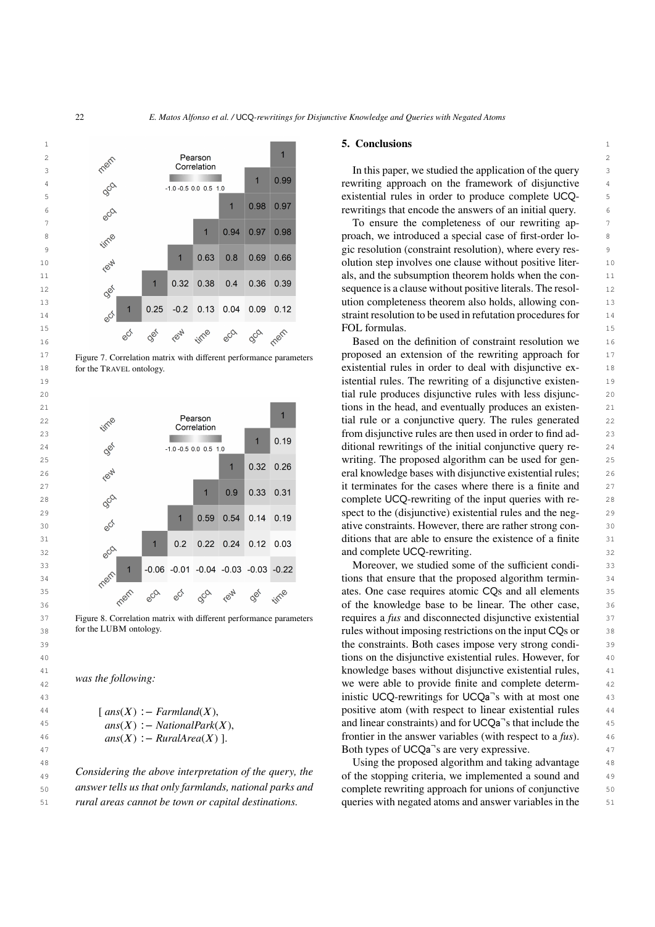<span id="page-21-0"></span>1 1 **5. Conclusions**  $\sim$  2  $\sim$  Pearson and  $\sim$  2

<span id="page-21-1"></span>Figure 7. Correlation matrix with different performance parameters for the TRAVEL ontology.



<span id="page-21-2"></span>Figure 8. Correlation matrix with different performance parameters for the LUBM ontology.

*was the following:*

| $\{ans(X) := Farmland(X),\}$  |
|-------------------------------|
| $ans(X) := NationalPark(X)$ , |
| $ans(X) := RuralArea(X)$ ].   |

 $49$  Considering the above interpretation of the equery, the stopping criteria, we implemented a sound and  $49$ 50 answer tells us that only farmlands, national parks and complete rewriting approach for unions of conjunctive 50 *Considering the above interpretation of the query, the answer tells us that only farmlands, national parks and rural areas cannot be town or capital destinations.*

3 3 In this paper, we studied the application of the query  $\frac{4}{10.95000510}$  1  $\frac{1}{10.95000510}$  1  $\frac{1}{10.95000510}$  1  $\frac{1}{10.95000510}$  1  $\frac{1}{10.95000510}$  1  $\frac{1}{10.95000510}$  1  $\frac{1}{10.95000510}$  1  $\frac{1}{10.95000510}$  1  $\frac{1}{10.95000510}$  1  $\frac{1}{10.95000510}$  1  $\frac{1}{3}$   $\frac{1}{3}$  existential rules in order to produce complete UCQ- $\epsilon$  6  $\epsilon$  6.98  $\epsilon$  6.98  $\epsilon$  6.98 rewritings that encode the answers of an initial query.

To ensure the completeness of our rewriting ap- $\frac{8}{10.88}$  8 8 8 8 9.94 0.94 0.96 9 broach, we introduced a special case of first-order lo-9 9 gic resolution (constraint resolution), where every res-10  $\frac{10}{10}$  10.00 0.00 0.00 0.00 0.00 olution step involves one clause without positive liter-<sup>11</sup> als, and the subsumption theorem holds when the con-<br><sup>11</sup> 12 12 sequence is a clause without positive literals. The resol-13 13 ution completeness theorem also holds, allowing con-14  $\delta$  14  $\delta$  12  $\delta$  12  $\delta$  10  $\delta$  14  $\delta$  14  $\delta$  14  $\delta$  14  $\delta$  14  $\delta$  14  $\delta$  14  $\delta$  14  $\delta$  14  $\delta$  14  $\delta$  14  $\delta$  14  $\delta$  14  $\delta$  14  $\delta$  14  $\delta$  14  $\delta$  14  $\delta$  14  $\delta$  14  $\delta$  14  $\delta$  15  $\delta$  14  $\delta$  14  $\$ 15 and  $\phi$  and  $\phi$  and  $\phi$  and  $\phi$  and  $\phi$  and  $\phi$  is the FOL formulas.

 16 Based on the definition of constraint resolution we <sup>17</sup> Figure 7. Correlation matrix with different performance parameters proposed an extension of the rewriting approach for <sup>17</sup> 18 18 19 for the TRAVEL ontology. The TRAVEL ontology. The second term of the State of the TRAVEL ontology. 19 istential rules. The rewriting of a disjunctive existen- 20 tial rule produces disjunctive rules with less disjunc-**tions in the head, and eventually produces an existen-** 21 22 tial rule or a conjunctive query. The rules generated 23 from disjunctive rules are then used in order to find ad- $\frac{1}{24}$   $\frac{1}{24}$   $\frac{1}{24}$   $\frac{1}{24}$   $\frac{1}{24}$   $\frac{1}{24}$  ditional rewritings of the initial conjunctive query re- 25 writing. The proposed algorithm can be used for gen- $e^{x^k}$  26 25 25 25 25 eral knowledge bases with disjunctive existential rules; 26 27 it terminates for the cases where there is a finite and  $28 \text{ complex number of times, and the number of times, respectively.}$  29 spect to the (disjunctive) existential rules and the neg- $30 \qquad \qquad \oslash$   $\qquad \qquad$  ative constraints. However, there are rather strong con-<sup>31</sup> 1 0 2 0 22 0 24 0 12 0 0 3 ditions that are able to ensure the existence of a finite <sup>31</sup>

 $33$   $-0.06$   $-0.01$   $-0.04$   $-0.03$   $-0.03$   $-0.22$  Moreover, we studied some of the sufficient condi- $\mathbb{R}^{\infty}$  is tions that ensure that the proposed algorithm terminas and all elements as a strong of the set of the set of the set of the set of the set of the set of the set o  $36$   $\left\langle \begin{array}{ccc} 36 & 36 \end{array} \right\rangle$  of the knowledge base to be linear. The other case,  $36$ 37 Figure 8. Correlation matrix with different performance parameters requires a *fus* and disconnected disjunctive existential 37 38 for the LUBM ontology. The same state of the LUBM ontology. The second of the contract of the contract of the contract of the contract of the contract of the contract of the contract of the contract of the contract of t 39 39 the constraints. Both cases impose very strong condi-40 40 tions on the disjunctive existential rules. However, for <sup>41</sup> knowledge bases without disjunctive existential rules, <sup>41</sup> knowledge bases without disjunctive existential rules, <sup>42</sup> was the journalist. 43 **inistic UCQ-rewritings for UCQa<sup>-</sup>s with at most one**  $\{ans(X) : \textit{-}~\textit{Farmland}(X),\}$  positive atom (with respect to linear existential rules and  $\{ans(X): \textit{--}~\textit{Farmland}(X)\}$  $ans(X) := NationalPark(X)$ , and linear constraints) and for  $UCQa^-s$  that include the 45  $ans(X) := RuralArea(X)$ ]. frontier in the answer variables (with respect to a *fus*). 46 47 Both types of UCQa<sup>-</sup>s are very expressive.

<sup>48</sup> Using the proposed algorithm and taking advantage <sup>48</sup> 51 *rural areas cannot be town or capital destinations*. **queries with negated atoms and answer variables in the** 51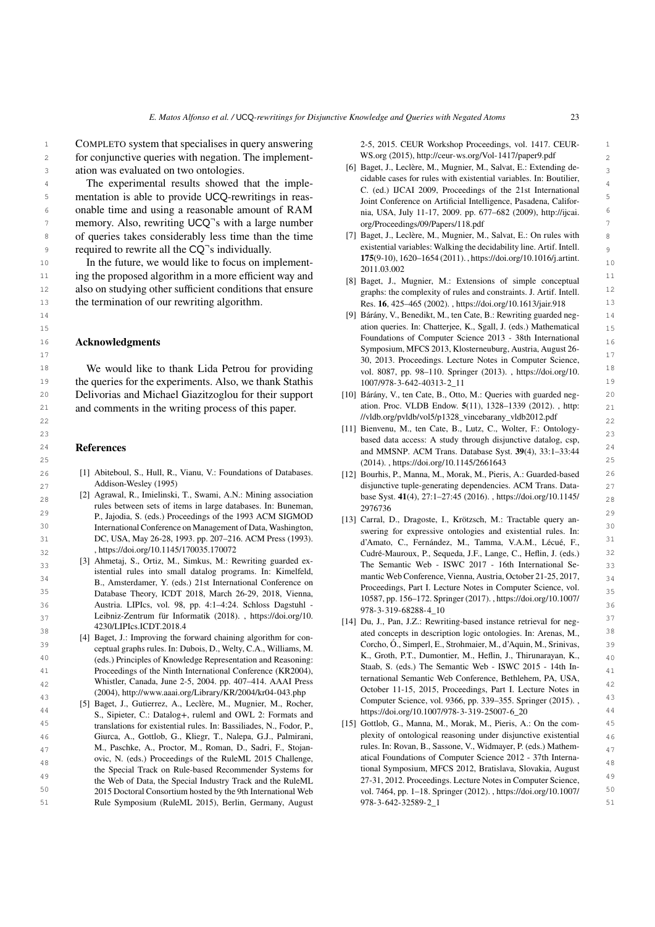$\frac{1}{2}$  5 mentation is able to provide UCQ-rewritings in reas-<br> $\frac{1}{2}$   $\frac{1}{2}$   $\frac{1}{2}$   $\frac{1}{2}$   $\frac{1}{2}$   $\frac{1}{2}$   $\frac{1}{2}$   $\frac{1}{2}$   $\frac{1}{2}$   $\frac{1}{2}$   $\frac{1}{2}$   $\frac{1}{2}$   $\frac{1}{2}$   $\frac{1}{2}$   $\frac{1}{2}$   $\frac{1}{$ 6 6 onable time and using a reasonable amount of RAM 7 memory. Also, rewriting UCQ<sup>-</sup>s with a large number org/Proceedings/09/Papers/118.pdf 8 of queries takes considerably less time than the time [7] Baget, J., Leclère, M., Mugnier, M., Salvat, E.: On rules with 8 9 required to rewrite all the CQ<sup>-</sup>s individually. existential variables: Walking the decidability line. Artif. Intell.

10 10 In the future, we would like to focus on implement-11 ing the proposed algorithm in a more efficient way and regard to Mugnier M : Extensions of simple concentual 11 12 also on studying other sufficient conditions that ensure raphs: the complexity of rules and constraints. J. Artif. Intell. the termination of our rewriting algorithm.

<sup>18</sup> We would like to thank Lida Petrou for providing vol. 8087, pp. 98–110. Springer (2013), https://doi.org/10. 19 19 the queries for the experiments. Also, we thank Stathis 20 Delivorias and Michael Giazitzoglou for their support [10] Bárány, V., ten Cate, B., Otto, M.: Queries with guarded neg- 20

### **References**

- <span id="page-22-14"></span><span id="page-22-9"></span><span id="page-22-6"></span><span id="page-22-5"></span><span id="page-22-2"></span>[1] Abiteboul, S., Hull, R., Vianu, V.: Foundations of Databases. Addison-Wesley (1995)
- 28 [2] Agrawal, R., Imielinski, T., Swami, A.N.: Mining association base Syst.  $41(4)$ ,  $27:1-27:45$  (2016). , [https://doi.org/10.1145/](https://doi.org/10.1145/2976736)  $\frac{28}{10}$ <sup>29</sup> P., Jajodia, S. (eds.) Proceedings of the 1993 ACM SIGMOD [13] Carral D. Dragoste. J. Krötzsch M: Tractable query an-[2] Agrawal, R., Imielinski, T., Swami, A.N.: Mining association rules between sets of items in large databases. In: Buneman, ,<https://doi.org/10.1145/170035.170072>
- <span id="page-22-3"></span> $\frac{37}{2}$  Leibniz-Zentrum für Informatik (2018). , [https://doi.org/10.](https://doi.org/10.4230/LIPIcs.ICDT.2018.4)  $\frac{171 \text{ Pa}}{111 \text{ Pa}}$ . I. Ben 17: Benuiting based instance rational for neg  $\frac{37}{2}$ [3] Ahmetaj, S., Ortiz, M., Simkus, M.: Rewriting guarded existential rules into small datalog programs. In: Kimelfeld, B., Amsterdamer, Y. (eds.) 21st International Conference on [4230/LIPIcs.ICDT.2018.4](https://doi.org/10.4230/LIPIcs.ICDT.2018.4)
- <span id="page-22-10"></span>39 39 Corcho, Ó., Simperl, E., Strohmaier, M., d'Aquin, M., Srinivas, 40 40 (eds.) Principles of Knowledge Representation and Reasoning: 41 Proceedings of the Ninth International Conference (KR2004), staat, 5. (eus.) The Strategy of the Ninth International Conference (KR2004), 42 42 Whistler, Canada, June 2-5, 2004. pp. 407–414. AAAI Press [4] Baget, J.: Improving the forward chaining algorithm for conceptual graphs rules. In: Dubois, D., Welty, C.A., Williams, M. (2004),<http://www.aaai.org/Library/KR/2004/kr04-043.php>
- <span id="page-22-13"></span><span id="page-22-1"></span>44 5., Sipieter, C.: Datalog+, ruleml and OWL 2: Formats and https://doi.org/10.1007/978-3-319-25007-6\_20 <sup>45</sup> translations for existential rules. In: Bassiliades, N., Fodor, P., [15] Gottlob, G., Manna, M., Morak, M., Pieris, A.: On the com-46 46 Giurca, A., Gottlob, G., Kliegr, T., Nalepa, G.J., Palmirani, 47 M., Paschke, A., Proctor, M., Roman, D., Sadri, F., Stojan- rules. In: Rovan, B., Sassone, V., Widmayer, P. (eds.) Mathemabovic, N. (eds.) Proceedings of the RuleML 2015 Challenge, and atical Foundations of Computer Science 2012 - 37th Interna-<sup>49</sup> the Web of Data, the Special Industry Track and the RuleML 27-31, 2012. Proceedings. Lecture Notes in Computer Science, 50 50 50 50 2015 Doctoral Consortium hosted by the 9th International Web vol. 7464, pp. 1–18. Springer (2012). , [https://doi.org/10.1007/](https://doi.org/10.1007/978-3-642-32589-2_1) 51 51 Rule Symposium (RuleML 2015), Berlin, Germany, August [5] Baget, J., Gutierrez, A., Leclère, M., Mugnier, M., Rocher, translations for existential rules. In: Bassiliades, N., Fodor, P., the Special Track on Rule-based Recommender Systems for 2015 Doctoral Consortium hosted by the 9th International Web

<span id="page-22-12"></span><span id="page-22-11"></span><span id="page-22-7"></span><span id="page-22-4"></span><span id="page-22-0"></span>2-5, 2015. CEUR Workshop Proceedings, vol. 1417. CEUR-WS.org (2015),<http://ceur-ws.org/Vol-1417/paper9.pdf>

- 4 4 The experimental results showed that the imple-<br>4 4  $\frac{1}{2}$  4  $\frac{1}{2}$   $\frac{1}{2}$   $\frac{1}{2}$   $\frac{1}{2}$   $\frac{1}{2}$   $\frac{1}{2}$   $\frac{1}{2}$   $\frac{1}{2}$   $\frac{1}{2}$   $\frac{1}{2}$   $\frac{1}{2}$   $\frac{1}{2}$   $\frac{1}{2}$   $\frac{1}{2}$   $\frac{1}{2}$   $\frac{$ [6] Baget, J., Leclère, M., Mugnier, M., Salvat, E.: Extending decidable cases for rules with existential variables. In: Boutilier, C. (ed.) IJCAI 2009, Proceedings of the 21st International Joint Conference on Artificial Intelligence, Pasadena, California, USA, July 11-17, 2009. pp. 677–682 (2009), [http://ijcai.](http://ijcai.org/Proceedings/09/Papers/118.pdf) [org/Proceedings/09/Papers/118.pdf](http://ijcai.org/Proceedings/09/Papers/118.pdf)
	- [7] Baget, J., Leclère, M., Mugnier, M., Salvat, E.: On rules with existential variables: Walking the decidability line. Artif. Intell. **175**(9-10), 1620–1654 (2011). , [https://doi.org/10.1016/j.artint.](https://doi.org/10.1016/j.artint.2011.03.002) [2011.03.002](https://doi.org/10.1016/j.artint.2011.03.002)
- 13 13 Res. **16**, 425–465 (2002). ,<https://doi.org/10.1613/jair.918> [8] Baget, J., Mugnier, M.: Extensions of simple conceptual graphs: the complexity of rules and constraints. J. Artif. Intell.
- 14 14 [9] Bárány, V., Benedikt, M., ten Cate, B.: Rewriting guarded neg-15 15 ation queries. In: Chatterjee, K., Sgall, J. (eds.) Mathematical 16 **Acknowledgments** 16 **Acknowledgments** 16 **Acknowledgments** 16 **Acknowledgments** 16 **Acknowledgments** 16 17<br>30, 2013. Proceedings. Lecture Notes in Computer Science, Foundations of Computer Science 2013 - 38th International Symposium, MFCS 2013, Klosterneuburg, Austria, August 26 vol. 8087, pp. 98–110. Springer (2013). , [https://doi.org/10.](https://doi.org/10.1007/978-3-642-40313-2_11) [1007/978-3-642-40313-2\\_11](https://doi.org/10.1007/978-3-642-40313-2_11)
- 21 and comments in the writing process of this paper. **a** ation. Proc. VLDB Endow. 5(11), 1328–1339 (2012). , http: 21  $\frac{22}{1}$  [//vldb.org/pvldb/vol5/p1328\\_vincebarany\\_vldb2012.pdf](http://vldb.org/pvldb/vol5/p1328_vincebarany_vldb2012.pdf)  $\frac{22}{1}$ [10] Bárány, V., ten Cate, B., Otto, M.: Queries with guarded negation. Proc. VLDB Endow. **5**(11), 1328–1339 (2012). , [http:](http://vldb.org/pvldb/vol5/p1328_vincebarany_vldb2012.pdf)
- 23 23 [11] Bienvenu, M., ten Cate, B., Lutz, C., Wolter, F.: Ontology-24 **References and MMSNP. ACM Trans. Database Syst. 39(4), 33:1–33:44** <sup>24</sup> 25 25 (2014). ,<https://doi.org/10.1145/2661643> based data access: A study through disjunctive datalog, csp,
- 26 26 [12] Bourhis, P., Manna, M., Morak, M., Pieris, A.: Guarded-based 27 Addison-Wesley (1995) 27 Addison-Wesley (1995) 27 [2976736](https://doi.org/10.1145/2976736)
- 30 International Conference on Management of Data, Washington, we write the expressive ontologies and existential rules In: 30 31 DC, USA, May 26-28, 1993. pp. 207–216. ACM Press (1993). d'Amato C Fernández M Tamma V A M Lécué E <sup>31</sup> 32 32, https://doi.org/10.1145/1/0035.1/00/2 33 33 The Semantic Web - ISWC 2017 - 16th International Se-34 34 mantic Web Conference, Vienna, Austria, October 21-25, 2017,  $\frac{35}{25}$  Database Theory, ICDT 2018, March 26-29, 2018, Vienna,  $\frac{10587}{200}$  and  $\frac{156}{200}$  Series (2017) https://doi.org/10.1007/  $36$  Austria. LIPIcs, vol. 98, pp. 4:1–4:24. Schloss Dagstuhl -  $\frac{1}{2}$   $\frac{1}{2}$   $\frac{1}{2}$   $\frac{1}{2}$   $\frac{1}{2}$   $\frac{1}{2}$   $\frac{1}{2}$   $\frac{1}{2}$   $\frac{1}{2}$   $\frac{1}{2}$   $\frac{1}{2}$   $\frac{1}{2}$   $\frac{1}{2}$   $\frac{1}{2}$   $\frac{1}{2}$   $\frac{1}{2$ [13] Carral, D., Dragoste, I., Krötzsch, M.: Tractable query answering for expressive ontologies and existential rules. In: d'Amato, C., Fernández, M., Tamma, V.A.M., Lécué, F., Proceedings, Part I. Lecture Notes in Computer Science, vol. 10587, pp. 156–172. Springer (2017). , [https://doi.org/10.1007/](https://doi.org/10.1007/978-3-319-68288-4_10) [978-3-319-68288-4\\_10](https://doi.org/10.1007/978-3-319-68288-4_10)
- <span id="page-22-8"></span>38 38 ated concepts in description logic ontologies. In: Arenas, M., 43 43 Computer Science, vol. 9366, pp. 339–355. Springer (2015). , [14] Du, J., Pan, J.Z.: Rewriting-based instance retrieval for neg-K., Groth, P.T., Dumontier, M., Heflin, J., Thirunarayan, K., Staab, S. (eds.) The Semantic Web - ISWC 2015 - 14th International Semantic Web Conference, Bethlehem, PA, USA, October 11-15, 2015, Proceedings, Part I. Lecture Notes in [https://doi.org/10.1007/978-3-319-25007-6\\_20](https://doi.org/10.1007/978-3-319-25007-6_20)
	- plexity of ontological reasoning under disjunctive existential rules. In: Rovan, B., Sassone, V., Widmayer, P. (eds.) Mathematical Foundations of Computer Science 2012 - 37th International Symposium, MFCS 2012, Bratislava, Slovakia, August 27-31, 2012. Proceedings. Lecture Notes in Computer Science, [978-3-642-32589-2\\_1](https://doi.org/10.1007/978-3-642-32589-2_1)